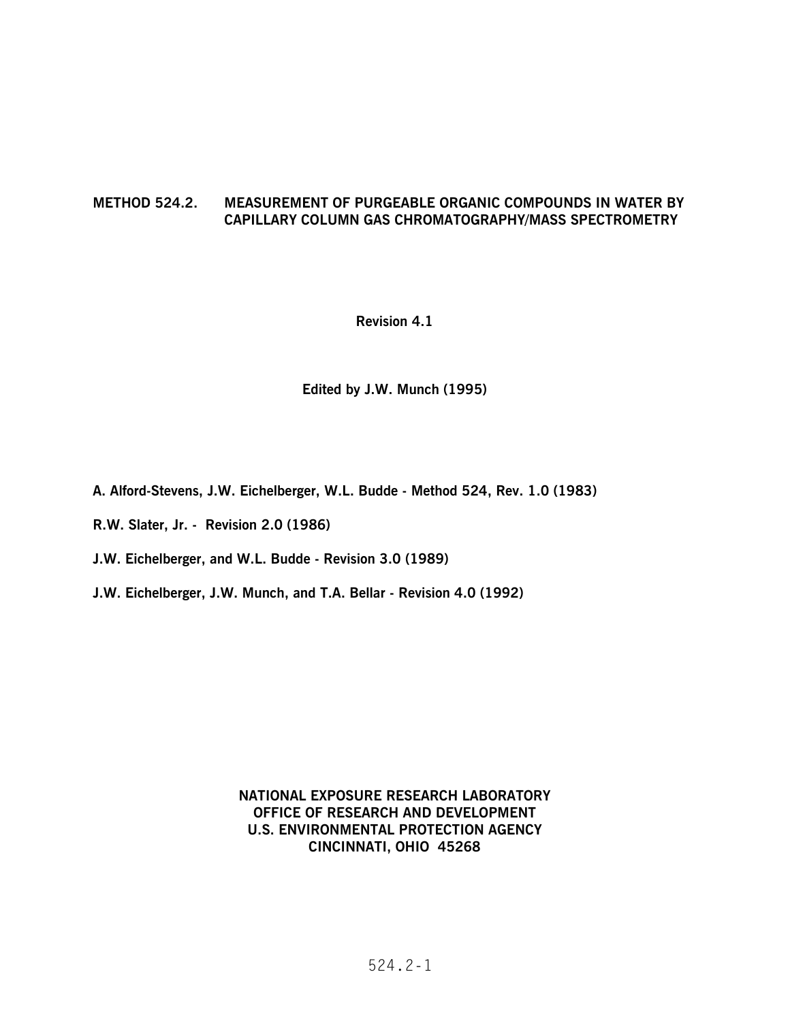## **METHOD 524.2. MEASUREMENT OF PURGEABLE ORGANIC COMPOUNDS IN WATER BY CAPILLARY COLUMN GAS CHROMATOGRAPHY/MASS SPECTROMETRY**

### **Revision 4.1**

#### **Edited by J.W. Munch (1995)**

**A. Alford-Stevens, J.W. Eichelberger, W.L. Budde - Method 524, Rev. 1.0 (1983)** 

- **R.W. Slater, Jr. Revision 2.0 (1986)**
- **J.W. Eichelberger, and W.L. Budde Revision 3.0 (1989)**
- **J.W. Eichelberger, J.W. Munch, and T.A. Bellar Revision 4.0 (1992)**

### **NATIONAL EXPOSURE RESEARCH LABORATORY OFFICE OF RESEARCH AND DEVELOPMENT U.S. ENVIRONMENTAL PROTECTION AGENCY CINCINNATI, OHIO 45268**

## 524.2-1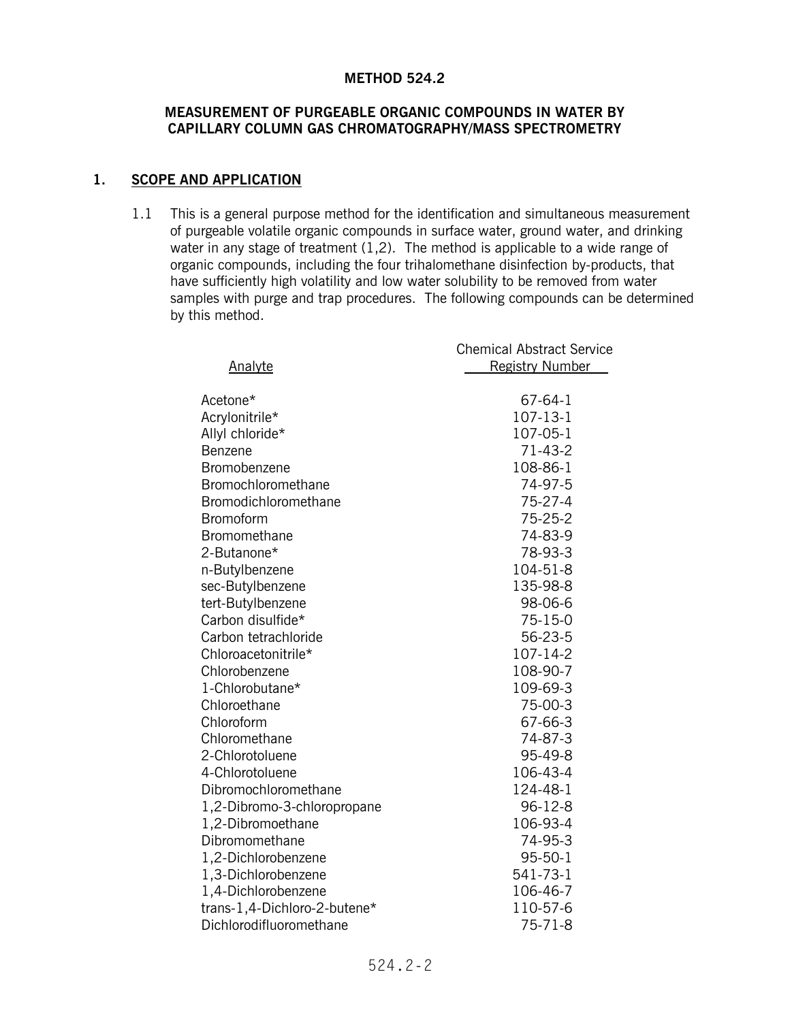#### **METHOD 524.2**

### **MEASUREMENT OF PURGEABLE ORGANIC COMPOUNDS IN WATER BY CAPILLARY COLUMN GAS CHROMATOGRAPHY/MASS SPECTROMETRY**

## **1. SCOPE AND APPLICATION**

1.1 This is a general purpose method for the identification and simultaneous measurement of purgeable volatile organic compounds in surface water, ground water, and drinking water in any stage of treatment (1,2). The method is applicable to a wide range of organic compounds, including the four trihalomethane disinfection by-products, that have sufficiently high volatility and low water solubility to be removed from water samples with purge and trap procedures. The following compounds can be determined by this method.

| Analyte                      | <b>Chemical Abstract Service</b><br><b>Registry Number</b> |
|------------------------------|------------------------------------------------------------|
| Acetone*                     | 67-64-1                                                    |
| Acrylonitrile*               | 107-13-1                                                   |
| Allyl chloride*              | 107-05-1                                                   |
| Benzene                      | $71 - 43 - 2$                                              |
| Bromobenzene                 | 108-86-1                                                   |
| Bromochloromethane           | 74-97-5                                                    |
| <b>Bromodichloromethane</b>  | 75-27-4                                                    |
| <b>Bromoform</b>             | 75-25-2                                                    |
| Bromomethane                 | 74-83-9                                                    |
| 2-Butanone*                  | 78-93-3                                                    |
| n-Butylbenzene               | 104-51-8                                                   |
| sec-Butylbenzene             | 135-98-8                                                   |
| tert-Butylbenzene            | 98-06-6                                                    |
| Carbon disulfide*            | $75 - 15 - 0$                                              |
| Carbon tetrachloride         | 56-23-5                                                    |
| Chloroacetonitrile*          | 107-14-2                                                   |
| Chlorobenzene                | 108-90-7                                                   |
| 1-Chlorobutane*              | 109-69-3                                                   |
| Chloroethane                 | 75-00-3                                                    |
| Chloroform                   | 67-66-3                                                    |
| Chloromethane                | 74-87-3                                                    |
| 2-Chlorotoluene              | 95-49-8                                                    |
| 4-Chlorotoluene              | 106-43-4                                                   |
| Dibromochloromethane         | 124-48-1                                                   |
| 1,2-Dibromo-3-chloropropane  | $96 - 12 - 8$                                              |
| 1,2-Dibromoethane            | 106-93-4                                                   |
| Dibromomethane               | 74-95-3                                                    |
| 1,2-Dichlorobenzene          | $95 - 50 - 1$                                              |
| 1,3-Dichlorobenzene          | 541-73-1                                                   |
| 1,4-Dichlorobenzene          | 106-46-7                                                   |
| trans-1,4-Dichloro-2-butene* | 110-57-6                                                   |
| Dichlorodifluoromethane      | $75 - 71 - 8$                                              |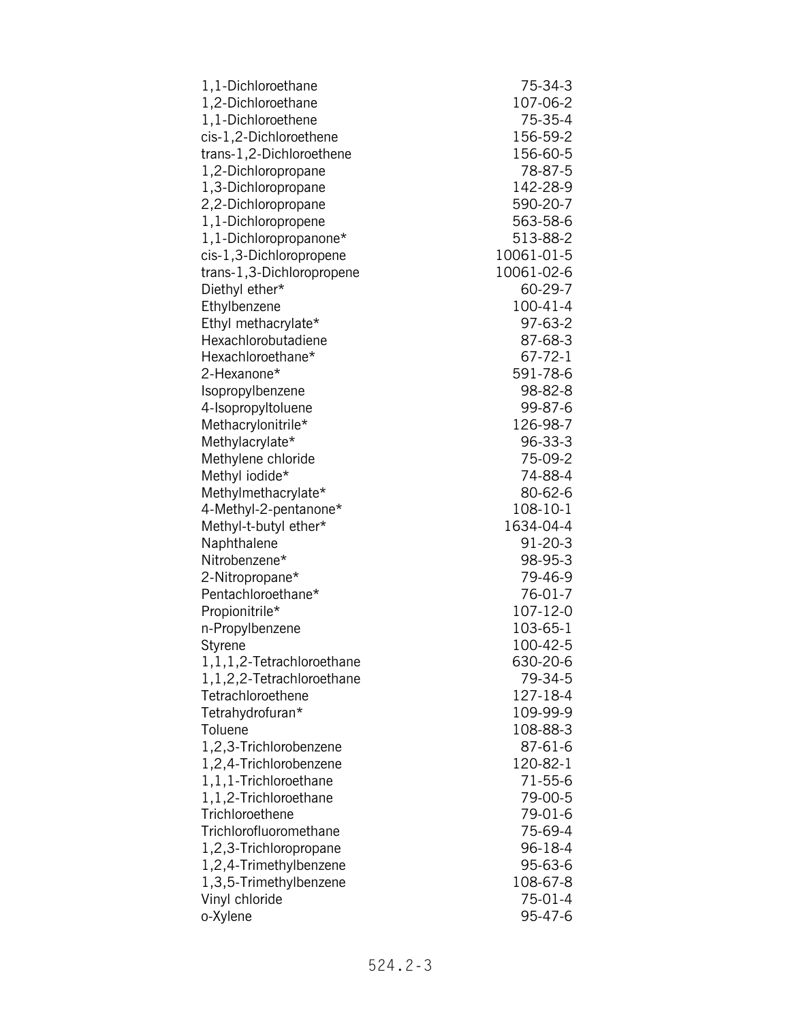| 1,1-Dichloroethane           | 75-34-3       |
|------------------------------|---------------|
| 1,2-Dichloroethane           | 107-06-2      |
| 1,1-Dichloroethene           | 75-35-4       |
| cis-1,2-Dichloroethene       | 156-59-2      |
| trans-1,2-Dichloroethene     | 156-60-5      |
| 1,2-Dichloropropane          | 78-87-5       |
| 1,3-Dichloropropane          | 142-28-9      |
| 2,2-Dichloropropane          | 590-20-7      |
| 1,1-Dichloropropene          | 563-58-6      |
| 1,1-Dichloropropanone*       | 513-88-2      |
| cis-1,3-Dichloropropene      | 10061-01-5    |
| trans-1,3-Dichloropropene    | 10061-02-6    |
| Diethyl ether*               | 60-29-7       |
| Ethylbenzene                 | 100-41-4      |
| Ethyl methacrylate*          | 97-63-2       |
| Hexachlorobutadiene          | 87-68-3       |
| Hexachloroethane*            | $67 - 72 - 1$ |
| 2-Hexanone*                  | 591-78-6      |
| Isopropylbenzene             | 98-82-8       |
| 4-Isopropyltoluene           | 99-87-6       |
| Methacrylonitrile*           | 126-98-7      |
| Methylacrylate*              | 96-33-3       |
| Methylene chloride           | 75-09-2       |
| Methyl iodide*               | 74-88-4       |
| Methylmethacrylate*          | 80-62-6       |
| 4-Methyl-2-pentanone*        | 108-10-1      |
| Methyl-t-butyl ether*        | 1634-04-4     |
| Naphthalene                  | $91 - 20 - 3$ |
| Nitrobenzene*                | 98-95-3       |
| 2-Nitropropane*              | 79-46-9       |
| Pentachloroethane*           | 76-01-7       |
| Propionitrile*               | 107-12-0      |
| n-Propylbenzene              | 103-65-1      |
| Styrene                      | 100-42-5      |
| 1, 1, 1, 2-Tetrachloroethane | 630-20-6      |
| 1,1,2,2-Tetrachloroethane    | 79-34-5       |
| Tetrachloroethene            | 127-18-4      |
| Tetrahydrofuran*             | 109-99-9      |
| Toluene                      | 108-88-3      |
| 1,2,3-Trichlorobenzene       | 87-61-6       |
| 1,2,4-Trichlorobenzene       | 120-82-1      |
| 1,1,1-Trichloroethane        | 71-55-6       |
| 1,1,2-Trichloroethane        | 79-00-5       |
| Trichloroethene              | 79-01-6       |
| Trichlorofluoromethane       | 75-69-4       |
| 1,2,3-Trichloropropane       | 96-18-4       |
| 1,2,4-Trimethylbenzene       | 95-63-6       |
| 1,3,5-Trimethylbenzene       | 108-67-8      |
| Vinyl chloride               | 75-01-4       |
| o-Xylene                     | 95-47-6       |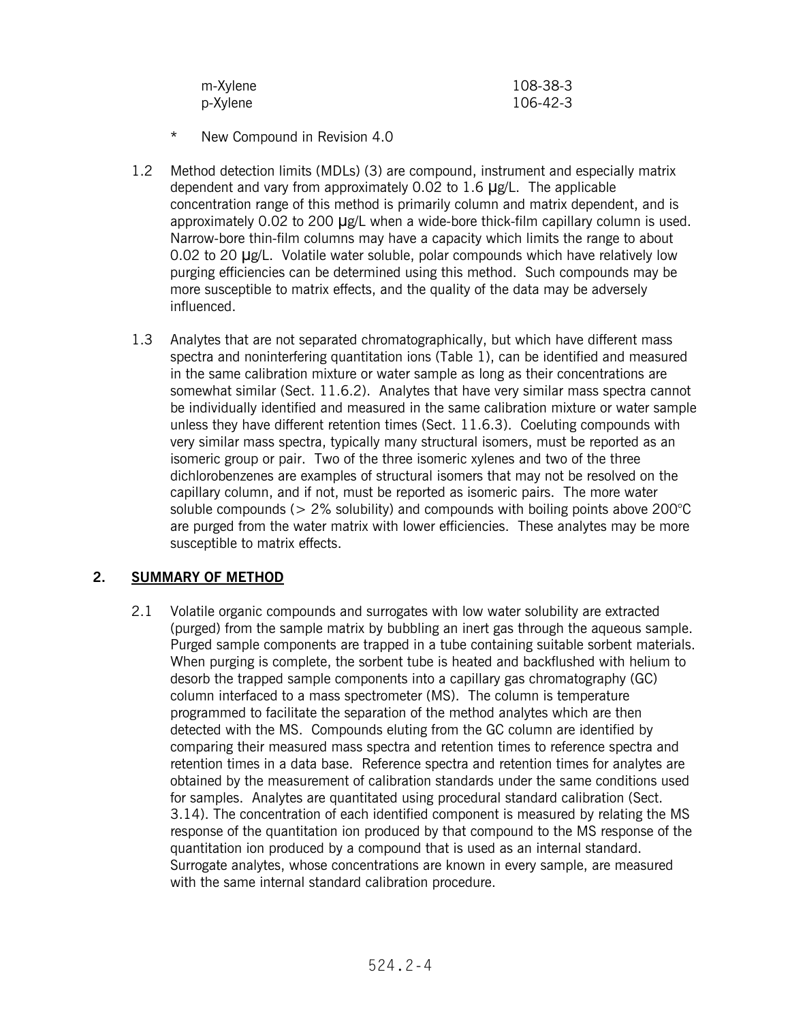| m-Xylene | 108-38-3 |
|----------|----------|
| p-Xylene | 106-42-3 |

- \* New Compound in Revision 4.0
- 1.2 Method detection limits (MDLs) (3) are compound, instrument and especially matrix dependent and vary from approximately 0.02 to 1.6  $\mu$ g/L. The applicable concentration range of this method is primarily column and matrix dependent, and is approximately 0.02 to 200  $\mu$ g/L when a wide-bore thick-film capillary column is used. Narrow-bore thin-film columns may have a capacity which limits the range to about 0.02 to 20  $\mu$ g/L. Volatile water soluble, polar compounds which have relatively low purging efficiencies can be determined using this method. Such compounds may be more susceptible to matrix effects, and the quality of the data may be adversely influenced.
- 1.3 Analytes that are not separated chromatographically, but which have different mass spectra and noninterfering quantitation ions (Table 1), can be identified and measured in the same calibration mixture or water sample as long as their concentrations are somewhat similar (Sect. 11.6.2). Analytes that have very similar mass spectra cannot be individually identified and measured in the same calibration mixture or water sample unless they have different retention times (Sect. 11.6.3). Coeluting compounds with very similar mass spectra, typically many structural isomers, must be reported as an isomeric group or pair. Two of the three isomeric xylenes and two of the three dichlorobenzenes are examples of structural isomers that may not be resolved on the capillary column, and if not, must be reported as isomeric pairs. The more water soluble compounds ( $> 2\%$  solubility) and compounds with boiling points above 200 $^{\circ}$ C are purged from the water matrix with lower efficiencies. These analytes may be more susceptible to matrix effects.

### **2. SUMMARY OF METHOD**

2.1 Volatile organic compounds and surrogates with low water solubility are extracted (purged) from the sample matrix by bubbling an inert gas through the aqueous sample. Purged sample components are trapped in a tube containing suitable sorbent materials. When purging is complete, the sorbent tube is heated and backflushed with helium to desorb the trapped sample components into a capillary gas chromatography (GC) column interfaced to a mass spectrometer (MS). The column is temperature programmed to facilitate the separation of the method analytes which are then detected with the MS. Compounds eluting from the GC column are identified by comparing their measured mass spectra and retention times to reference spectra and retention times in a data base. Reference spectra and retention times for analytes are obtained by the measurement of calibration standards under the same conditions used for samples. Analytes are quantitated using procedural standard calibration (Sect. 3.14). The concentration of each identified component is measured by relating the MS response of the quantitation ion produced by that compound to the MS response of the quantitation ion produced by a compound that is used as an internal standard. Surrogate analytes, whose concentrations are known in every sample, are measured with the same internal standard calibration procedure.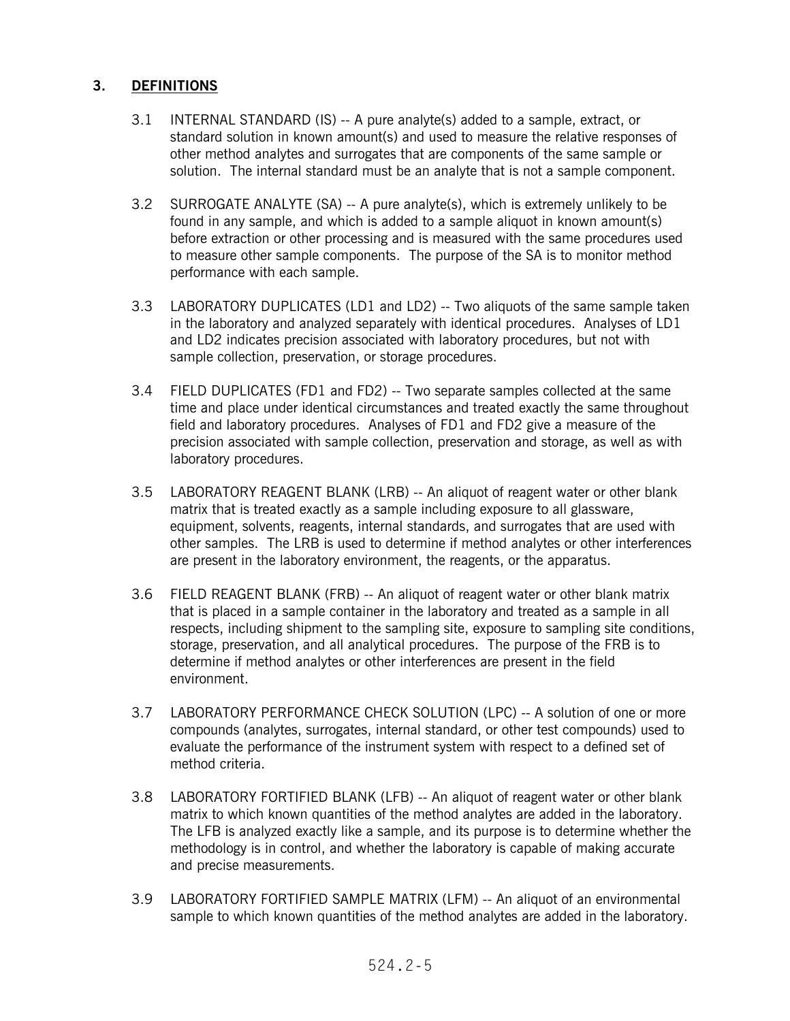## **3. DEFINITIONS**

- 3.1 INTERNAL STANDARD (IS) -- A pure analyte(s) added to a sample, extract, or standard solution in known amount(s) and used to measure the relative responses of other method analytes and surrogates that are components of the same sample or solution. The internal standard must be an analyte that is not a sample component.
- 3.2 SURROGATE ANALYTE (SA) -- A pure analyte(s), which is extremely unlikely to be found in any sample, and which is added to a sample aliquot in known amount(s) before extraction or other processing and is measured with the same procedures used to measure other sample components. The purpose of the SA is to monitor method performance with each sample.
- 3.3 LABORATORY DUPLICATES (LD1 and LD2) -- Two aliquots of the same sample taken in the laboratory and analyzed separately with identical procedures. Analyses of LD1 and LD2 indicates precision associated with laboratory procedures, but not with sample collection, preservation, or storage procedures.
- 3.4 FIELD DUPLICATES (FD1 and FD2) -- Two separate samples collected at the same time and place under identical circumstances and treated exactly the same throughout field and laboratory procedures. Analyses of FD1 and FD2 give a measure of the precision associated with sample collection, preservation and storage, as well as with laboratory procedures.
- 3.5 LABORATORY REAGENT BLANK (LRB) -- An aliquot of reagent water or other blank matrix that is treated exactly as a sample including exposure to all glassware, equipment, solvents, reagents, internal standards, and surrogates that are used with other samples. The LRB is used to determine if method analytes or other interferences are present in the laboratory environment, the reagents, or the apparatus.
- 3.6 FIELD REAGENT BLANK (FRB) -- An aliquot of reagent water or other blank matrix that is placed in a sample container in the laboratory and treated as a sample in all respects, including shipment to the sampling site, exposure to sampling site conditions, storage, preservation, and all analytical procedures. The purpose of the FRB is to determine if method analytes or other interferences are present in the field environment.
- 3.7 LABORATORY PERFORMANCE CHECK SOLUTION (LPC) -- A solution of one or more compounds (analytes, surrogates, internal standard, or other test compounds) used to evaluate the performance of the instrument system with respect to a defined set of method criteria.
- 3.8 LABORATORY FORTIFIED BLANK (LFB) -- An aliquot of reagent water or other blank matrix to which known quantities of the method analytes are added in the laboratory. The LFB is analyzed exactly like a sample, and its purpose is to determine whether the methodology is in control, and whether the laboratory is capable of making accurate and precise measurements.
- 3.9 LABORATORY FORTIFIED SAMPLE MATRIX (LFM) -- An aliquot of an environmental sample to which known quantities of the method analytes are added in the laboratory.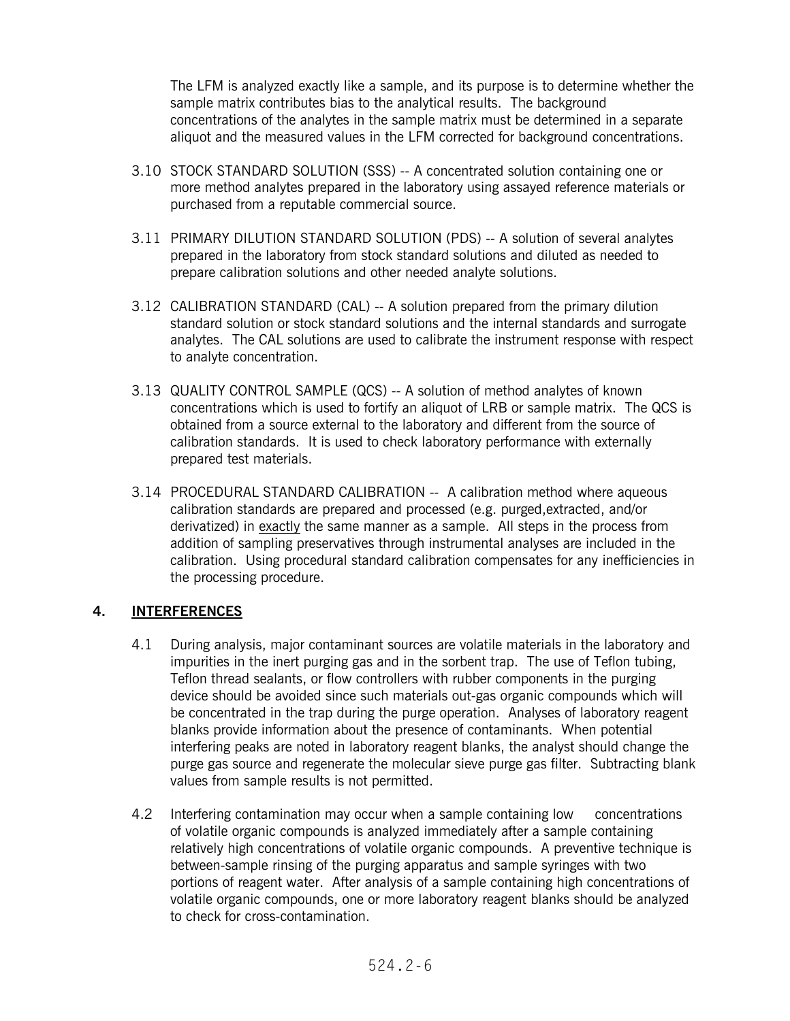The LFM is analyzed exactly like a sample, and its purpose is to determine whether the sample matrix contributes bias to the analytical results. The background concentrations of the analytes in the sample matrix must be determined in a separate aliquot and the measured values in the LFM corrected for background concentrations.

- 3.10 STOCK STANDARD SOLUTION (SSS) -- A concentrated solution containing one or more method analytes prepared in the laboratory using assayed reference materials or purchased from a reputable commercial source.
- 3.11 PRIMARY DILUTION STANDARD SOLUTION (PDS) -- A solution of several analytes prepared in the laboratory from stock standard solutions and diluted as needed to prepare calibration solutions and other needed analyte solutions.
- 3.12 CALIBRATION STANDARD (CAL) -- A solution prepared from the primary dilution standard solution or stock standard solutions and the internal standards and surrogate analytes. The CAL solutions are used to calibrate the instrument response with respect to analyte concentration.
- 3.13 QUALITY CONTROL SAMPLE (QCS) -- A solution of method analytes of known concentrations which is used to fortify an aliquot of LRB or sample matrix. The QCS is obtained from a source external to the laboratory and different from the source of calibration standards. It is used to check laboratory performance with externally prepared test materials.
- 3.14 PROCEDURAL STANDARD CALIBRATION -- A calibration method where aqueous calibration standards are prepared and processed (e.g. purged,extracted, and/or derivatized) in exactly the same manner as a sample. All steps in the process from addition of sampling preservatives through instrumental analyses are included in the calibration. Using procedural standard calibration compensates for any inefficiencies in the processing procedure.

### **4. INTERFERENCES**

- 4.1 During analysis, major contaminant sources are volatile materials in the laboratory and impurities in the inert purging gas and in the sorbent trap. The use of Teflon tubing, Teflon thread sealants, or flow controllers with rubber components in the purging device should be avoided since such materials out-gas organic compounds which will be concentrated in the trap during the purge operation. Analyses of laboratory reagent blanks provide information about the presence of contaminants. When potential interfering peaks are noted in laboratory reagent blanks, the analyst should change the purge gas source and regenerate the molecular sieve purge gas filter. Subtracting blank values from sample results is not permitted.
- 4.2 Interfering contamination may occur when a sample containing low concentrations of volatile organic compounds is analyzed immediately after a sample containing relatively high concentrations of volatile organic compounds. A preventive technique is between-sample rinsing of the purging apparatus and sample syringes with two portions of reagent water. After analysis of a sample containing high concentrations of volatile organic compounds, one or more laboratory reagent blanks should be analyzed to check for cross-contamination.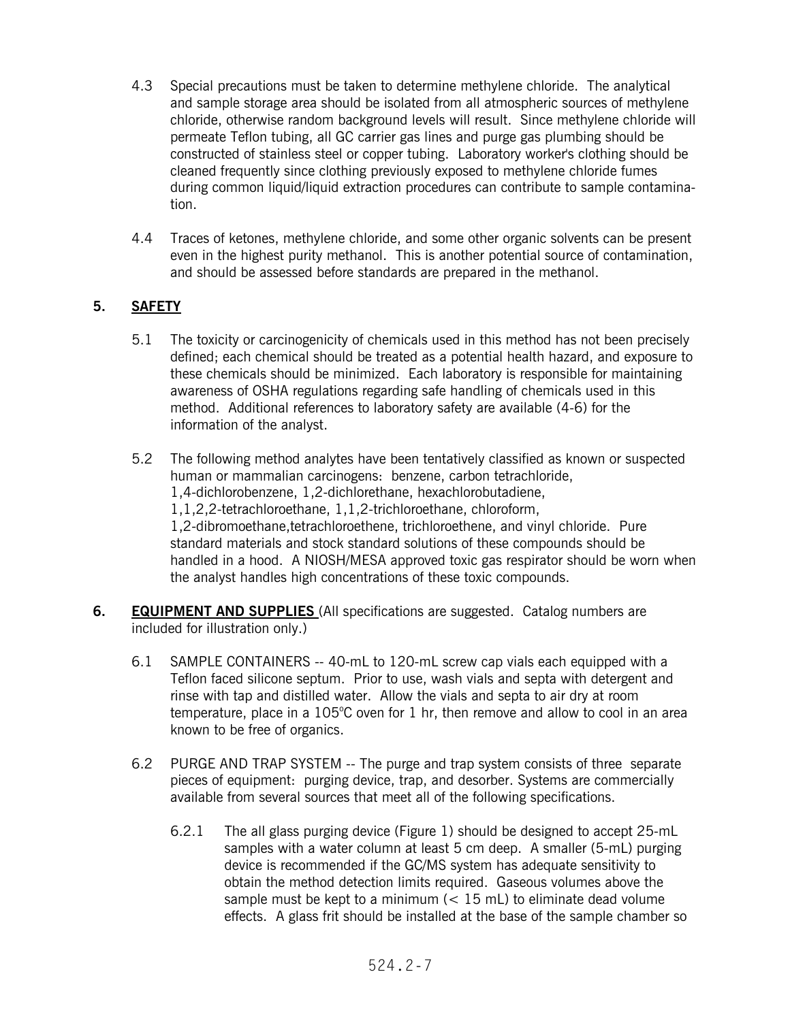- 4.3 Special precautions must be taken to determine methylene chloride. The analytical and sample storage area should be isolated from all atmospheric sources of methylene chloride, otherwise random background levels will result. Since methylene chloride will permeate Teflon tubing, all GC carrier gas lines and purge gas plumbing should be constructed of stainless steel or copper tubing. Laboratory worker's clothing should be cleaned frequently since clothing previously exposed to methylene chloride fumes during common liquid/liquid extraction procedures can contribute to sample contamination.
- 4.4 Traces of ketones, methylene chloride, and some other organic solvents can be present even in the highest purity methanol. This is another potential source of contamination, and should be assessed before standards are prepared in the methanol.

# **5. SAFETY**

- 5.1 The toxicity or carcinogenicity of chemicals used in this method has not been precisely defined; each chemical should be treated as a potential health hazard, and exposure to these chemicals should be minimized. Each laboratory is responsible for maintaining awareness of OSHA regulations regarding safe handling of chemicals used in this method. Additional references to laboratory safety are available (4-6) for the information of the analyst.
- 5.2 The following method analytes have been tentatively classified as known or suspected human or mammalian carcinogens: benzene, carbon tetrachloride, 1,4-dichlorobenzene, 1,2-dichlorethane, hexachlorobutadiene, 1,1,2,2-tetrachloroethane, 1,1,2-trichloroethane, chloroform, 1,2-dibromoethane,tetrachloroethene, trichloroethene, and vinyl chloride. Pure standard materials and stock standard solutions of these compounds should be handled in a hood. A NIOSH/MESA approved toxic gas respirator should be worn when the analyst handles high concentrations of these toxic compounds.
- **6. EQUIPMENT AND SUPPLIES** (All specifications are suggested. Catalog numbers are included for illustration only.)
	- 6.1 SAMPLE CONTAINERS -- 40-mL to 120-mL screw cap vials each equipped with a Teflon faced silicone septum. Prior to use, wash vials and septa with detergent and rinse with tap and distilled water. Allow the vials and septa to air dry at room temperature, place in a  $105^{\circ}$ C oven for 1 hr, then remove and allow to cool in an area known to be free of organics.
	- 6.2 PURGE AND TRAP SYSTEM -- The purge and trap system consists of three separate pieces of equipment: purging device, trap, and desorber. Systems are commercially available from several sources that meet all of the following specifications.
		- 6.2.1 The all glass purging device (Figure 1) should be designed to accept 25-mL samples with a water column at least 5 cm deep. A smaller (5-mL) purging device is recommended if the GC/MS system has adequate sensitivity to obtain the method detection limits required. Gaseous volumes above the sample must be kept to a minimum  $\left($  < 15 mL) to eliminate dead volume effects. A glass frit should be installed at the base of the sample chamber so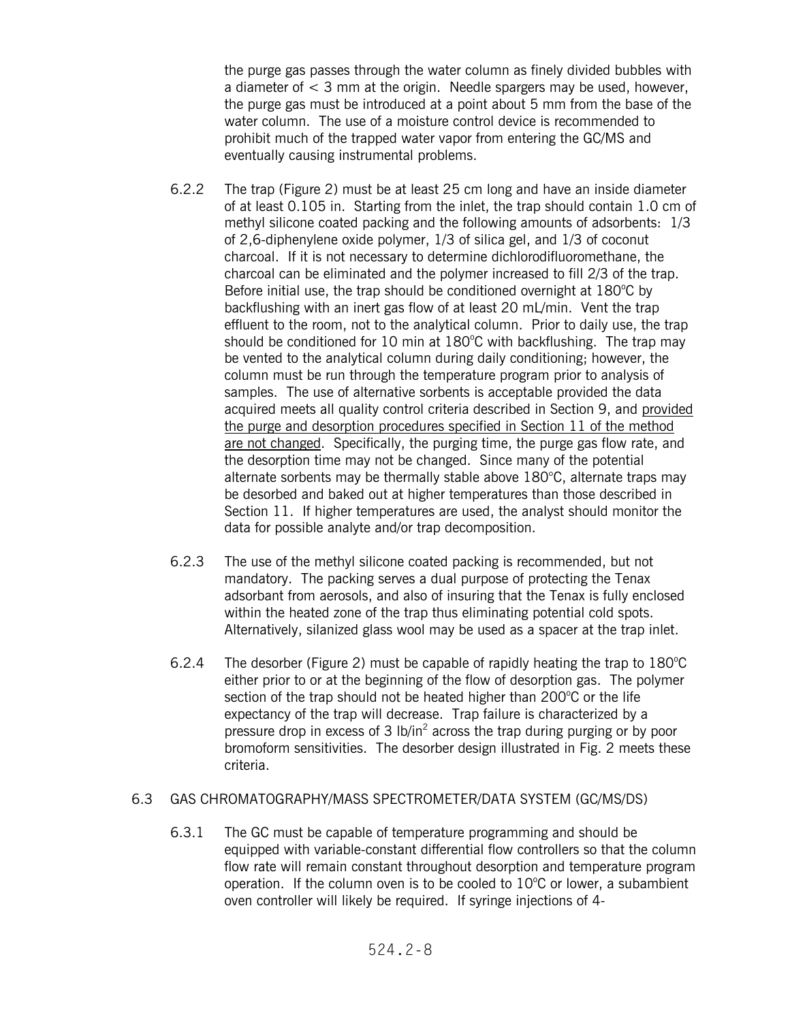the purge gas passes through the water column as finely divided bubbles with a diameter of  $<$  3 mm at the origin. Needle spargers may be used, however, the purge gas must be introduced at a point about 5 mm from the base of the water column. The use of a moisture control device is recommended to prohibit much of the trapped water vapor from entering the GC/MS and eventually causing instrumental problems.

- 6.2.2 The trap (Figure 2) must be at least 25 cm long and have an inside diameter of at least 0.105 in. Starting from the inlet, the trap should contain 1.0 cm of methyl silicone coated packing and the following amounts of adsorbents: 1/3 of 2,6-diphenylene oxide polymer, 1/3 of silica gel, and 1/3 of coconut charcoal. If it is not necessary to determine dichlorodifluoromethane, the charcoal can be eliminated and the polymer increased to fill 2/3 of the trap. Before initial use, the trap should be conditioned overnight at 180°C by backflushing with an inert gas flow of at least 20 mL/min. Vent the trap effluent to the room, not to the analytical column. Prior to daily use, the trap should be conditioned for 10 min at 180°C with backflushing. The trap may be vented to the analytical column during daily conditioning; however, the column must be run through the temperature program prior to analysis of samples. The use of alternative sorbents is acceptable provided the data acquired meets all quality control criteria described in Section 9, and provided the purge and desorption procedures specified in Section 11 of the method are not changed. Specifically, the purging time, the purge gas flow rate, and the desorption time may not be changed. Since many of the potential alternate sorbents may be thermally stable above 180°C, alternate traps may be desorbed and baked out at higher temperatures than those described in Section 11. If higher temperatures are used, the analyst should monitor the data for possible analyte and/or trap decomposition.
- 6.2.3 The use of the methyl silicone coated packing is recommended, but not mandatory. The packing serves a dual purpose of protecting the Tenax adsorbant from aerosols, and also of insuring that the Tenax is fully enclosed within the heated zone of the trap thus eliminating potential cold spots. Alternatively, silanized glass wool may be used as a spacer at the trap inlet.
- 6.2.4 The desorber (Figure 2) must be capable of rapidly heating the trap to  $180^{\circ}$ C either prior to or at the beginning of the flow of desorption gas. The polymer section of the trap should not be heated higher than  $200^{\circ}$ C or the life expectancy of the trap will decrease. Trap failure is characterized by a pressure drop in excess of 3  $1b/in^2$  across the trap during purging or by poor bromoform sensitivities. The desorber design illustrated in Fig. 2 meets these criteria.

### 6.3 GAS CHROMATOGRAPHY/MASS SPECTROMETER/DATA SYSTEM (GC/MS/DS)

6.3.1 The GC must be capable of temperature programming and should be equipped with variable-constant differential flow controllers so that the column flow rate will remain constant throughout desorption and temperature program operation. If the column oven is to be cooled to  $10^{\circ}$ C or lower, a subambient oven controller will likely be required. If syringe injections of 4-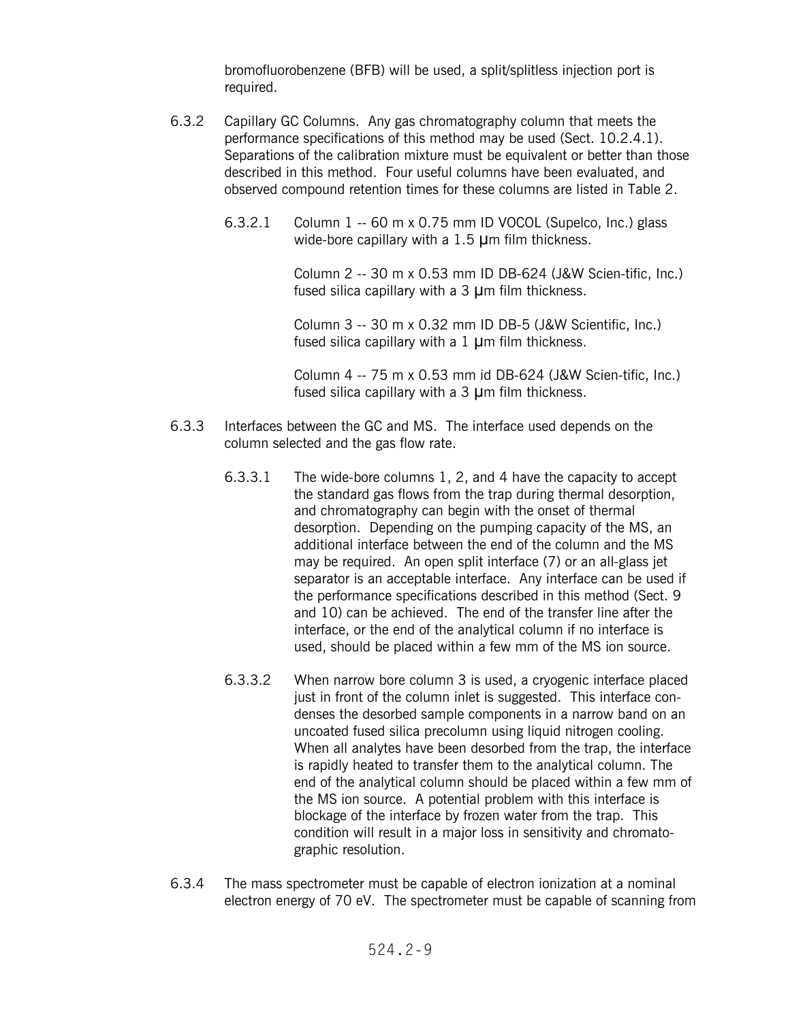bromofluorobenzene (BFB) will be used, a split/splitless injection port is required.

- 6.3.2 Capillary GC Columns. Any gas chromatography column that meets the performance specifications of this method may be used (Sect. 10.2.4.1). Separations of the calibration mixture must be equivalent or better than those described in this method. Four useful columns have been evaluated, and observed compound retention times for these columns are listed in Table 2.
	- 6.3.2.1 Column 1 -- 60 m x 0.75 mm ID VOCOL (Supelco, Inc.) glass wide-bore capillary with a  $1.5$  µm film thickness.

Column 2 -- 30 m x 0.53 mm ID DB-624 (J&W Scien-tific, Inc.) fused silica capillary with a  $3 \mu$ m film thickness.

Column 3 -- 30 m x 0.32 mm ID DB-5 (J&W Scientific, Inc.) fused silica capillary with a  $1 \mu$ m film thickness.

Column 4 -- 75 m x 0.53 mm id DB-624 (J&W Scien-tific, Inc.) fused silica capillary with a  $3 \mu$ m film thickness.

- 6.3.3 Interfaces between the GC and MS. The interface used depends on the column selected and the gas flow rate.
	- 6.3.3.1 The wide-bore columns 1, 2, and 4 have the capacity to accept the standard gas flows from the trap during thermal desorption, and chromatography can begin with the onset of thermal desorption. Depending on the pumping capacity of the MS, an additional interface between the end of the column and the MS may be required. An open split interface (7) or an all-glass jet separator is an acceptable interface. Any interface can be used if the performance specifications described in this method (Sect. 9 and 10) can be achieved. The end of the transfer line after the interface, or the end of the analytical column if no interface is used, should be placed within a few mm of the MS ion source.
	- 6.3.3.2 When narrow bore column 3 is used, a cryogenic interface placed just in front of the column inlet is suggested. This interface condenses the desorbed sample components in a narrow band on an uncoated fused silica precolumn using liquid nitrogen cooling. When all analytes have been desorbed from the trap, the interface is rapidly heated to transfer them to the analytical column. The end of the analytical column should be placed within a few mm of the MS ion source. A potential problem with this interface is blockage of the interface by frozen water from the trap. This condition will result in a major loss in sensitivity and chromatographic resolution.
- 6.3.4 The mass spectrometer must be capable of electron ionization at a nominal electron energy of 70 eV. The spectrometer must be capable of scanning from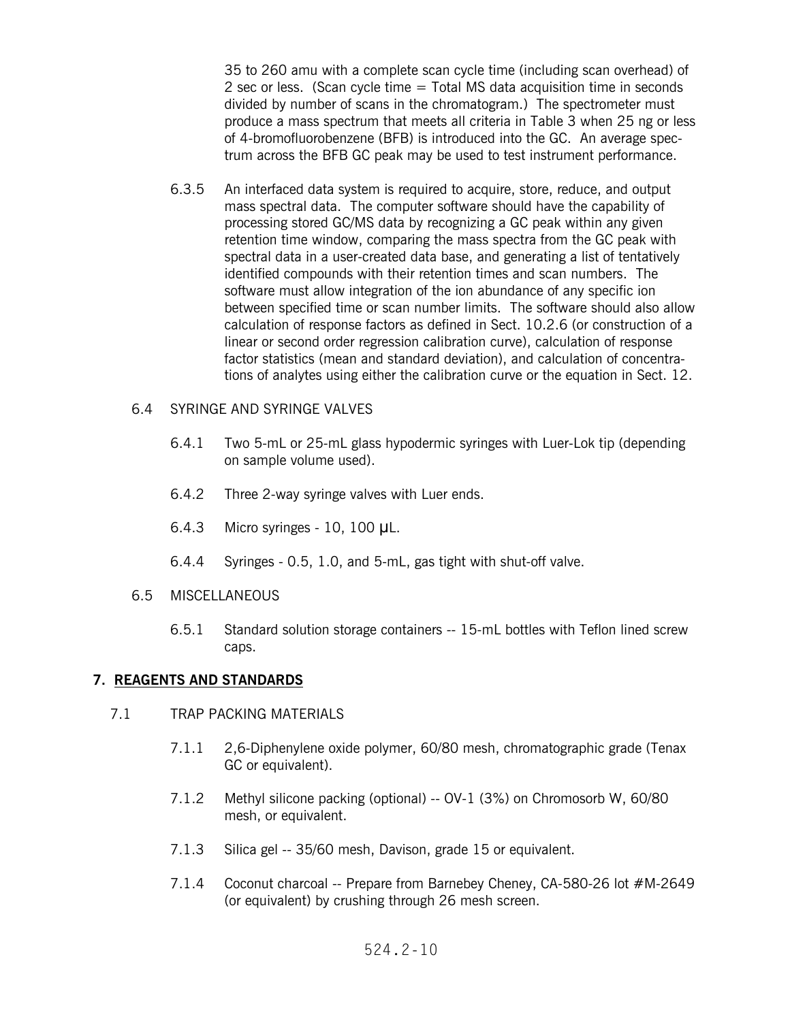35 to 260 amu with a complete scan cycle time (including scan overhead) of 2 sec or less. (Scan cycle time  $=$  Total MS data acquisition time in seconds divided by number of scans in the chromatogram.) The spectrometer must produce a mass spectrum that meets all criteria in Table 3 when 25 ng or less of 4-bromofluorobenzene (BFB) is introduced into the GC. An average spectrum across the BFB GC peak may be used to test instrument performance.

6.3.5 An interfaced data system is required to acquire, store, reduce, and output mass spectral data. The computer software should have the capability of processing stored GC/MS data by recognizing a GC peak within any given retention time window, comparing the mass spectra from the GC peak with spectral data in a user-created data base, and generating a list of tentatively identified compounds with their retention times and scan numbers. The software must allow integration of the ion abundance of any specific ion between specified time or scan number limits. The software should also allow calculation of response factors as defined in Sect. 10.2.6 (or construction of a linear or second order regression calibration curve), calculation of response factor statistics (mean and standard deviation), and calculation of concentrations of analytes using either the calibration curve or the equation in Sect. 12.

#### 6.4 SYRINGE AND SYRINGE VALVES

- 6.4.1 Two 5-mL or 25-mL glass hypodermic syringes with Luer-Lok tip (depending on sample volume used).
- 6.4.2 Three 2-way syringe valves with Luer ends.
- $6.4.3$  Micro syringes 10, 100  $\mu$ L.
- 6.4.4 Syringes 0.5, 1.0, and 5-mL, gas tight with shut-off valve.
- 6.5 MISCELLANEOUS
	- 6.5.1 Standard solution storage containers -- 15-mL bottles with Teflon lined screw caps.

### **7. REAGENTS AND STANDARDS**

#### 7.1 TRAP PACKING MATERIALS

- 7.1.1 2,6-Diphenylene oxide polymer, 60/80 mesh, chromatographic grade (Tenax GC or equivalent).
- 7.1.2 Methyl silicone packing (optional) -- OV-1 (3%) on Chromosorb W, 60/80 mesh, or equivalent.
- 7.1.3 Silica gel -- 35/60 mesh, Davison, grade 15 or equivalent.
- 7.1.4 Coconut charcoal -- Prepare from Barnebey Cheney, CA-580-26 lot #M-2649 (or equivalent) by crushing through 26 mesh screen.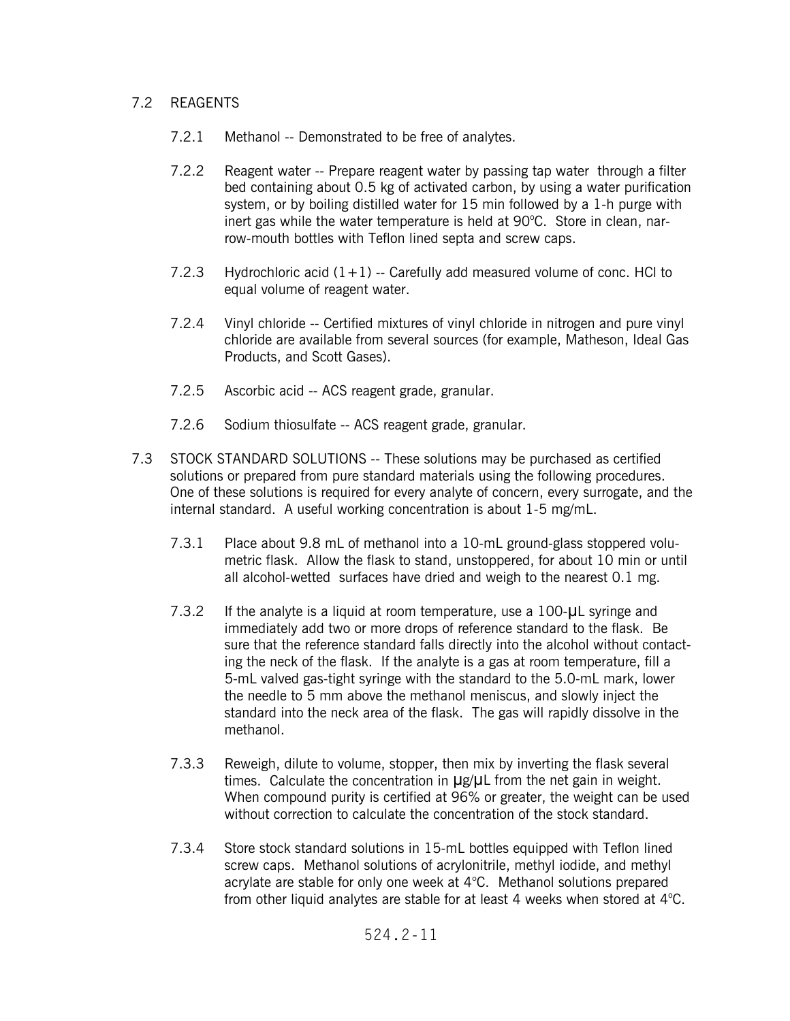## 7.2 REAGENTS

- 7.2.1 Methanol -- Demonstrated to be free of analytes.
- 7.2.2 Reagent water -- Prepare reagent water by passing tap water through a filter bed containing about 0.5 kg of activated carbon, by using a water purification system, or by boiling distilled water for 15 min followed by a 1-h purge with inert gas while the water temperature is held at 90°C. Store in clean, narrow-mouth bottles with Teflon lined septa and screw caps.
- 7.2.3 Hydrochloric acid  $(1+1)$  -- Carefully add measured volume of conc. HCl to equal volume of reagent water.
- 7.2.4 Vinyl chloride -- Certified mixtures of vinyl chloride in nitrogen and pure vinyl chloride are available from several sources (for example, Matheson, Ideal Gas Products, and Scott Gases).
- 7.2.5 Ascorbic acid -- ACS reagent grade, granular.
- 7.2.6 Sodium thiosulfate -- ACS reagent grade, granular.
- 7.3 STOCK STANDARD SOLUTIONS -- These solutions may be purchased as certified solutions or prepared from pure standard materials using the following procedures. One of these solutions is required for every analyte of concern, every surrogate, and the internal standard. A useful working concentration is about 1-5 mg/mL.
	- 7.3.1 Place about 9.8 mL of methanol into a 10-mL ground-glass stoppered volumetric flask. Allow the flask to stand, unstoppered, for about 10 min or until all alcohol-wetted surfaces have dried and weigh to the nearest 0.1 mg.
	- 7.3.2 If the analyte is a liquid at room temperature, use a  $100 \mu$ L syringe and immediately add two or more drops of reference standard to the flask. Be sure that the reference standard falls directly into the alcohol without contacting the neck of the flask. If the analyte is a gas at room temperature, fill a 5-mL valved gas-tight syringe with the standard to the 5.0-mL mark, lower the needle to 5 mm above the methanol meniscus, and slowly inject the standard into the neck area of the flask. The gas will rapidly dissolve in the methanol.
	- 7.3.3 Reweigh, dilute to volume, stopper, then mix by inverting the flask several times. Calculate the concentration in  $\mu$ g/ $\mu$ L from the net gain in weight. When compound purity is certified at 96% or greater, the weight can be used without correction to calculate the concentration of the stock standard.
	- 7.3.4 Store stock standard solutions in 15-mL bottles equipped with Teflon lined screw caps. Methanol solutions of acrylonitrile, methyl iodide, and methyl acrylate are stable for only one week at 4°C. Methanol solutions prepared from other liquid analytes are stable for at least 4 weeks when stored at  $4^{\circ}$ C.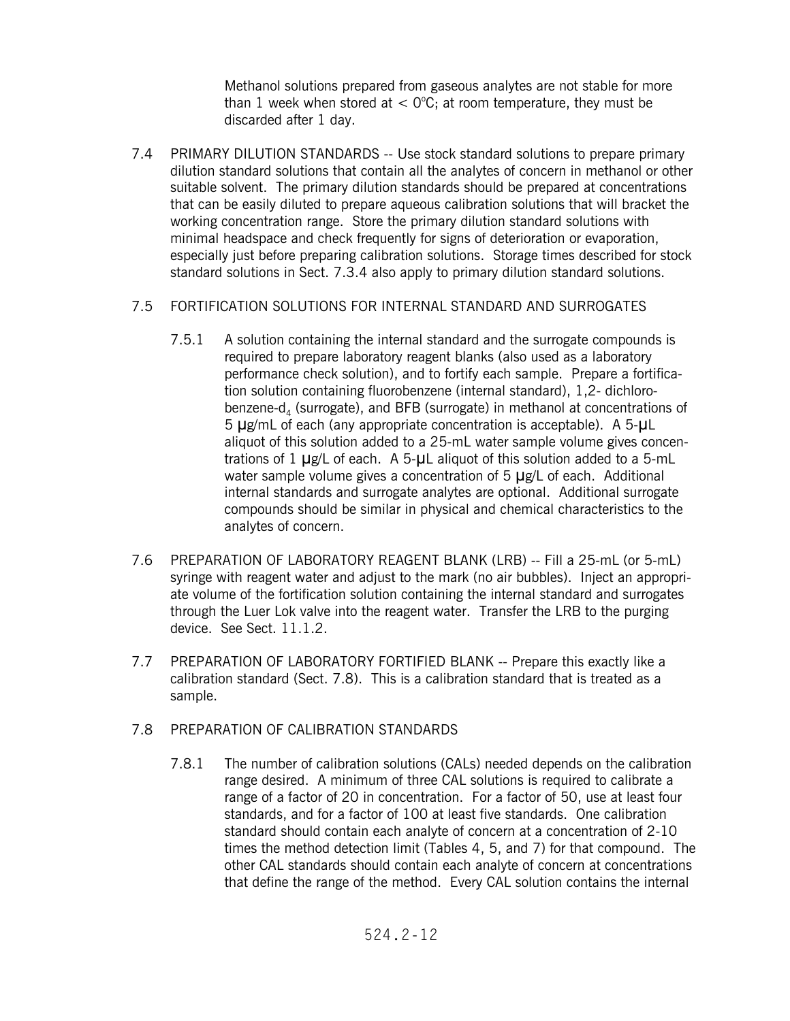Methanol solutions prepared from gaseous analytes are not stable for more than 1 week when stored at  $<$  0°C; at room temperature, they must be discarded after 1 day.

7.4 PRIMARY DILUTION STANDARDS -- Use stock standard solutions to prepare primary dilution standard solutions that contain all the analytes of concern in methanol or other suitable solvent. The primary dilution standards should be prepared at concentrations that can be easily diluted to prepare aqueous calibration solutions that will bracket the working concentration range. Store the primary dilution standard solutions with minimal headspace and check frequently for signs of deterioration or evaporation, especially just before preparing calibration solutions. Storage times described for stock standard solutions in Sect. 7.3.4 also apply to primary dilution standard solutions.

### 7.5 FORTIFICATION SOLUTIONS FOR INTERNAL STANDARD AND SURROGATES

- 7.5.1 A solution containing the internal standard and the surrogate compounds is required to prepare laboratory reagent blanks (also used as a laboratory performance check solution), and to fortify each sample. Prepare a fortification solution containing fluorobenzene (internal standard), 1,2- dichlorobenzene- $d_4$  (surrogate), and BFB (surrogate) in methanol at concentrations of  $5 \mu$ g/mL of each (any appropriate concentration is acceptable). A  $5-\mu$ L aliquot of this solution added to a 25-mL water sample volume gives concentrations of  $1 \mu$ g/L of each. A 5- $\mu$ L aliquot of this solution added to a 5-mL water sample volume gives a concentration of 5  $\mu$ g/L of each. Additional internal standards and surrogate analytes are optional. Additional surrogate compounds should be similar in physical and chemical characteristics to the analytes of concern.
- 7.6 PREPARATION OF LABORATORY REAGENT BLANK (LRB) -- Fill a 25-mL (or 5-mL) syringe with reagent water and adjust to the mark (no air bubbles). Inject an appropriate volume of the fortification solution containing the internal standard and surrogates through the Luer Lok valve into the reagent water. Transfer the LRB to the purging device. See Sect. 11.1.2.
- 7.7 PREPARATION OF LABORATORY FORTIFIED BLANK -- Prepare this exactly like a calibration standard (Sect. 7.8). This is a calibration standard that is treated as a sample.

### 7.8 PREPARATION OF CALIBRATION STANDARDS

7.8.1 The number of calibration solutions (CALs) needed depends on the calibration range desired. A minimum of three CAL solutions is required to calibrate a range of a factor of 20 in concentration. For a factor of 50, use at least four standards, and for a factor of 100 at least five standards. One calibration standard should contain each analyte of concern at a concentration of 2-10 times the method detection limit (Tables 4, 5, and 7) for that compound. The other CAL standards should contain each analyte of concern at concentrations that define the range of the method. Every CAL solution contains the internal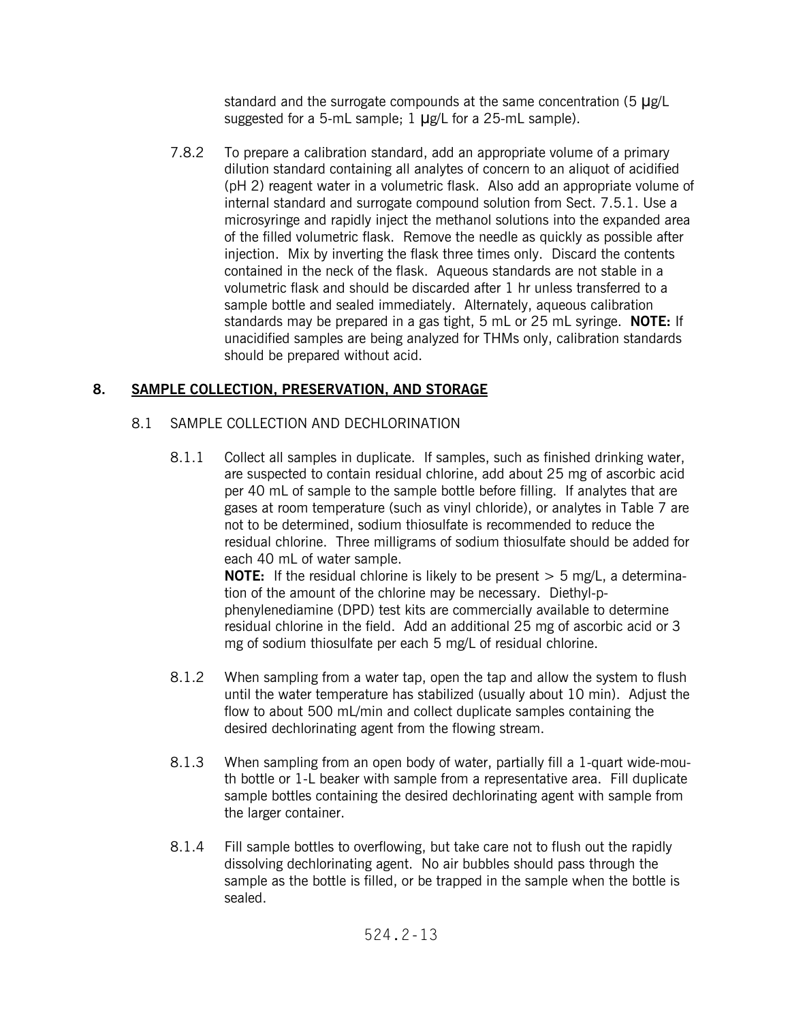standard and the surrogate compounds at the same concentration (5  $\mu$ g/L suggested for a 5-mL sample;  $1 \mu g/L$  for a 25-mL sample).

7.8.2 To prepare a calibration standard, add an appropriate volume of a primary dilution standard containing all analytes of concern to an aliquot of acidified (pH 2) reagent water in a volumetric flask. Also add an appropriate volume of internal standard and surrogate compound solution from Sect. 7.5.1. Use a microsyringe and rapidly inject the methanol solutions into the expanded area of the filled volumetric flask. Remove the needle as quickly as possible after injection. Mix by inverting the flask three times only. Discard the contents contained in the neck of the flask. Aqueous standards are not stable in a volumetric flask and should be discarded after 1 hr unless transferred to a sample bottle and sealed immediately. Alternately, aqueous calibration standards may be prepared in a gas tight, 5 mL or 25 mL syringe. **NOTE:** If unacidified samples are being analyzed for THMs only, calibration standards should be prepared without acid.

# **8. SAMPLE COLLECTION, PRESERVATION, AND STORAGE**

- 8.1 SAMPLE COLLECTION AND DECHLORINATION
	- 8.1.1 Collect all samples in duplicate. If samples, such as finished drinking water, are suspected to contain residual chlorine, add about 25 mg of ascorbic acid per 40 mL of sample to the sample bottle before filling. If analytes that are gases at room temperature (such as vinyl chloride), or analytes in Table 7 are not to be determined, sodium thiosulfate is recommended to reduce the residual chlorine. Three milligrams of sodium thiosulfate should be added for each 40 mL of water sample.

**NOTE:** If the residual chlorine is likely to be present  $> 5$  mg/L, a determination of the amount of the chlorine may be necessary. Diethyl-pphenylenediamine (DPD) test kits are commercially available to determine residual chlorine in the field. Add an additional 25 mg of ascorbic acid or 3 mg of sodium thiosulfate per each 5 mg/L of residual chlorine.

- 8.1.2 When sampling from a water tap, open the tap and allow the system to flush until the water temperature has stabilized (usually about 10 min). Adjust the flow to about 500 mL/min and collect duplicate samples containing the desired dechlorinating agent from the flowing stream.
- 8.1.3 When sampling from an open body of water, partially fill a 1-quart wide-mouth bottle or 1-L beaker with sample from a representative area. Fill duplicate sample bottles containing the desired dechlorinating agent with sample from the larger container.
- 8.1.4 Fill sample bottles to overflowing, but take care not to flush out the rapidly dissolving dechlorinating agent. No air bubbles should pass through the sample as the bottle is filled, or be trapped in the sample when the bottle is sealed.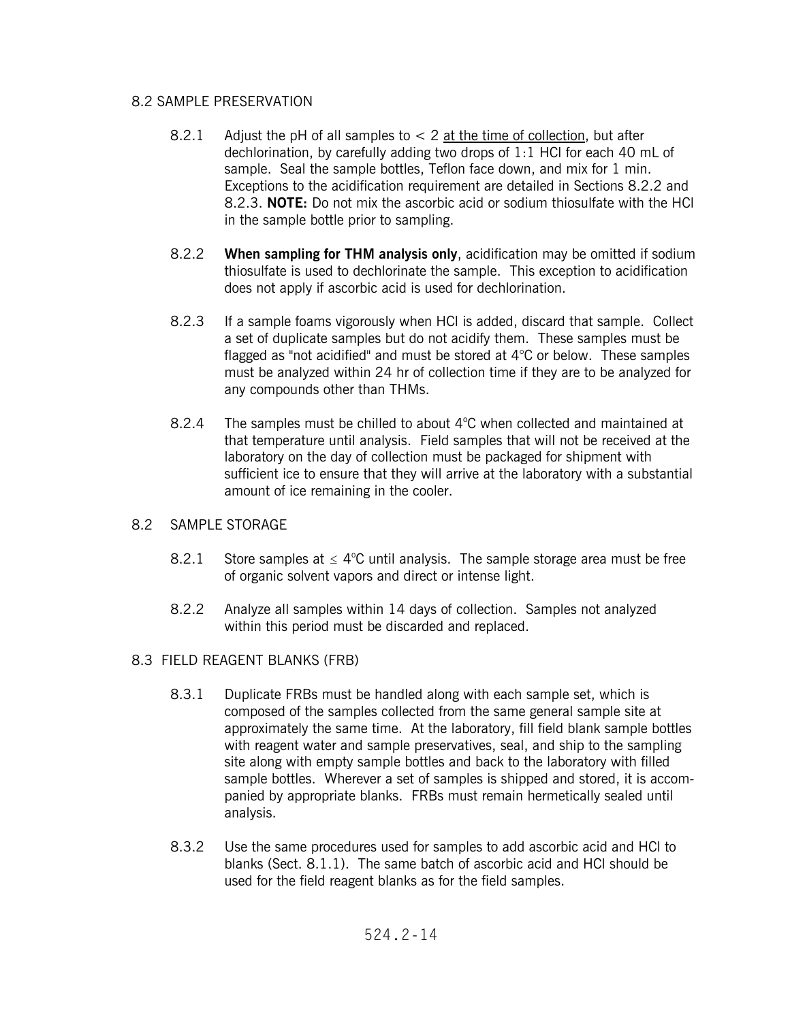## 8.2 SAMPLE PRESERVATION

- 8.2.1 Adjust the pH of all samples to  $< 2$  at the time of collection, but after dechlorination, by carefully adding two drops of 1:1 HCl for each 40 mL of sample. Seal the sample bottles, Teflon face down, and mix for 1 min. Exceptions to the acidification requirement are detailed in Sections 8.2.2 and 8.2.3. **NOTE:** Do not mix the ascorbic acid or sodium thiosulfate with the HCl in the sample bottle prior to sampling.
- 8.2.2 **When sampling for THM analysis only**, acidification may be omitted if sodium thiosulfate is used to dechlorinate the sample. This exception to acidification does not apply if ascorbic acid is used for dechlorination.
- 8.2.3 If a sample foams vigorously when HCI is added, discard that sample. Collect a set of duplicate samples but do not acidify them. These samples must be flagged as "not acidified" and must be stored at 4°C or below. These samples must be analyzed within 24 hr of collection time if they are to be analyzed for any compounds other than THMs.
- 8.2.4 The samples must be chilled to about  $4^{\circ}$ C when collected and maintained at that temperature until analysis. Field samples that will not be received at the laboratory on the day of collection must be packaged for shipment with sufficient ice to ensure that they will arrive at the laboratory with a substantial amount of ice remaining in the cooler.

## 8.2 SAMPLE STORAGE

- 8.2.1 Store samples at  $\leq 4^{\circ}$ C until analysis. The sample storage area must be free of organic solvent vapors and direct or intense light.
- 8.2.2 Analyze all samples within 14 days of collection. Samples not analyzed within this period must be discarded and replaced.

## 8.3 FIELD REAGENT BLANKS (FRB)

- 8.3.1 Duplicate FRBs must be handled along with each sample set, which is composed of the samples collected from the same general sample site at approximately the same time. At the laboratory, fill field blank sample bottles with reagent water and sample preservatives, seal, and ship to the sampling site along with empty sample bottles and back to the laboratory with filled sample bottles. Wherever a set of samples is shipped and stored, it is accompanied by appropriate blanks. FRBs must remain hermetically sealed until analysis.
- 8.3.2 Use the same procedures used for samples to add ascorbic acid and HCl to blanks (Sect. 8.1.1). The same batch of ascorbic acid and HCl should be used for the field reagent blanks as for the field samples.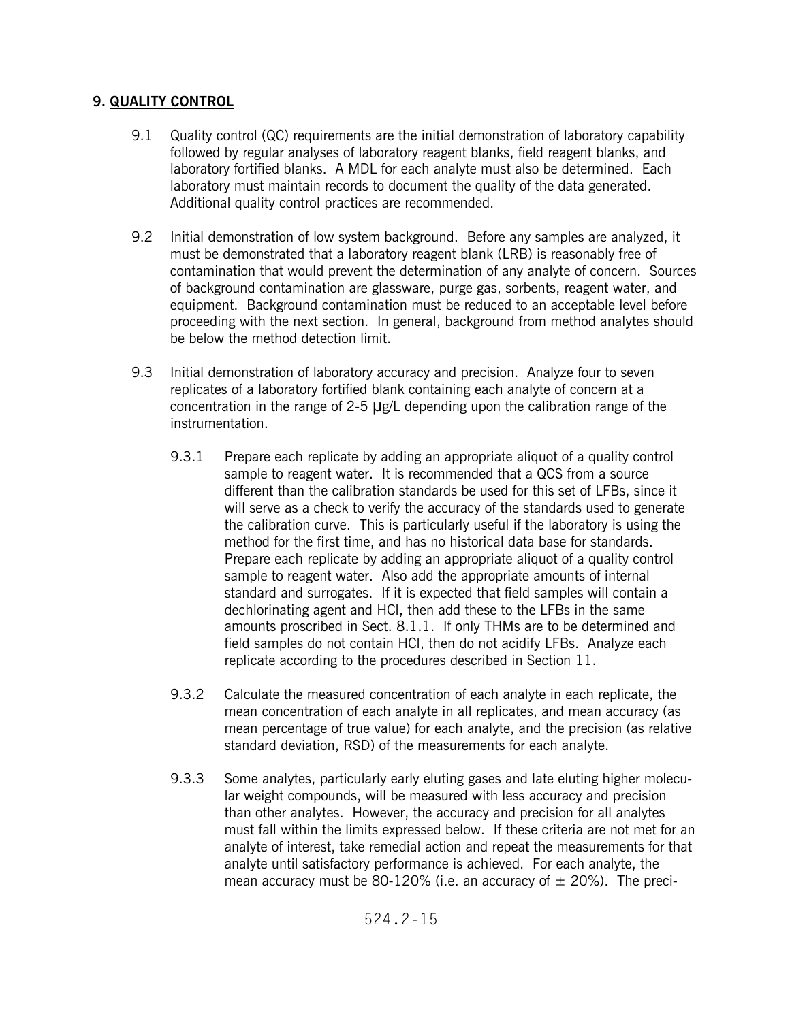# **9. QUALITY CONTROL**

- 9.1 Quality control (QC) requirements are the initial demonstration of laboratory capability followed by regular analyses of laboratory reagent blanks, field reagent blanks, and laboratory fortified blanks. A MDL for each analyte must also be determined. Each laboratory must maintain records to document the quality of the data generated. Additional quality control practices are recommended.
- 9.2 Initial demonstration of low system background. Before any samples are analyzed, it must be demonstrated that a laboratory reagent blank (LRB) is reasonably free of contamination that would prevent the determination of any analyte of concern. Sources of background contamination are glassware, purge gas, sorbents, reagent water, and equipment. Background contamination must be reduced to an acceptable level before proceeding with the next section. In general, background from method analytes should be below the method detection limit.
- 9.3 Initial demonstration of laboratory accuracy and precision. Analyze four to seven replicates of a laboratory fortified blank containing each analyte of concern at a concentration in the range of 2-5  $\mu$ g/L depending upon the calibration range of the instrumentation.
	- 9.3.1 Prepare each replicate by adding an appropriate aliquot of a quality control sample to reagent water. It is recommended that a QCS from a source different than the calibration standards be used for this set of LFBs, since it will serve as a check to verify the accuracy of the standards used to generate the calibration curve. This is particularly useful if the laboratory is using the method for the first time, and has no historical data base for standards. Prepare each replicate by adding an appropriate aliquot of a quality control sample to reagent water. Also add the appropriate amounts of internal standard and surrogates. If it is expected that field samples will contain a dechlorinating agent and HCl, then add these to the LFBs in the same amounts proscribed in Sect. 8.1.1. If only THMs are to be determined and field samples do not contain HCl, then do not acidify LFBs. Analyze each replicate according to the procedures described in Section 11.
	- 9.3.2 Calculate the measured concentration of each analyte in each replicate, the mean concentration of each analyte in all replicates, and mean accuracy (as mean percentage of true value) for each analyte, and the precision (as relative standard deviation, RSD) of the measurements for each analyte.
	- 9.3.3 Some analytes, particularly early eluting gases and late eluting higher molecular weight compounds, will be measured with less accuracy and precision than other analytes. However, the accuracy and precision for all analytes must fall within the limits expressed below. If these criteria are not met for an analyte of interest, take remedial action and repeat the measurements for that analyte until satisfactory performance is achieved. For each analyte, the mean accuracy must be 80-120% (i.e. an accuracy of  $\pm$  20%). The preci-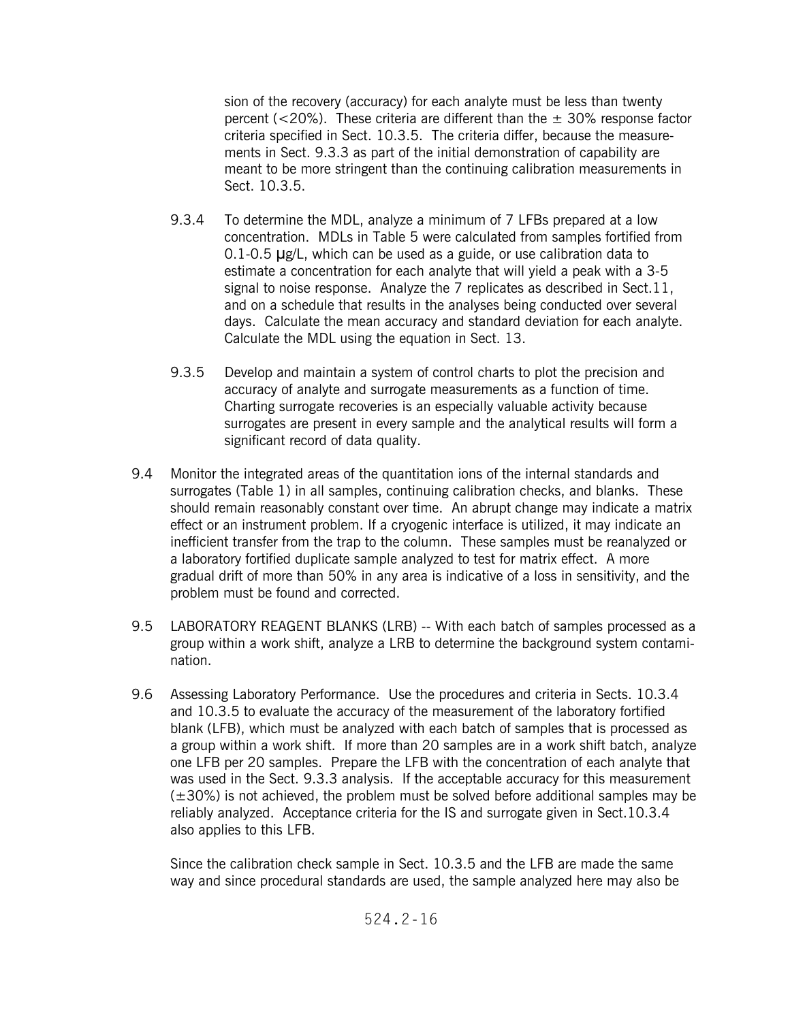sion of the recovery (accuracy) for each analyte must be less than twenty percent ( $<20\%$ ). These criteria are different than the  $\pm$  30% response factor criteria specified in Sect. 10.3.5. The criteria differ, because the measurements in Sect. 9.3.3 as part of the initial demonstration of capability are meant to be more stringent than the continuing calibration measurements in Sect. 10.3.5.

- 9.3.4 To determine the MDL, analyze a minimum of 7 LFBs prepared at a low concentration. MDLs in Table 5 were calculated from samples fortified from  $0.1$ -0.5  $\mu$ g/L, which can be used as a guide, or use calibration data to estimate a concentration for each analyte that will yield a peak with a 3-5 signal to noise response. Analyze the 7 replicates as described in Sect.11, and on a schedule that results in the analyses being conducted over several days. Calculate the mean accuracy and standard deviation for each analyte. Calculate the MDL using the equation in Sect. 13.
- 9.3.5 Develop and maintain a system of control charts to plot the precision and accuracy of analyte and surrogate measurements as a function of time. Charting surrogate recoveries is an especially valuable activity because surrogates are present in every sample and the analytical results will form a significant record of data quality.
- 9.4 Monitor the integrated areas of the quantitation ions of the internal standards and surrogates (Table 1) in all samples, continuing calibration checks, and blanks. These should remain reasonably constant over time. An abrupt change may indicate a matrix effect or an instrument problem. If a cryogenic interface is utilized, it may indicate an inefficient transfer from the trap to the column. These samples must be reanalyzed or a laboratory fortified duplicate sample analyzed to test for matrix effect. A more gradual drift of more than 50% in any area is indicative of a loss in sensitivity, and the problem must be found and corrected.
- 9.5 LABORATORY REAGENT BLANKS (LRB) -- With each batch of samples processed as a group within a work shift, analyze a LRB to determine the background system contamination.
- 9.6 Assessing Laboratory Performance. Use the procedures and criteria in Sects. 10.3.4 and 10.3.5 to evaluate the accuracy of the measurement of the laboratory fortified blank (LFB), which must be analyzed with each batch of samples that is processed as a group within a work shift. If more than 20 samples are in a work shift batch, analyze one LFB per 20 samples. Prepare the LFB with the concentration of each analyte that was used in the Sect. 9.3.3 analysis. If the acceptable accuracy for this measurement  $(\pm 30%)$  is not achieved, the problem must be solved before additional samples may be reliably analyzed. Acceptance criteria for the IS and surrogate given in Sect.10.3.4 also applies to this LFB.

Since the calibration check sample in Sect. 10.3.5 and the LFB are made the same way and since procedural standards are used, the sample analyzed here may also be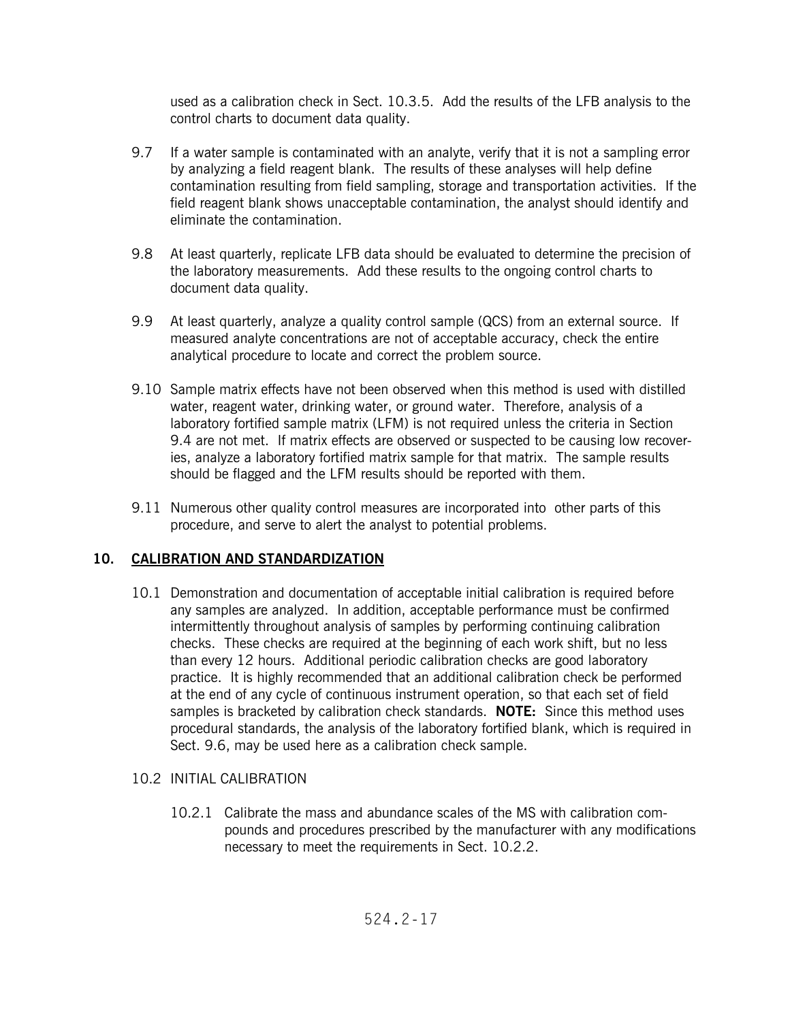used as a calibration check in Sect. 10.3.5. Add the results of the LFB analysis to the control charts to document data quality.

- 9.7 If a water sample is contaminated with an analyte, verify that it is not a sampling error by analyzing a field reagent blank. The results of these analyses will help define contamination resulting from field sampling, storage and transportation activities. If the field reagent blank shows unacceptable contamination, the analyst should identify and eliminate the contamination.
- 9.8 At least quarterly, replicate LFB data should be evaluated to determine the precision of the laboratory measurements. Add these results to the ongoing control charts to document data quality.
- 9.9 At least quarterly, analyze a quality control sample (QCS) from an external source. If measured analyte concentrations are not of acceptable accuracy, check the entire analytical procedure to locate and correct the problem source.
- 9.10 Sample matrix effects have not been observed when this method is used with distilled water, reagent water, drinking water, or ground water. Therefore, analysis of a laboratory fortified sample matrix (LFM) is not required unless the criteria in Section 9.4 are not met. If matrix effects are observed or suspected to be causing low recoveries, analyze a laboratory fortified matrix sample for that matrix. The sample results should be flagged and the LFM results should be reported with them.
- 9.11 Numerous other quality control measures are incorporated into other parts of this procedure, and serve to alert the analyst to potential problems.

# **10. CALIBRATION AND STANDARDIZATION**

10.1 Demonstration and documentation of acceptable initial calibration is required before any samples are analyzed. In addition, acceptable performance must be confirmed intermittently throughout analysis of samples by performing continuing calibration checks. These checks are required at the beginning of each work shift, but no less than every 12 hours. Additional periodic calibration checks are good laboratory practice. It is highly recommended that an additional calibration check be performed at the end of any cycle of continuous instrument operation, so that each set of field samples is bracketed by calibration check standards. **NOTE:** Since this method uses procedural standards, the analysis of the laboratory fortified blank, which is required in Sect. 9.6, may be used here as a calibration check sample.

# 10.2 INITIAL CALIBRATION

10.2.1 Calibrate the mass and abundance scales of the MS with calibration compounds and procedures prescribed by the manufacturer with any modifications necessary to meet the requirements in Sect. 10.2.2.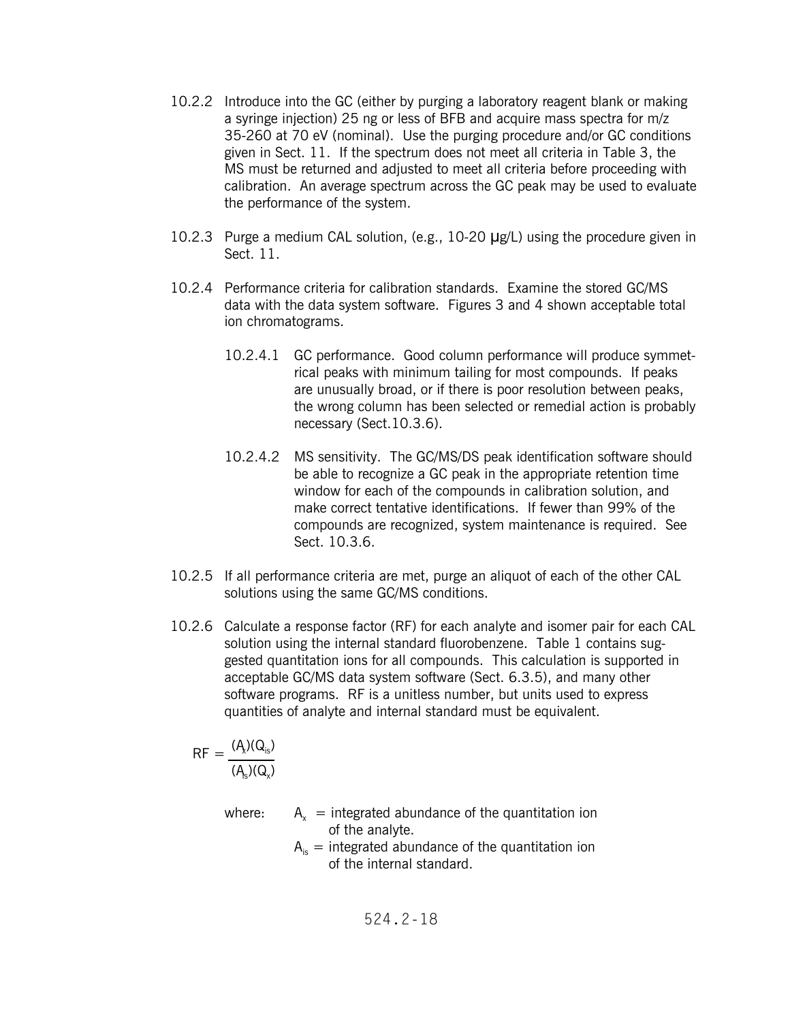- 10.2.2 Introduce into the GC (either by purging a laboratory reagent blank or making a syringe injection) 25 ng or less of BFB and acquire mass spectra for m/z 35-260 at 70 eV (nominal). Use the purging procedure and/or GC conditions given in Sect. 11. If the spectrum does not meet all criteria in Table 3, the MS must be returned and adjusted to meet all criteria before proceeding with calibration. An average spectrum across the GC peak may be used to evaluate the performance of the system.
- 10.2.3 Purge a medium CAL solution, (e.g., 10-20  $\mu$ g/L) using the procedure given in Sect. 11.
- 10.2.4 Performance criteria for calibration standards. Examine the stored GC/MS data with the data system software. Figures 3 and 4 shown acceptable total ion chromatograms.
	- 10.2.4.1 GC performance. Good column performance will produce symmetrical peaks with minimum tailing for most compounds. If peaks are unusually broad, or if there is poor resolution between peaks, the wrong column has been selected or remedial action is probably necessary (Sect.10.3.6).
	- 10.2.4.2 MS sensitivity. The GC/MS/DS peak identification software should be able to recognize a GC peak in the appropriate retention time window for each of the compounds in calibration solution, and make correct tentative identifications. If fewer than 99% of the compounds are recognized, system maintenance is required. See Sect. 10.3.6.
- 10.2.5 If all performance criteria are met, purge an aliquot of each of the other CAL solutions using the same GC/MS conditions.
- 10.2.6 Calculate a response factor (RF) for each analyte and isomer pair for each CAL solution using the internal standard fluorobenzene. Table 1 contains suggested quantitation ions for all compounds. This calculation is supported in acceptable GC/MS data system software (Sect. 6.3.5), and many other software programs. RF is a unitless number, but units used to express quantities of analyte and internal standard must be equivalent.

$$
RF = \frac{(A_{\lambda})(Q_{is})}{(A_{s})(Q_{\lambda})}
$$

where:  $A_x$  = integrated abundance of the quantitation ion of the analyte.

 $A_{i}$  = integrated abundance of the quantitation ion of the internal standard.

524.2-18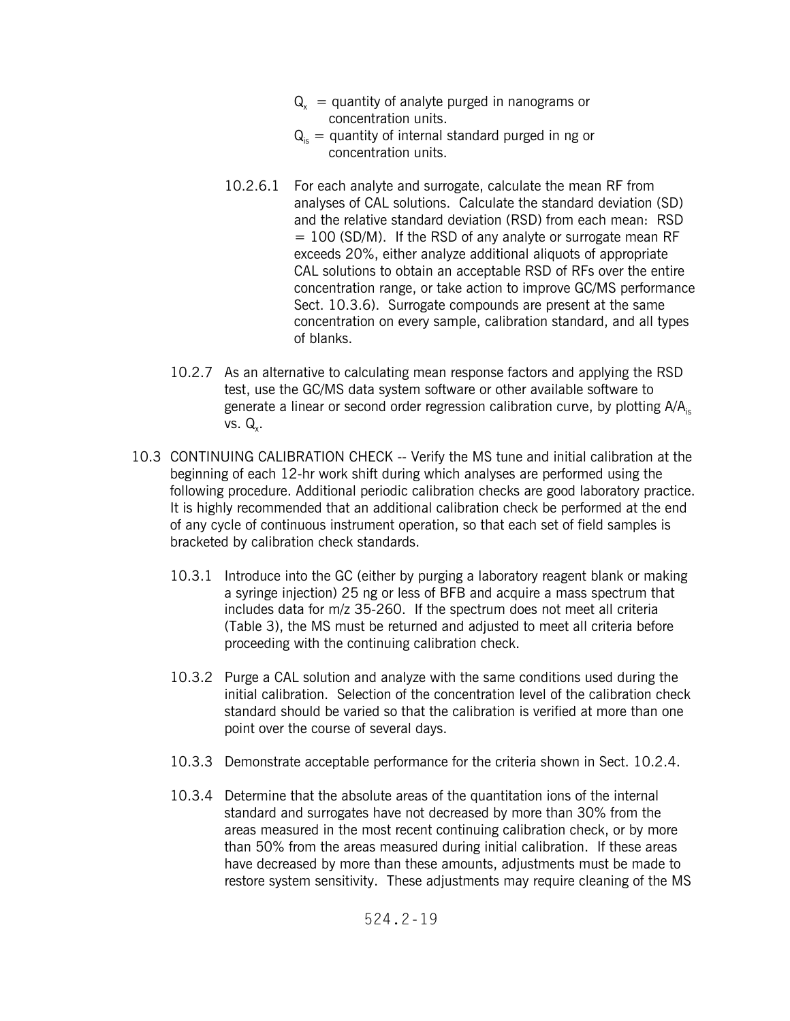- $Q<sub>x</sub>$  = quantity of analyte purged in nanograms or concentration units.
- $Q_{i}$  = quantity of internal standard purged in ng or concentration units.
- 10.2.6.1 For each analyte and surrogate, calculate the mean RF from analyses of CAL solutions. Calculate the standard deviation (SD) and the relative standard deviation (RSD) from each mean: RSD  $= 100$  (SD/M). If the RSD of any analyte or surrogate mean RF exceeds 20%, either analyze additional aliquots of appropriate CAL solutions to obtain an acceptable RSD of RFs over the entire concentration range, or take action to improve GC/MS performance Sect. 10.3.6). Surrogate compounds are present at the same concentration on every sample, calibration standard, and all types of blanks.
- 10.2.7 As an alternative to calculating mean response factors and applying the RSD test, use the GC/MS data system software or other available software to generate a linear or second order regression calibration curve, by plotting  $A/A<sub>is</sub>$ vs.  $Q_{\nu}$ .
- 10.3 CONTINUING CALIBRATION CHECK -- Verify the MS tune and initial calibration at the beginning of each 12-hr work shift during which analyses are performed using the following procedure. Additional periodic calibration checks are good laboratory practice. It is highly recommended that an additional calibration check be performed at the end of any cycle of continuous instrument operation, so that each set of field samples is bracketed by calibration check standards.
	- 10.3.1 Introduce into the GC (either by purging a laboratory reagent blank or making a syringe injection) 25 ng or less of BFB and acquire a mass spectrum that includes data for m/z 35-260. If the spectrum does not meet all criteria (Table 3), the MS must be returned and adjusted to meet all criteria before proceeding with the continuing calibration check.
	- 10.3.2 Purge a CAL solution and analyze with the same conditions used during the initial calibration. Selection of the concentration level of the calibration check standard should be varied so that the calibration is verified at more than one point over the course of several days.
	- 10.3.3 Demonstrate acceptable performance for the criteria shown in Sect. 10.2.4.
	- 10.3.4 Determine that the absolute areas of the quantitation ions of the internal standard and surrogates have not decreased by more than 30% from the areas measured in the most recent continuing calibration check, or by more than 50% from the areas measured during initial calibration. If these areas have decreased by more than these amounts, adjustments must be made to restore system sensitivity. These adjustments may require cleaning of the MS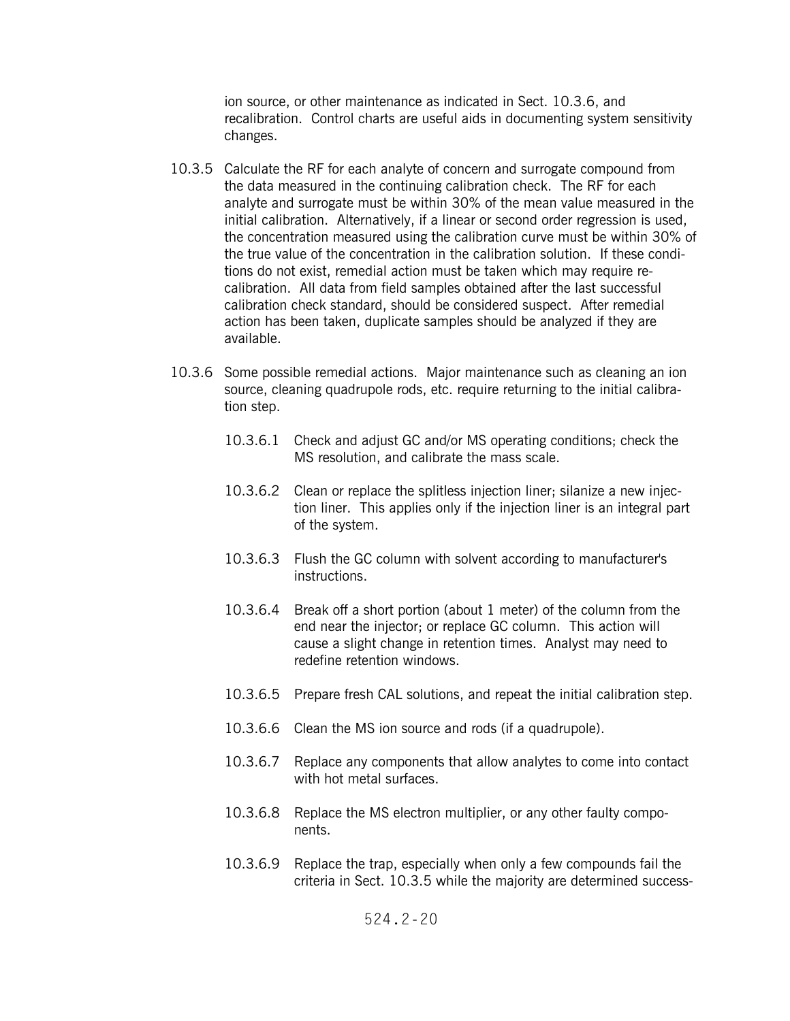ion source, or other maintenance as indicated in Sect. 10.3.6, and recalibration. Control charts are useful aids in documenting system sensitivity changes.

- 10.3.5 Calculate the RF for each analyte of concern and surrogate compound from the data measured in the continuing calibration check. The RF for each analyte and surrogate must be within 30% of the mean value measured in the initial calibration. Alternatively, if a linear or second order regression is used, the concentration measured using the calibration curve must be within 30% of the true value of the concentration in the calibration solution. If these conditions do not exist, remedial action must be taken which may require recalibration. All data from field samples obtained after the last successful calibration check standard, should be considered suspect. After remedial action has been taken, duplicate samples should be analyzed if they are available.
- 10.3.6 Some possible remedial actions. Major maintenance such as cleaning an ion source, cleaning quadrupole rods, etc. require returning to the initial calibration step.
	- 10.3.6.1 Check and adjust GC and/or MS operating conditions; check the MS resolution, and calibrate the mass scale.
	- 10.3.6.2 Clean or replace the splitless injection liner; silanize a new injection liner. This applies only if the injection liner is an integral part of the system.
	- 10.3.6.3 Flush the GC column with solvent according to manufacturer's instructions.
	- 10.3.6.4 Break off a short portion (about 1 meter) of the column from the end near the injector; or replace GC column. This action will cause a slight change in retention times. Analyst may need to redefine retention windows.
	- 10.3.6.5 Prepare fresh CAL solutions, and repeat the initial calibration step.
	- 10.3.6.6 Clean the MS ion source and rods (if a quadrupole).
	- 10.3.6.7 Replace any components that allow analytes to come into contact with hot metal surfaces.
	- 10.3.6.8 Replace the MS electron multiplier, or any other faulty components.
	- 10.3.6.9 Replace the trap, especially when only a few compounds fail the criteria in Sect. 10.3.5 while the majority are determined success-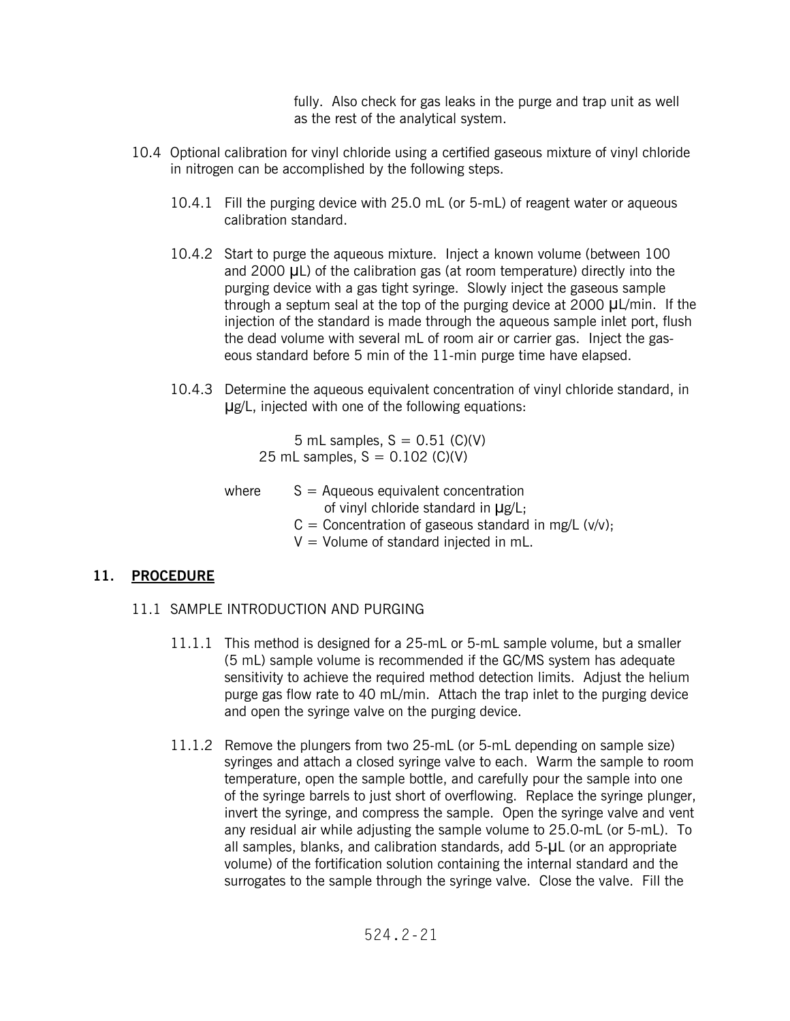fully. Also check for gas leaks in the purge and trap unit as well as the rest of the analytical system.

- 10.4 Optional calibration for vinyl chloride using a certified gaseous mixture of vinyl chloride in nitrogen can be accomplished by the following steps.
	- 10.4.1 Fill the purging device with 25.0 mL (or 5-mL) of reagent water or aqueous calibration standard.
	- 10.4.2 Start to purge the aqueous mixture. Inject a known volume (between 100 and 2000 UL) of the calibration gas (at room temperature) directly into the purging device with a gas tight syringe. Slowly inject the gaseous sample through a septum seal at the top of the purging device at 2000  $\mu$ L/min. If the injection of the standard is made through the aqueous sample inlet port, flush the dead volume with several mL of room air or carrier gas. Inject the gaseous standard before 5 min of the 11-min purge time have elapsed.
	- 10.4.3 Determine the aqueous equivalent concentration of vinyl chloride standard, in Ug/L, injected with one of the following equations:

5 mL samples,  $S = 0.51$  (C)(V) 25 mL samples,  $S = 0.102$  (C)(V)

where  $S =$  Aqueous equivalent concentration of vinyl chloride standard in  $\mu$ g/L;  $C =$  Concentration of gaseous standard in mg/L (v/v);  $V =$  Volume of standard injected in mL.

## **11. PROCEDURE**

- 11.1 SAMPLE INTRODUCTION AND PURGING
	- 11.1.1 This method is designed for a 25-mL or 5-mL sample volume, but a smaller (5 mL) sample volume is recommended if the GC/MS system has adequate sensitivity to achieve the required method detection limits. Adjust the helium purge gas flow rate to 40 mL/min. Attach the trap inlet to the purging device and open the syringe valve on the purging device.
	- 11.1.2 Remove the plungers from two 25-mL (or 5-mL depending on sample size) syringes and attach a closed syringe valve to each. Warm the sample to room temperature, open the sample bottle, and carefully pour the sample into one of the syringe barrels to just short of overflowing. Replace the syringe plunger, invert the syringe, and compress the sample. Open the syringe valve and vent any residual air while adjusting the sample volume to 25.0-mL (or 5-mL). To all samples, blanks, and calibration standards, add 5-UL (or an appropriate volume) of the fortification solution containing the internal standard and the surrogates to the sample through the syringe valve. Close the valve. Fill the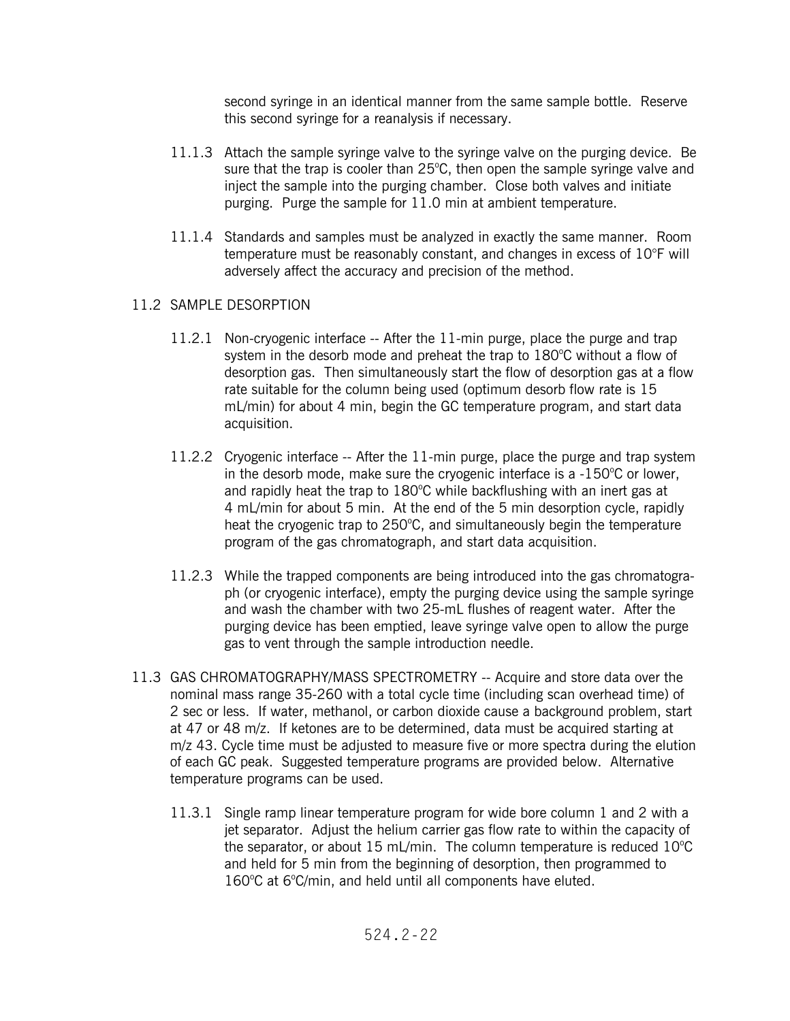second syringe in an identical manner from the same sample bottle. Reserve this second syringe for a reanalysis if necessary.

- 11.1.3 Attach the sample syringe valve to the syringe valve on the purging device. Be sure that the trap is cooler than  $25^{\circ}$ C, then open the sample syringe valve and inject the sample into the purging chamber. Close both valves and initiate purging. Purge the sample for 11.0 min at ambient temperature.
- 11.1.4 Standards and samples must be analyzed in exactly the same manner. Room temperature must be reasonably constant, and changes in excess of 10°F will adversely affect the accuracy and precision of the method.

## 11.2 SAMPLE DESORPTION

- 11.2.1 Non-cryogenic interface -- After the 11-min purge, place the purge and trap system in the desorb mode and preheat the trap to  $180^{\circ}$ C without a flow of desorption gas. Then simultaneously start the flow of desorption gas at a flow rate suitable for the column being used (optimum desorb flow rate is 15 mL/min) for about 4 min, begin the GC temperature program, and start data acquisition.
- 11.2.2 Cryogenic interface -- After the 11-min purge, place the purge and trap system in the desorb mode, make sure the cryogenic interface is a  $-150^{\circ}$ C or lower, and rapidly heat the trap to 180°C while backflushing with an inert gas at 4 mL/min for about 5 min. At the end of the 5 min desorption cycle, rapidly heat the cryogenic trap to 250°C, and simultaneously begin the temperature program of the gas chromatograph, and start data acquisition.
- 11.2.3 While the trapped components are being introduced into the gas chromatograph (or cryogenic interface), empty the purging device using the sample syringe and wash the chamber with two 25-mL flushes of reagent water. After the purging device has been emptied, leave syringe valve open to allow the purge gas to vent through the sample introduction needle.
- 11.3 GAS CHROMATOGRAPHY/MASS SPECTROMETRY -- Acquire and store data over the nominal mass range 35-260 with a total cycle time (including scan overhead time) of 2 sec or less. If water, methanol, or carbon dioxide cause a background problem, start at 47 or 48 m/z. If ketones are to be determined, data must be acquired starting at m/z 43. Cycle time must be adjusted to measure five or more spectra during the elution of each GC peak. Suggested temperature programs are provided below. Alternative temperature programs can be used.
	- 11.3.1 Single ramp linear temperature program for wide bore column 1 and 2 with a jet separator. Adjust the helium carrier gas flow rate to within the capacity of the separator, or about 15 mL/min. The column temperature is reduced  $10^{\circ}$ C and held for 5 min from the beginning of desorption, then programmed to 160°C at 6°C/min, and held until all components have eluted.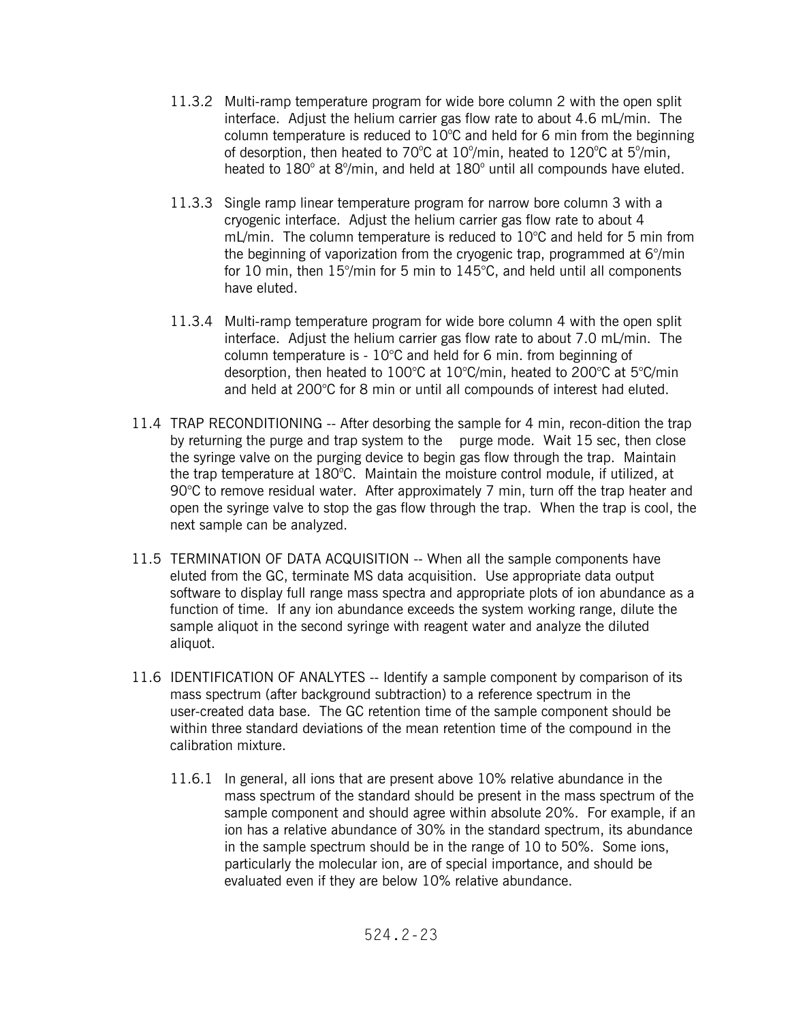- 11.3.2 Multi-ramp temperature program for wide bore column 2 with the open split interface. Adjust the helium carrier gas flow rate to about 4.6 mL/min. The column temperature is reduced to  $10^{\circ}$ C and held for 6 min from the beginning of desorption, then heated to 70°C at  $10^{\circ}/\text{min}$ , heated to  $120^{\circ}$ C at 5°/min, heated to  $180^\circ$  at  $8^\circ$ /min, and held at  $180^\circ$  until all compounds have eluted.
- 11.3.3 Single ramp linear temperature program for narrow bore column 3 with a cryogenic interface. Adjust the helium carrier gas flow rate to about 4 mL/min. The column temperature is reduced to 10°C and held for 5 min from the beginning of vaporization from the cryogenic trap, programmed at 6°/min for 10 min, then 15°/min for 5 min to 145°C, and held until all components have eluted.
- 11.3.4 Multi-ramp temperature program for wide bore column 4 with the open split interface. Adjust the helium carrier gas flow rate to about 7.0 mL/min. The column temperature is - 10°C and held for 6 min. from beginning of desorption, then heated to 100°C at 10°C/min, heated to 200°C at 5°C/min and held at 200°C for 8 min or until all compounds of interest had eluted.
- by returning the purge and trap system to the purge mode. Wait 15 sec, then close 11.4 TRAP RECONDITIONING -- After desorbing the sample for 4 min, recon-dition the trap the syringe valve on the purging device to begin gas flow through the trap. Maintain the trap temperature at 180°C. Maintain the moisture control module, if utilized, at 90°C to remove residual water. After approximately 7 min, turn off the trap heater and open the syringe valve to stop the gas flow through the trap. When the trap is cool, the next sample can be analyzed.
- 11.5 TERMINATION OF DATA ACQUISITION -- When all the sample components have eluted from the GC, terminate MS data acquisition. Use appropriate data output software to display full range mass spectra and appropriate plots of ion abundance as a function of time. If any ion abundance exceeds the system working range, dilute the sample aliquot in the second syringe with reagent water and analyze the diluted aliquot.
- 11.6 IDENTIFICATION OF ANALYTES -- Identify a sample component by comparison of its mass spectrum (after background subtraction) to a reference spectrum in the user-created data base. The GC retention time of the sample component should be within three standard deviations of the mean retention time of the compound in the calibration mixture.
	- 11.6.1 In general, all ions that are present above 10% relative abundance in the mass spectrum of the standard should be present in the mass spectrum of the sample component and should agree within absolute 20%. For example, if an ion has a relative abundance of 30% in the standard spectrum, its abundance in the sample spectrum should be in the range of 10 to 50%. Some ions, particularly the molecular ion, are of special importance, and should be evaluated even if they are below 10% relative abundance.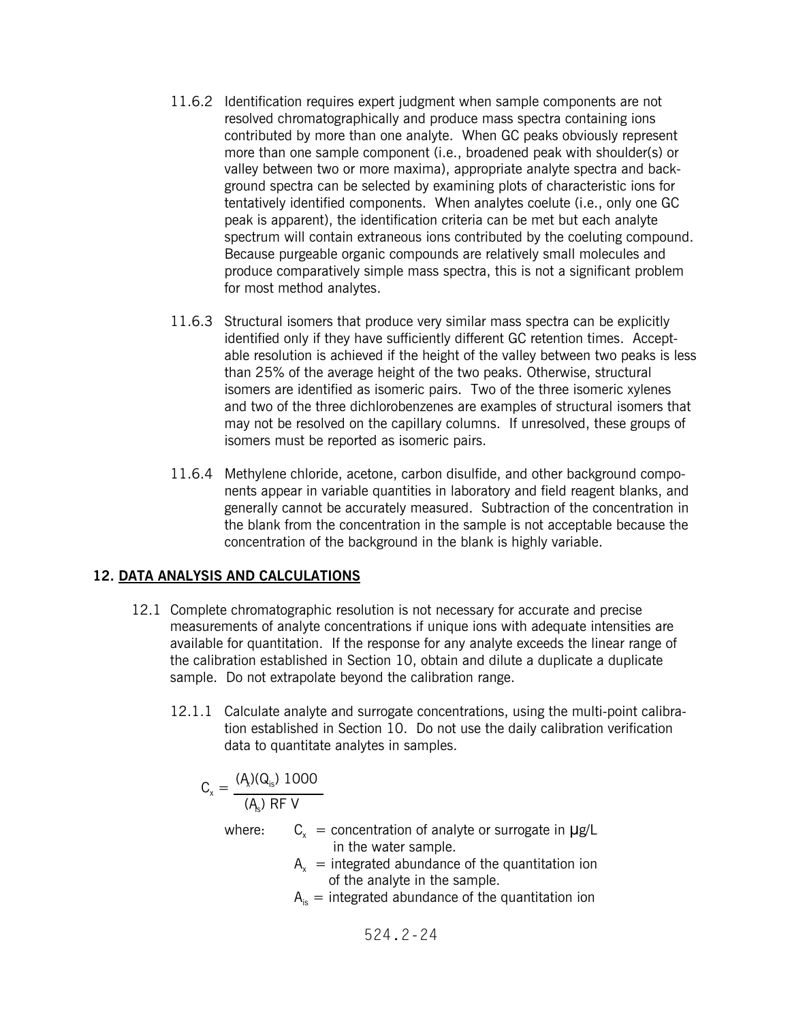- 11.6.2 Identification requires expert judgment when sample components are not resolved chromatographically and produce mass spectra containing ions contributed by more than one analyte. When GC peaks obviously represent more than one sample component (i.e., broadened peak with shoulder(s) or valley between two or more maxima), appropriate analyte spectra and background spectra can be selected by examining plots of characteristic ions for tentatively identified components. When analytes coelute (i.e., only one GC peak is apparent), the identification criteria can be met but each analyte spectrum will contain extraneous ions contributed by the coeluting compound. Because purgeable organic compounds are relatively small molecules and produce comparatively simple mass spectra, this is not a significant problem for most method analytes.
- 11.6.3 Structural isomers that produce very similar mass spectra can be explicitly identified only if they have sufficiently different GC retention times. Acceptable resolution is achieved if the height of the valley between two peaks is less than 25% of the average height of the two peaks. Otherwise, structural isomers are identified as isomeric pairs. Two of the three isomeric xylenes and two of the three dichlorobenzenes are examples of structural isomers that may not be resolved on the capillary columns. If unresolved, these groups of isomers must be reported as isomeric pairs.
- 11.6.4 Methylene chloride, acetone, carbon disulfide, and other background components appear in variable quantities in laboratory and field reagent blanks, and generally cannot be accurately measured. Subtraction of the concentration in the blank from the concentration in the sample is not acceptable because the concentration of the background in the blank is highly variable.

## **12. DATA ANALYSIS AND CALCULATIONS**

- 12.1 Complete chromatographic resolution is not necessary for accurate and precise measurements of analyte concentrations if unique ions with adequate intensities are available for quantitation. If the response for any analyte exceeds the linear range of the calibration established in Section 10, obtain and dilute a duplicate a duplicate sample. Do not extrapolate beyond the calibration range.
	- 12.1.1 Calculate analyte and surrogate concentrations, using the multi-point calibration established in Section 10. Do not use the daily calibration verification data to quantitate analytes in samples.

$$
C_x = \frac{(A_x)(Q_{is})\ 1000}{(A_{is})\ RF\ V}
$$

where:  $C_x$  = concentration of analyte or surrogate in  $\mu$ g/L in the water sample.

- $A<sub>v</sub>$  = integrated abundance of the quantitation ion of the analyte in the sample.
- $A_{i}$  = integrated abundance of the quantitation ion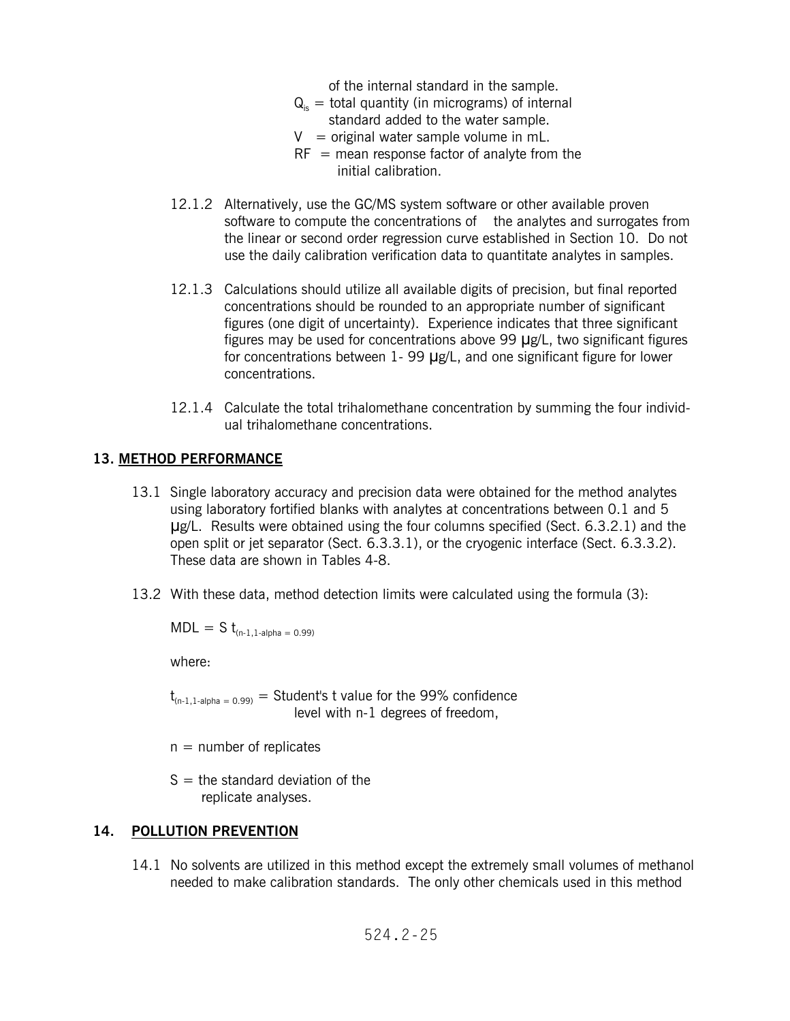of the internal standard in the sample.

- $Q_{i}$  = total quantity (in micrograms) of internal standard added to the water sample.
- $V =$  original water sample volume in mL.
- $RF =$  mean response factor of analyte from the initial calibration.
- software to compute the concentrations of the analytes and surrogates from 12.1.2 Alternatively, use the GC/MS system software or other available proven the linear or second order regression curve established in Section 10. Do not use the daily calibration verification data to quantitate analytes in samples.
- 12.1.3 Calculations should utilize all available digits of precision, but final reported concentrations should be rounded to an appropriate number of significant figures (one digit of uncertainty). Experience indicates that three significant figures may be used for concentrations above 99  $\mu$ g/L, two significant figures for concentrations between  $1 - 99$   $\mu$ g/L, and one significant figure for lower concentrations.
- 12.1.4 Calculate the total trihalomethane concentration by summing the four individual trihalomethane concentrations.

## **13. METHOD PERFORMANCE**

- 13.1 Single laboratory accuracy and precision data were obtained for the method analytes using laboratory fortified blanks with analytes at concentrations between 0.1 and 5  $\mu$ g/L. Results were obtained using the four columns specified (Sect. 6.3.2.1) and the open split or jet separator (Sect. 6.3.3.1), or the cryogenic interface (Sect. 6.3.3.2). These data are shown in Tables 4-8.
- 13.2 With these data, method detection limits were calculated using the formula (3):

 $MDL = S t_{(n-1,1-alpha = 0.99)}$ 

where:

 $t_{(n-1,1-alpha=0.99)}$  = Student's t value for the 99% confidence level with n-1 degrees of freedom,

- $n =$  number of replicates
- $S =$  the standard deviation of the replicate analyses.

### **14. POLLUTION PREVENTION**

14.1 No solvents are utilized in this method except the extremely small volumes of methanol needed to make calibration standards. The only other chemicals used in this method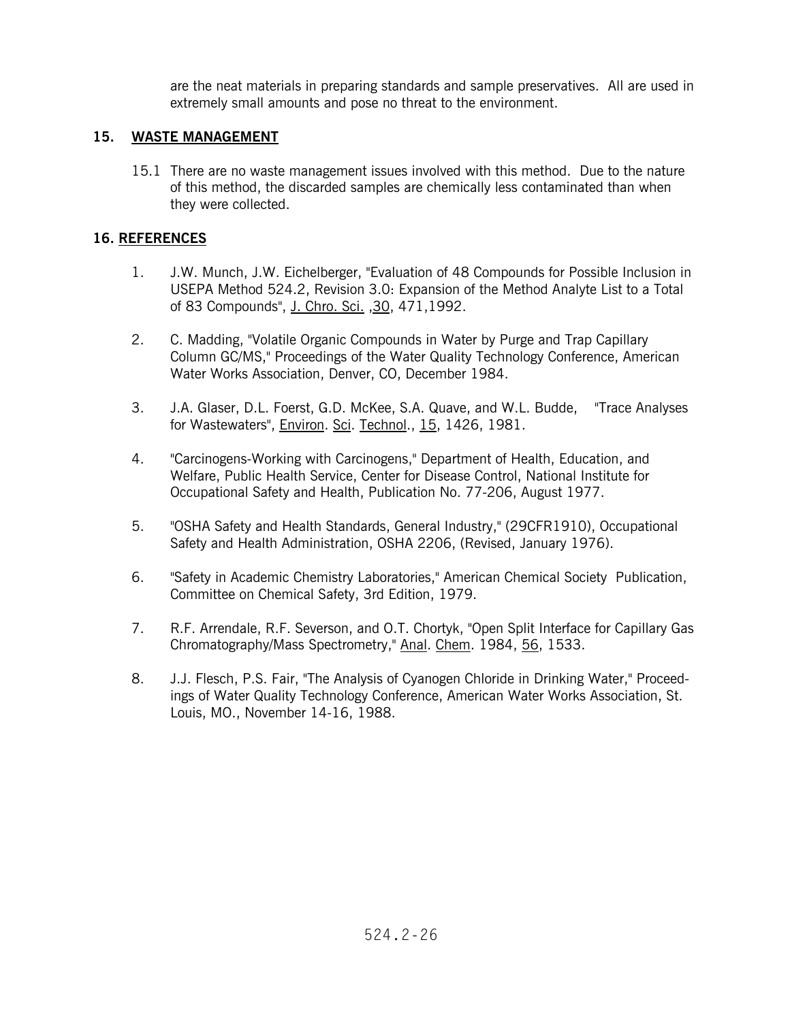are the neat materials in preparing standards and sample preservatives. All are used in extremely small amounts and pose no threat to the environment.

## **15. WASTE MANAGEMENT**

15.1 There are no waste management issues involved with this method. Due to the nature of this method, the discarded samples are chemically less contaminated than when they were collected.

## **16. REFERENCES**

- 1. J.W. Munch, J.W. Eichelberger, "Evaluation of 48 Compounds for Possible Inclusion in USEPA Method 524.2, Revision 3.0: Expansion of the Method Analyte List to a Total of 83 Compounds", J. Chro. Sci. ,30, 471,1992.
- 2. C. Madding, "Volatile Organic Compounds in Water by Purge and Trap Capillary Column GC/MS," Proceedings of the Water Quality Technology Conference, American Water Works Association, Denver, CO, December 1984.
- 3. J.A. Glaser, D.L. Foerst, G.D. McKee, S.A. Quave, and W.L. Budde, "Trace Analyses for Wastewaters", Environ. Sci. Technol., 15, 1426, 1981.
- 4. "Carcinogens-Working with Carcinogens," Department of Health, Education, and Welfare, Public Health Service, Center for Disease Control, National Institute for Occupational Safety and Health, Publication No. 77-206, August 1977.
- 5. "OSHA Safety and Health Standards, General Industry," (29CFR1910), Occupational Safety and Health Administration, OSHA 2206, (Revised, January 1976).
- 6. "Safety in Academic Chemistry Laboratories," American Chemical Society Publication, Committee on Chemical Safety, 3rd Edition, 1979.
- 7. R.F. Arrendale, R.F. Severson, and O.T. Chortyk, "Open Split Interface for Capillary Gas Chromatography/Mass Spectrometry," Anal. Chem. 1984, 56, 1533.
- 8. J.J. Flesch, P.S. Fair, "The Analysis of Cyanogen Chloride in Drinking Water," Proceedings of Water Quality Technology Conference, American Water Works Association, St. Louis, MO., November 14-16, 1988.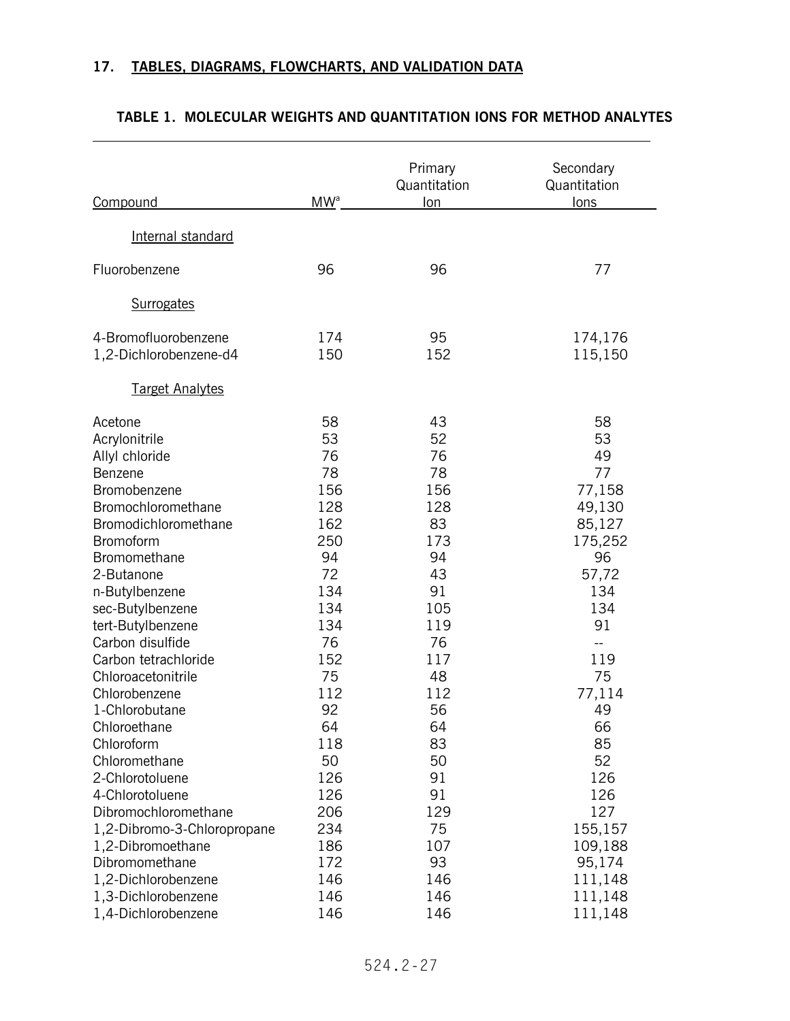$\overline{a}$ 

| Compound                                                                                                                                                                                                                                                                                                                                       | MW <sup>a</sup>                                                                                                         | Primary<br>Quantitation<br>lon                                                                                        | Secondary<br>Quantitation<br>lons                                                                                                         |
|------------------------------------------------------------------------------------------------------------------------------------------------------------------------------------------------------------------------------------------------------------------------------------------------------------------------------------------------|-------------------------------------------------------------------------------------------------------------------------|-----------------------------------------------------------------------------------------------------------------------|-------------------------------------------------------------------------------------------------------------------------------------------|
| Internal standard                                                                                                                                                                                                                                                                                                                              |                                                                                                                         |                                                                                                                       |                                                                                                                                           |
| Fluorobenzene                                                                                                                                                                                                                                                                                                                                  | 96                                                                                                                      | 96                                                                                                                    | 77                                                                                                                                        |
| <b>Surrogates</b>                                                                                                                                                                                                                                                                                                                              |                                                                                                                         |                                                                                                                       |                                                                                                                                           |
| 4-Bromofluorobenzene<br>1,2-Dichlorobenzene-d4                                                                                                                                                                                                                                                                                                 | 174<br>150                                                                                                              | 95<br>152                                                                                                             | 174,176<br>115,150                                                                                                                        |
| <b>Target Analytes</b>                                                                                                                                                                                                                                                                                                                         |                                                                                                                         |                                                                                                                       |                                                                                                                                           |
| Acetone<br>Acrylonitrile<br>Allyl chloride<br>Benzene<br>Bromobenzene<br>Bromochloromethane<br>Bromodichloromethane<br>Bromoform<br>Bromomethane<br>2-Butanone<br>n-Butylbenzene<br>sec-Butylbenzene<br>tert-Butylbenzene<br>Carbon disulfide<br>Carbon tetrachloride<br>Chloroacetonitrile<br>Chlorobenzene<br>1-Chlorobutane<br>Chloroethane | 58<br>53<br>76<br>78<br>156<br>128<br>162<br>250<br>94<br>72<br>134<br>134<br>134<br>76<br>152<br>75<br>112<br>92<br>64 | 43<br>52<br>76<br>78<br>156<br>128<br>83<br>173<br>94<br>43<br>91<br>105<br>119<br>76<br>117<br>48<br>112<br>56<br>64 | 58<br>53<br>49<br>77<br>77,158<br>49,130<br>85,127<br>175,252<br>96<br>57,72<br>134<br>134<br>91<br>--<br>119<br>75<br>77,114<br>49<br>66 |
| Chloroform<br>Chloromethane<br>2-Chlorotoluene<br>4-Chlorotoluene                                                                                                                                                                                                                                                                              | 118<br>50<br>126<br>126                                                                                                 | 83<br>50<br>91<br>91                                                                                                  | 85<br>52<br>126<br>126                                                                                                                    |
| Dibromochloromethane<br>1,2-Dibromo-3-Chloropropane<br>1,2-Dibromoethane<br>Dibromomethane<br>1,2-Dichlorobenzene<br>1,3-Dichlorobenzene                                                                                                                                                                                                       | 206<br>234<br>186<br>172<br>146<br>146                                                                                  | 129<br>75<br>107<br>93<br>146<br>146                                                                                  | 127<br>155,157<br>109,188<br>95,174<br>111,148<br>111,148                                                                                 |
| 1,4-Dichlorobenzene                                                                                                                                                                                                                                                                                                                            | 146                                                                                                                     | 146                                                                                                                   | 111,148                                                                                                                                   |

#### **TABLE 1. MOLECULAR WEIGHTS AND QUANTITATION IONS FOR METHOD ANALYTES**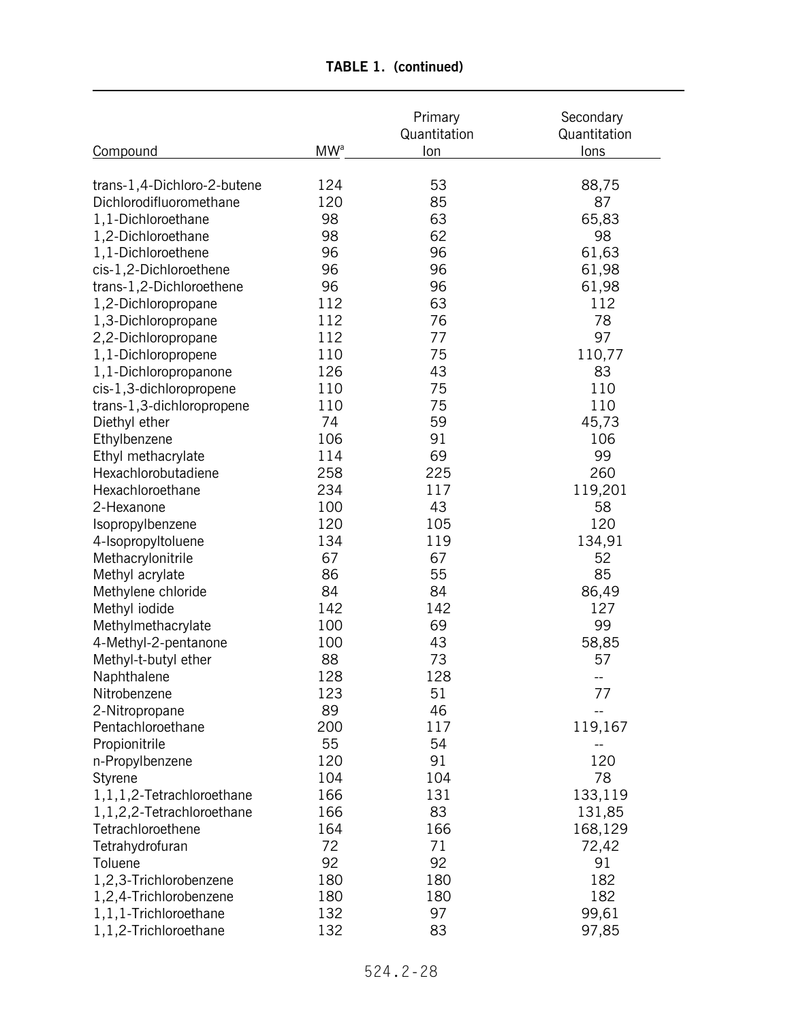|                              |                        | Primary<br>Quantitation | Secondary<br>Quantitation |
|------------------------------|------------------------|-------------------------|---------------------------|
| <b>Compound</b>              | <b>MW</b> <sup>a</sup> | lon                     | lons                      |
|                              |                        |                         |                           |
| trans-1,4-Dichloro-2-butene  | 124                    | 53                      | 88,75                     |
| Dichlorodifluoromethane      | 120                    | 85                      | 87                        |
| 1,1-Dichloroethane           | 98                     | 63                      | 65,83                     |
| 1,2-Dichloroethane           | 98                     | 62                      | 98                        |
| 1,1-Dichloroethene           | 96                     | 96                      | 61,63                     |
| cis-1,2-Dichloroethene       | 96                     | 96                      | 61,98                     |
| trans-1,2-Dichloroethene     | 96                     | 96                      | 61,98                     |
| 1,2-Dichloropropane          | 112                    | 63                      | 112                       |
| 1,3-Dichloropropane          | 112                    | 76                      | 78                        |
| 2,2-Dichloropropane          | 112                    | 77                      | 97                        |
| 1,1-Dichloropropene          | 110                    | 75                      | 110,77                    |
| 1,1-Dichloropropanone        | 126                    | 43                      | 83                        |
| cis-1,3-dichloropropene      | 110                    | 75                      | 110                       |
| trans-1,3-dichloropropene    | 110                    | 75                      | 110                       |
| Diethyl ether                | 74                     | 59                      | 45,73                     |
| Ethylbenzene                 | 106                    | 91                      | 106                       |
| Ethyl methacrylate           | 114                    | 69                      | 99                        |
| Hexachlorobutadiene          | 258                    | 225                     | 260                       |
| Hexachloroethane             | 234                    | 117                     | 119,201                   |
| 2-Hexanone                   | 100                    | 43                      | 58                        |
| Isopropylbenzene             | 120                    | 105                     | 120                       |
| 4-Isopropyltoluene           | 134                    | 119                     | 134,91                    |
| Methacrylonitrile            | 67                     | 67                      | 52                        |
| Methyl acrylate              | 86                     | 55                      | 85                        |
| Methylene chloride           | 84                     | 84                      | 86,49                     |
| Methyl iodide                | 142                    | 142                     | 127                       |
| Methylmethacrylate           | 100                    | 69                      | 99                        |
| 4-Methyl-2-pentanone         | 100                    | 43                      | 58,85                     |
| Methyl-t-butyl ether         | 88                     | 73                      | 57                        |
| Naphthalene                  | 128                    | 128                     |                           |
| Nitrobenzene                 | 123                    | 51                      | 77                        |
| 2-Nitropropane               | 89                     | 46                      |                           |
| Pentachloroethane            | 200                    | 117                     | 119,167                   |
| Propionitrile                | 55                     | 54                      |                           |
| n-Propylbenzene              | 120                    | 91                      | 120                       |
| Styrene                      | 104                    | 104                     | 78                        |
| 1, 1, 1, 2-Tetrachloroethane | 166                    | 131                     | 133,119                   |
| 1,1,2,2-Tetrachloroethane    | 166                    | 83                      | 131,85                    |
| Tetrachloroethene            | 164                    | 166                     | 168,129                   |
| Tetrahydrofuran              | 72                     | 71                      | 72,42                     |
| Toluene                      | 92                     | 92                      | 91                        |
| 1,2,3-Trichlorobenzene       | 180                    | 180                     | 182                       |
| 1,2,4-Trichlorobenzene       | 180                    | 180                     | 182                       |
| 1,1,1-Trichloroethane        | 132                    | 97                      | 99,61                     |
|                              |                        | 83                      |                           |
| 1,1,2-Trichloroethane        | 132                    |                         | 97,85                     |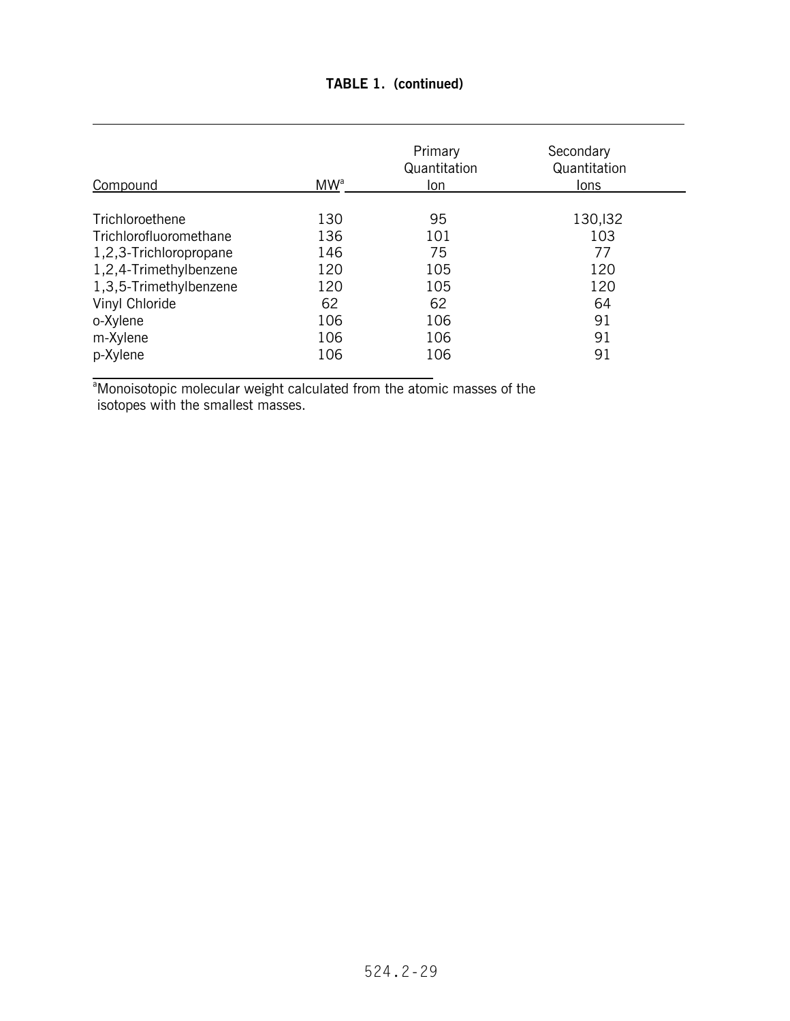| Compound               | MW <sup>a</sup> | Primary<br>Quantitation<br>Ion | Secondary<br>Quantitation<br>lons |
|------------------------|-----------------|--------------------------------|-----------------------------------|
|                        |                 |                                |                                   |
| Trichloroethene        | 130             | 95                             | 130, 132                          |
| Trichlorofluoromethane | 136             | 101                            | 103                               |
| 1,2,3-Trichloropropane | 146             | 75                             | 77                                |
| 1,2,4-Trimethylbenzene | 120             | 105                            | 120                               |
| 1,3,5-Trimethylbenzene | 120             | 105                            | 120                               |
| Vinyl Chloride         | 62              | 62                             | 64                                |
| o-Xylene               | 106             | 106                            | 91                                |

a<br>Monoisotopic molecular weight calculated from the atomic masses of the isotopes with the smallest masses.

o-Xylene 106 106 91 m-Xylene 106 106 91<br>
p-Xylene 106 106 91 p-Xylene 106 106 91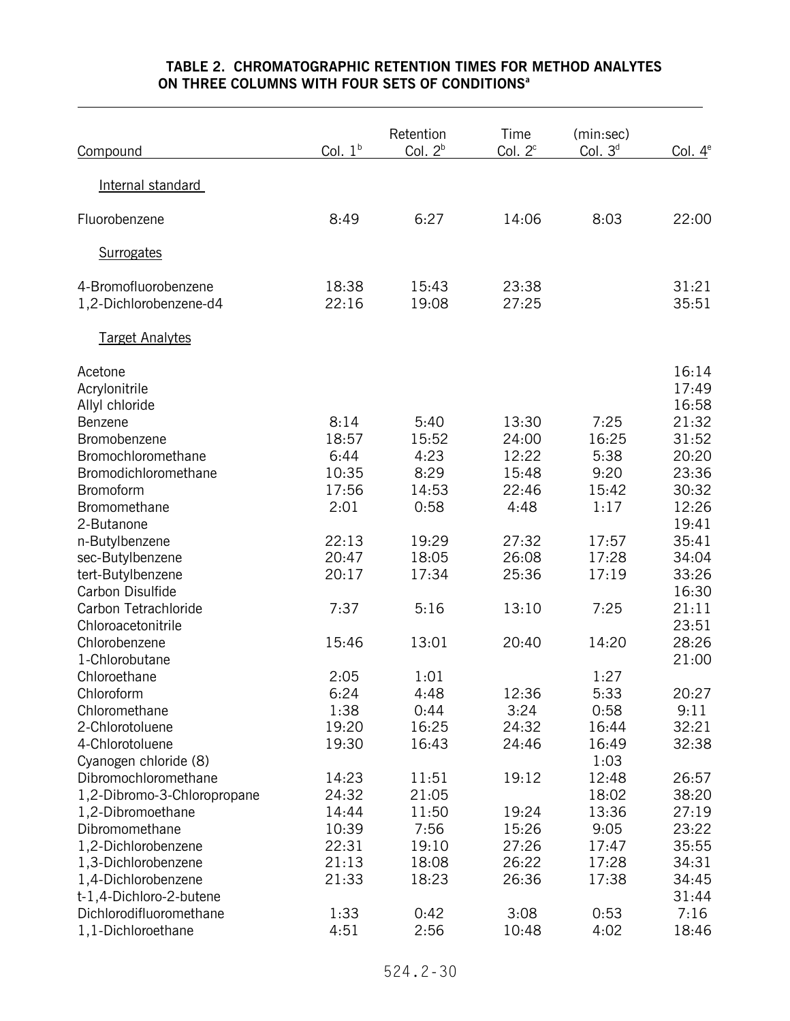|                             |           | Retention | Time      | (min:sec) |            |
|-----------------------------|-----------|-----------|-----------|-----------|------------|
| Compound                    | Col. $1b$ | Col. $2b$ | Col. $2c$ | Col. $3d$ | Col. $4^e$ |
|                             |           |           |           |           |            |
| Internal standard           |           |           |           |           |            |
|                             |           |           |           |           |            |
| Fluorobenzene               | 8:49      | 6:27      | 14:06     | 8:03      | 22:00      |
|                             |           |           |           |           |            |
| <b>Surrogates</b>           |           |           |           |           |            |
|                             |           |           |           |           |            |
| 4-Bromofluorobenzene        | 18:38     | 15:43     | 23:38     |           | 31:21      |
| 1,2-Dichlorobenzene-d4      | 22:16     | 19:08     | 27:25     |           | 35:51      |
| <b>Target Analytes</b>      |           |           |           |           |            |
|                             |           |           |           |           |            |
| Acetone                     |           |           |           |           | 16:14      |
| Acrylonitrile               |           |           |           |           | 17:49      |
| Allyl chloride              |           |           |           |           | 16:58      |
| Benzene                     | 8:14      | 5:40      | 13:30     | 7:25      | 21:32      |
| Bromobenzene                | 18:57     | 15:52     | 24:00     | 16:25     | 31:52      |
| Bromochloromethane          | 6:44      | 4:23      | 12:22     | 5:38      | 20:20      |
| Bromodichloromethane        | 10:35     | 8:29      | 15:48     | 9:20      | 23:36      |
| Bromoform                   | 17:56     | 14:53     | 22:46     | 15:42     | 30:32      |
| Bromomethane                | 2:01      | 0:58      | 4:48      | 1:17      | 12:26      |
| 2-Butanone                  |           |           |           |           | 19:41      |
| n-Butylbenzene              | 22:13     | 19:29     | 27:32     | 17:57     | 35:41      |
| sec-Butylbenzene            | 20:47     | 18:05     | 26:08     | 17:28     | 34:04      |
| tert-Butylbenzene           | 20:17     | 17:34     | 25:36     | 17:19     | 33:26      |
| Carbon Disulfide            |           |           |           |           | 16:30      |
| Carbon Tetrachloride        | 7:37      | 5:16      | 13:10     | 7:25      | 21:11      |
| Chloroacetonitrile          |           |           |           |           | 23:51      |
| Chlorobenzene               | 15:46     | 13:01     | 20:40     | 14:20     | 28:26      |
| 1-Chlorobutane              |           |           |           |           | 21:00      |
| Chloroethane                | 2:05      | 1:01      |           | 1:27      |            |
| Chloroform                  | 6:24      | 4:48      | 12:36     | 5:33      | 20:27      |
| Chloromethane               | 1:38      | 0:44      | 3:24      | 0:58      | 9:11       |
| 2-Chlorotoluene             | 19:20     | 16:25     | 24:32     | 16:44     | 32:21      |
| 4-Chlorotoluene             | 19:30     | 16:43     | 24:46     | 16:49     | 32:38      |
| Cyanogen chloride (8)       |           |           |           | 1:03      |            |
| Dibromochloromethane        | 14:23     | 11:51     | 19:12     | 12:48     | 26:57      |
| 1,2-Dibromo-3-Chloropropane | 24:32     | 21:05     |           | 18:02     | 38:20      |
| 1,2-Dibromoethane           | 14:44     | 11:50     | 19:24     | 13:36     | 27:19      |
| Dibromomethane              | 10:39     | 7:56      | 15:26     | 9:05      | 23:22      |
| 1,2-Dichlorobenzene         | 22:31     | 19:10     | 27:26     | 17:47     | 35:55      |
| 1,3-Dichlorobenzene         | 21:13     | 18:08     | 26:22     | 17:28     | 34:31      |
| 1,4-Dichlorobenzene         | 21:33     | 18:23     | 26:36     | 17:38     | 34:45      |
| t-1,4-Dichloro-2-butene     |           |           |           |           | 31:44      |
| Dichlorodifluoromethane     | 1:33      | 0:42      | 3:08      | 0:53      | 7:16       |
| 1,1-Dichloroethane          | 4:51      | 2:56      | 10:48     | 4:02      | 18:46      |

## **TABLE 2. CHROMATOGRAPHIC RETENTION TIMES FOR METHOD ANALYTES ON THREE COLUMNS WITH FOUR SETS OF CONDITIONS<sup>a</sup>**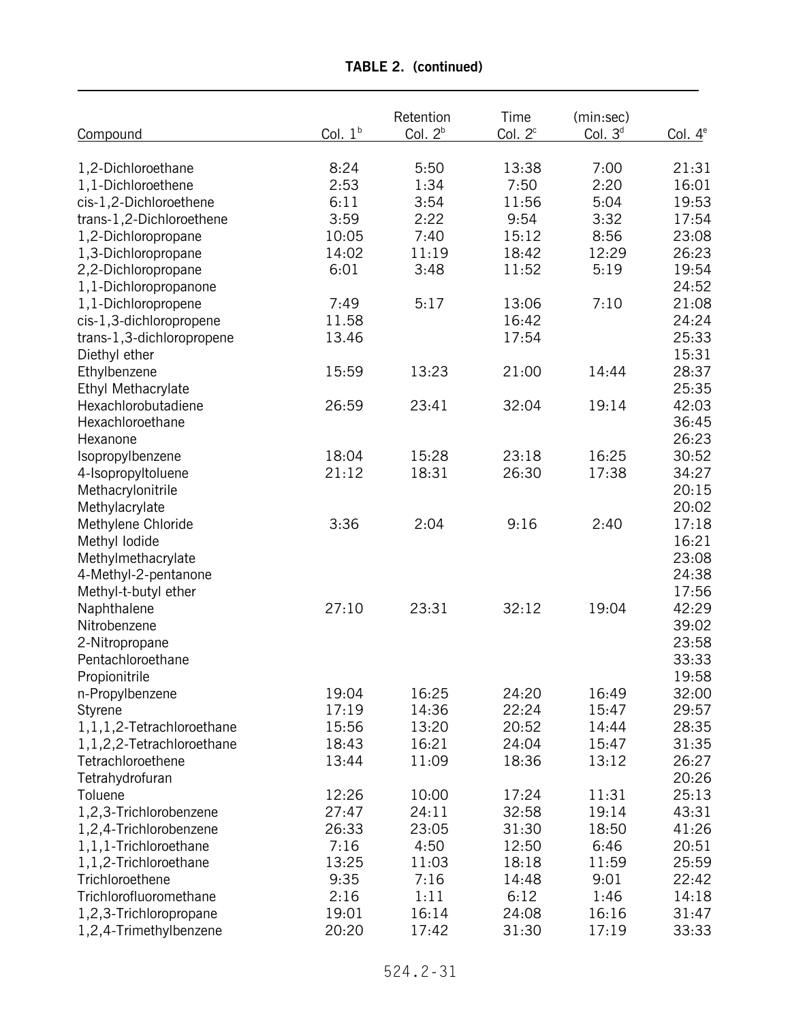|                              | Col. $1b$ | Retention | Time       | (min:sec) |            |
|------------------------------|-----------|-----------|------------|-----------|------------|
| Compound                     |           | Col. $2b$ | Col. $2^c$ | Col. $3d$ | Col. $4^e$ |
| 1,2-Dichloroethane           | 8:24      | 5:50      | 13:38      | 7:00      | 21:31      |
| 1,1-Dichloroethene           | 2:53      | 1:34      | 7:50       | 2:20      | 16:01      |
| cis-1,2-Dichloroethene       | 6:11      | 3:54      | 11:56      | 5:04      | 19:53      |
|                              | 3:59      | 2:22      | 9:54       | 3:32      | 17:54      |
| trans-1,2-Dichloroethene     | 10:05     | 7:40      | 15:12      | 8:56      | 23:08      |
| 1,2-Dichloropropane          |           |           |            | 12:29     |            |
| 1,3-Dichloropropane          | 14:02     | 11:19     | 18:42      |           | 26:23      |
| 2,2-Dichloropropane          | 6:01      | 3:48      | 11:52      | 5:19      | 19:54      |
| 1,1-Dichloropropanone        |           |           |            |           | 24:52      |
| 1,1-Dichloropropene          | 7:49      | 5:17      | 13:06      | 7:10      | 21:08      |
| cis-1,3-dichloropropene      | 11.58     |           | 16:42      |           | 24:24      |
| trans-1,3-dichloropropene    | 13.46     |           | 17:54      |           | 25:33      |
| Diethyl ether                |           |           |            |           | 15:31      |
| Ethylbenzene                 | 15:59     | 13:23     | 21:00      | 14:44     | 28:37      |
| Ethyl Methacrylate           |           |           |            |           | 25:35      |
| Hexachlorobutadiene          | 26:59     | 23:41     | 32:04      | 19:14     | 42:03      |
| Hexachloroethane             |           |           |            |           | 36:45      |
| Hexanone                     |           |           |            |           | 26:23      |
| Isopropylbenzene             | 18:04     | 15:28     | 23:18      | 16:25     | 30:52      |
| 4-Isopropyltoluene           | 21:12     | 18:31     | 26:30      | 17:38     | 34:27      |
| Methacrylonitrile            |           |           |            |           | 20:15      |
| Methylacrylate               |           |           |            |           | 20:02      |
| Methylene Chloride           | 3:36      | 2:04      | 9:16       | 2:40      | 17:18      |
| Methyl lodide                |           |           |            |           | 16:21      |
| Methylmethacrylate           |           |           |            |           | 23:08      |
| 4-Methyl-2-pentanone         |           |           |            |           | 24:38      |
| Methyl-t-butyl ether         |           |           |            |           | 17:56      |
| Naphthalene                  | 27:10     | 23:31     | 32:12      | 19:04     | 42:29      |
| Nitrobenzene                 |           |           |            |           | 39:02      |
| 2-Nitropropane               |           |           |            |           | 23:58      |
| Pentachloroethane            |           |           |            |           | 33:33      |
| Propionitrile                |           |           |            |           | 19:58      |
| n-Propylbenzene              | 19:04     | 16:25     | 24:20      | 16:49     | 32:00      |
| Styrene                      | 17:19     | 14:36     | 22:24      | 15:47     | 29:57      |
| 1, 1, 1, 2-Tetrachloroethane | 15:56     | 13:20     | 20:52      | 14:44     | 28:35      |
| 1, 1, 2, 2-Tetrachloroethane | 18:43     | 16:21     | 24:04      | 15:47     | 31:35      |
| Tetrachloroethene            | 13:44     | 11:09     | 18:36      | 13:12     | 26:27      |
| Tetrahydrofuran              |           |           |            |           | 20:26      |
| Toluene                      | 12:26     | 10:00     | 17:24      | 11:31     | 25:13      |
| 1,2,3-Trichlorobenzene       | 27:47     | 24:11     | 32:58      | 19:14     | 43:31      |
| 1,2,4-Trichlorobenzene       | 26:33     | 23:05     | 31:30      | 18:50     | 41:26      |
| 1,1,1-Trichloroethane        | 7:16      | 4:50      | 12:50      | 6:46      | 20:51      |
| 1,1,2-Trichloroethane        | 13:25     | 11:03     | 18:18      | 11:59     | 25:59      |
| Trichloroethene              | 9:35      | 7:16      | 14:48      | 9:01      | 22:42      |
| Trichlorofluoromethane       | 2:16      | 1:11      | 6:12       | 1:46      | 14:18      |
| 1,2,3-Trichloropropane       | 19:01     | 16:14     | 24:08      | 16:16     | 31:47      |
| 1,2,4-Trimethylbenzene       | 20:20     | 17:42     | 31:30      | 17:19     | 33:33      |
|                              |           |           |            |           |            |

**TABLE 2. (continued)**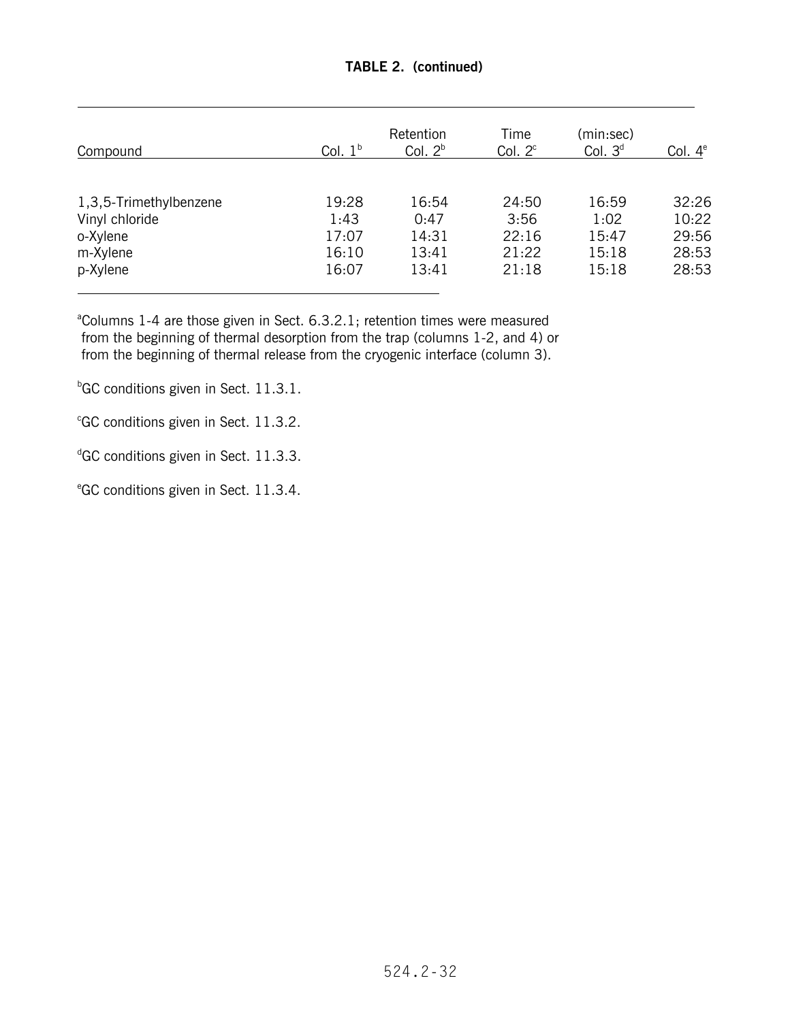| Compound               | Col. $1b$ | Retention<br>Col. $2b$ | Time<br>Col. $2^c$ | (min:sec)<br>Col. $3d$ | Col. $4^e$ |
|------------------------|-----------|------------------------|--------------------|------------------------|------------|
|                        |           |                        |                    |                        |            |
| 1,3,5-Trimethylbenzene | 19:28     | 16:54                  | 24:50              | 16:59                  | 32:26      |
| Vinyl chloride         | 1:43      | 0:47                   | 3:56               | 1:02                   | 10:22      |
| o-Xylene               | 17:07     | 14:31                  | 22:16              | 15:47                  | 29:56      |
| m-Xylene               | 16:10     | 13:41                  | 21:22              | 15:18                  | 28:53      |
| p-Xylene               | 16:07     | 13:41                  | 21:18              | 15:18                  | 28:53      |

# **TABLE 2. (continued)**

<sup>a</sup>Columns 1-4 are those given in Sect. 6.3.2.1; retention times were measured from the beginning of thermal desorption from the trap (columns 1-2, and 4) or from the beginning of thermal release from the cryogenic interface (column 3).

<sup>b</sup>GC conditions given in Sect. 11.3.1.

c GC conditions given in Sect. 11.3.2.

<sup>d</sup>GC conditions given in Sect. 11.3.3.

e GC conditions given in Sect. 11.3.4.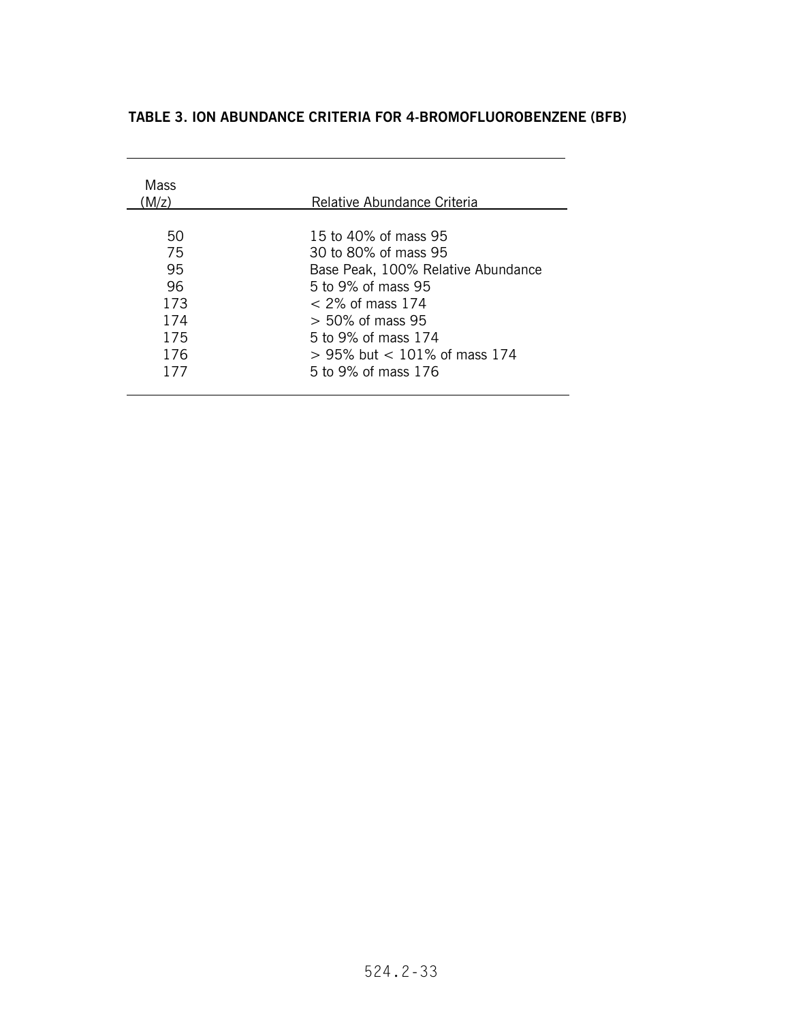# **TABLE 3. ION ABUNDANCE CRITERIA FOR 4-BROMOFLUOROBENZENE (BFB)**

| Mass<br>(M/z) | Relative Abundance Criteria        |
|---------------|------------------------------------|
| 50            | 15 to 40% of mass 95               |
| 75            | 30 to 80% of mass 95               |
| 95            | Base Peak, 100% Relative Abundance |
| 96            | 5 to 9% of mass 95                 |
| 173           | $<$ 2% of mass 174                 |
| 174           | $> 50\%$ of mass 95                |
| 175           | 5 to 9% of mass 174                |
| 176           | $> 95\%$ but $< 101\%$ of mass 174 |
| 177           | 5 to 9% of mass 176                |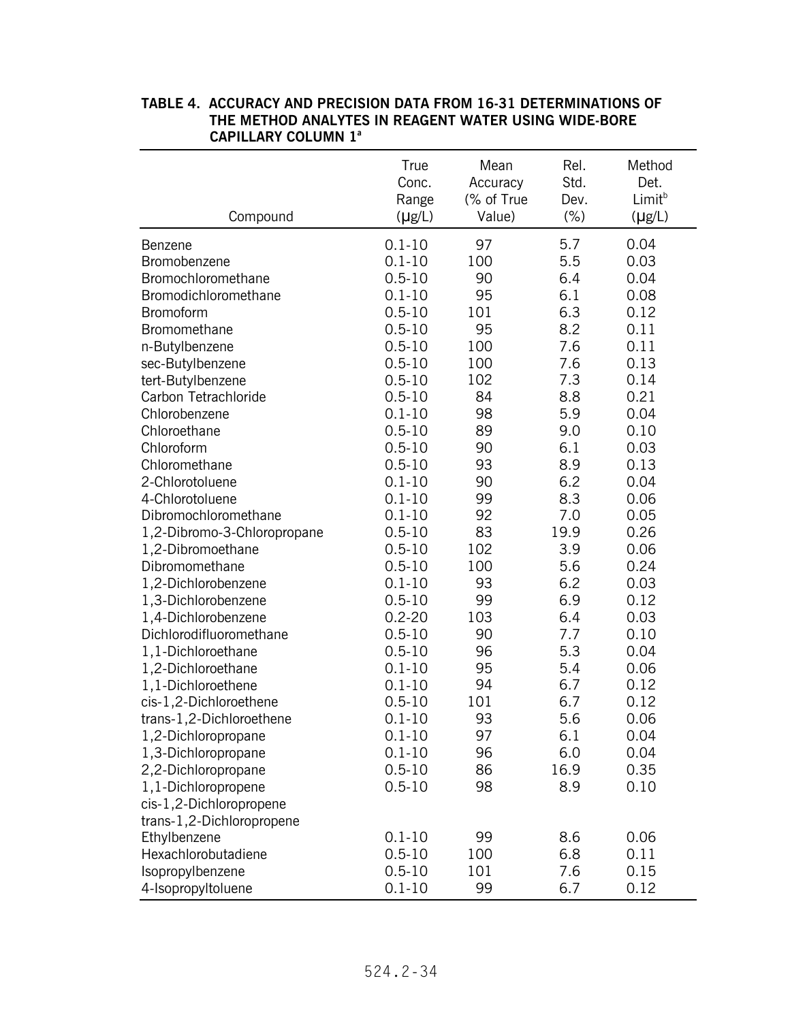| Compound                    | True<br>Conc.<br>Range<br>$(\mu g/L)$ | Mean<br>Accuracy<br>(% of True<br>Value) | Rel.<br>Std.<br>Dev.<br>$(\% )$ | Method<br>Det.<br>Limit <sup>b</sup><br>$(\mu g/L)$ |
|-----------------------------|---------------------------------------|------------------------------------------|---------------------------------|-----------------------------------------------------|
| Benzene                     | $0.1 - 10$                            | 97                                       | 5.7                             | 0.04                                                |
| Bromobenzene                | $0.1 - 10$                            | 100                                      | 5.5                             | 0.03                                                |
| Bromochloromethane          | $0.5 - 10$                            | 90                                       | 6.4                             | 0.04                                                |
| Bromodichloromethane        | $0.1 - 10$                            | 95                                       | 6.1                             | 0.08                                                |
| Bromoform                   | $0.5 - 10$                            | 101                                      | 6.3                             | 0.12                                                |
| Bromomethane                | $0.5 - 10$                            | 95                                       | 8.2                             | 0.11                                                |
| n-Butylbenzene              | $0.5 - 10$                            | 100                                      | 7.6                             | 0.11                                                |
| sec-Butylbenzene            | $0.5 - 10$                            | 100                                      | 7.6                             | 0.13                                                |
| tert-Butylbenzene           | $0.5 - 10$                            | 102                                      | 7.3                             | 0.14                                                |
| Carbon Tetrachloride        | $0.5 - 10$                            | 84                                       | 8.8                             | 0.21                                                |
| Chlorobenzene               | $0.1 - 10$                            | 98                                       | 5.9                             | 0.04                                                |
| Chloroethane                | $0.5 - 10$                            | 89                                       | 9.0                             | 0.10                                                |
| Chloroform                  | $0.5 - 10$                            | 90                                       | 6.1                             | 0.03                                                |
| Chloromethane               | $0.5 - 10$                            | 93                                       | 8.9                             | 0.13                                                |
| 2-Chlorotoluene             | $0.1 - 10$                            | 90                                       | 6.2                             | 0.04                                                |
| 4-Chlorotoluene             | $0.1 - 10$                            | 99                                       | 8.3                             | 0.06                                                |
| Dibromochloromethane        | $0.1 - 10$                            | 92                                       | 7.0                             | 0.05                                                |
| 1,2-Dibromo-3-Chloropropane | $0.5 - 10$                            | 83                                       | 19.9                            | 0.26                                                |
| 1,2-Dibromoethane           | $0.5 - 10$                            | 102                                      | 3.9                             | 0.06                                                |
| Dibromomethane              | $0.5 - 10$                            | 100                                      | 5.6                             | 0.24                                                |
| 1,2-Dichlorobenzene         | $0.1 - 10$                            | 93                                       | 6.2                             | 0.03                                                |
| 1,3-Dichlorobenzene         | $0.5 - 10$                            | 99                                       | 6.9                             | 0.12                                                |
| 1,4-Dichlorobenzene         | $0.2 - 20$                            | 103                                      | 6.4                             | 0.03                                                |
| Dichlorodifluoromethane     | $0.5 - 10$                            | 90                                       | 7.7                             | 0.10                                                |
| 1,1-Dichloroethane          | $0.5 - 10$                            | 96                                       | 5.3                             | 0.04                                                |
| 1,2-Dichloroethane          | $0.1 - 10$                            | 95                                       | 5.4                             | 0.06                                                |
| 1,1-Dichloroethene          | $0.1 - 10$                            | 94                                       | 6.7                             | 0.12                                                |
| cis-1,2-Dichloroethene      | $0.5 - 10$                            | 101                                      | 6.7                             | 0.12                                                |
| trans-1,2-Dichloroethene    | $0.1 - 10$                            | 93                                       | 5.6                             | 0.06                                                |
| 1,2-Dichloropropane         | $0.1 - 10$                            | 97                                       | 6.1                             | 0.04                                                |
| 1,3-Dichloropropane         | $0.1 - 10$                            | 96                                       | 6.0                             | 0.04                                                |
| 2,2-Dichloropropane         | $0.5 - 10$                            | 86                                       | 16.9                            | 0.35                                                |
| 1,1-Dichloropropene         | $0.5 - 10$                            | 98                                       | 8.9                             | 0.10                                                |
| cis-1,2-Dichloropropene     |                                       |                                          |                                 |                                                     |
| trans-1,2-Dichloropropene   |                                       |                                          |                                 |                                                     |
| Ethylbenzene                | $0.1 - 10$                            | 99                                       | 8.6                             | 0.06                                                |
| Hexachlorobutadiene         | $0.5 - 10$                            | 100                                      | 6.8                             | 0.11                                                |
| Isopropylbenzene            | $0.5 - 10$                            | 101                                      | 7.6                             | 0.15                                                |
| 4-Isopropyltoluene          | $0.1 - 10$                            | 99                                       | 6.7                             | 0.12                                                |

### **TABLE 4. ACCURACY AND PRECISION DATA FROM 16-31 DETERMINATIONS OF THE METHOD ANALYTES IN REAGENT WATER USING WIDE-BORE CAPILLARY COLUMN 1a**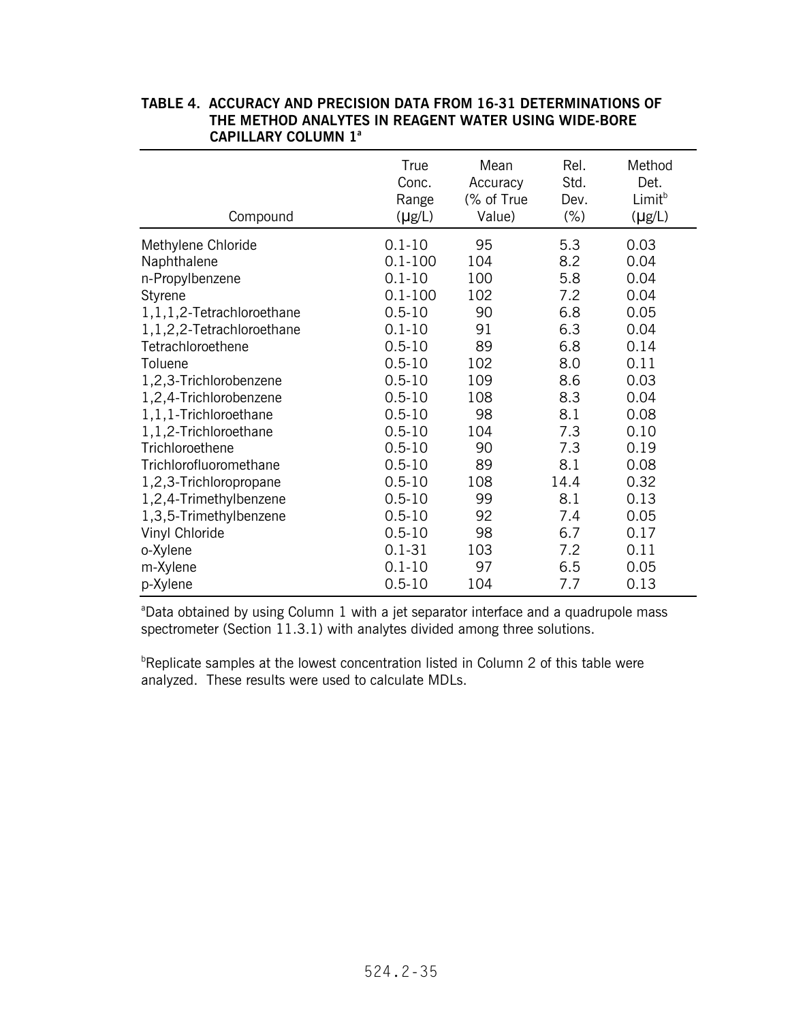| Compound                  | True<br>Conc.<br>Range<br>$(\mu g/L)$ | Mean<br>Accuracy<br>(% of True<br>Value) | Rel.<br>Std.<br>Dev.<br>$(\% )$ | Method<br>Det.<br>Limit <sup>b</sup><br>$(\mu g/L)$ |
|---------------------------|---------------------------------------|------------------------------------------|---------------------------------|-----------------------------------------------------|
| Methylene Chloride        | $0.1 - 10$                            | 95                                       | 5.3                             | 0.03                                                |
| Naphthalene               | $0.1 - 100$                           | 104                                      | 8.2                             | 0.04                                                |
| n-Propylbenzene           | $0.1 - 10$                            | 100                                      | 5.8                             | 0.04                                                |
| Styrene                   | $0.1 - 100$                           | 102                                      | 7.2                             | 0.04                                                |
| 1,1,1,2-Tetrachloroethane | $0.5 - 10$                            | 90                                       | 6.8                             | 0.05                                                |
| 1,1,2,2-Tetrachloroethane | $0.1 - 10$                            | 91                                       | 6.3                             | 0.04                                                |
| Tetrachloroethene         | $0.5 - 10$                            | 89                                       | 6.8                             | 0.14                                                |
| Toluene                   | $0.5 - 10$                            | 102                                      | 8.0                             | 0.11                                                |
| 1,2,3-Trichlorobenzene    | $0.5 - 10$                            | 109                                      | 8.6                             | 0.03                                                |
| 1,2,4-Trichlorobenzene    | $0.5 - 10$                            | 108                                      | 8.3                             | 0.04                                                |
| 1,1,1-Trichloroethane     | $0.5 - 10$                            | 98                                       | 8.1                             | 0.08                                                |
| 1,1,2-Trichloroethane     | $0.5 - 10$                            | 104                                      | 7.3                             | 0.10                                                |
| Trichloroethene           | $0.5 - 10$                            | 90                                       | 7.3                             | 0.19                                                |
| Trichlorofluoromethane    | $0.5 - 10$                            | 89                                       | 8.1                             | 0.08                                                |
| 1,2,3-Trichloropropane    | $0.5 - 10$                            | 108                                      | 14.4                            | 0.32                                                |
| 1,2,4-Trimethylbenzene    | $0.5 - 10$                            | 99                                       | 8.1                             | 0.13                                                |
| 1,3,5-Trimethylbenzene    | $0.5 - 10$                            | 92                                       | 7.4                             | 0.05                                                |
| Vinyl Chloride            | $0.5 - 10$                            | 98                                       | 6.7                             | 0.17                                                |
| o-Xylene                  | $0.1 - 31$                            | 103                                      | 7.2                             | 0.11                                                |
| m-Xylene                  | $0.1 - 10$                            | 97                                       | 6.5                             | 0.05                                                |
| p-Xylene                  | $0.5 - 10$                            | 104                                      | 7.7                             | 0.13                                                |

#### **TABLE 4. ACCURACY AND PRECISION DATA FROM 16-31 DETERMINATIONS OF THE METHOD ANALYTES IN REAGENT WATER USING WIDE-BORE CAPILLARY COLUMN 1a**

<sup>a</sup>Data obtained by using Column 1 with a jet separator interface and a quadrupole mass spectrometer (Section 11.3.1) with analytes divided among three solutions.

<sup>b</sup>Replicate samples at the lowest concentration listed in Column 2 of this table were analyzed. These results were used to calculate MDLs.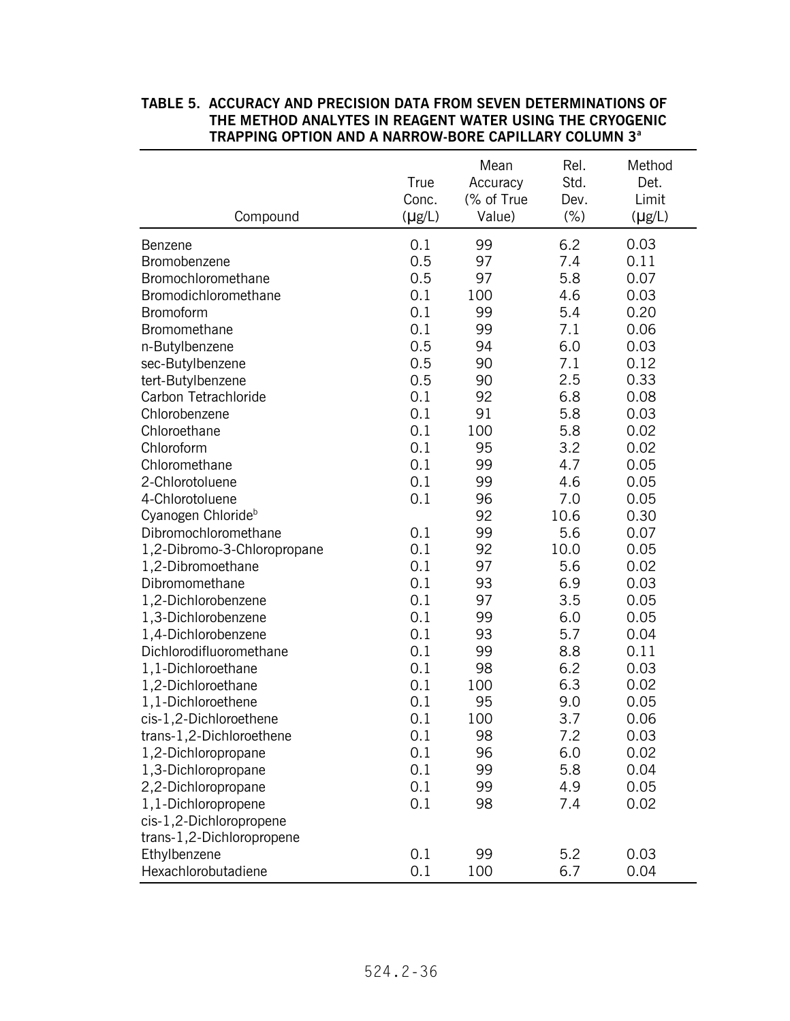|                                | True<br>Conc. | Mean<br>Accuracy<br>(% of True | Rel.<br>Std.<br>Dev. | Method<br>Det.<br>Limit |
|--------------------------------|---------------|--------------------------------|----------------------|-------------------------|
| Compound                       | $(\mu g/L)$   | Value)                         | $(\% )$              | $(\mu g/L)$             |
| Benzene                        | 0.1           | 99                             | 6.2                  | 0.03                    |
| Bromobenzene                   | 0.5           | 97                             | 7.4                  | 0.11                    |
| Bromochloromethane             | 0.5           | 97                             | 5.8                  | 0.07                    |
| Bromodichloromethane           | 0.1           | 100                            | 4.6                  | 0.03                    |
| Bromoform                      | 0.1           | 99                             | 5.4                  | 0.20                    |
| Bromomethane                   | 0.1           | 99                             | 7.1                  | 0.06                    |
| n-Butylbenzene                 | 0.5           | 94                             | 6.0                  | 0.03                    |
| sec-Butylbenzene               | 0.5           | 90                             | 7.1                  | 0.12                    |
| tert-Butylbenzene              | 0.5           | 90                             | 2.5                  | 0.33                    |
| Carbon Tetrachloride           | 0.1           | 92                             | 6.8                  | 0.08                    |
| Chlorobenzene                  | 0.1           | 91                             | 5.8                  | 0.03                    |
| Chloroethane                   | 0.1           | 100                            | 5.8                  | 0.02                    |
| Chloroform                     | 0.1           | 95                             | 3.2                  | 0.02                    |
| Chloromethane                  | 0.1           | 99                             | 4.7                  | 0.05                    |
| 2-Chlorotoluene                | 0.1           | 99                             | 4.6                  | 0.05                    |
| 4-Chlorotoluene                | 0.1           | 96                             | 7.0                  | 0.05                    |
| Cyanogen Chloride <sup>b</sup> |               | 92                             | 10.6                 | 0.30                    |
| Dibromochloromethane           | 0.1           | 99                             | 5.6                  | 0.07                    |
| 1,2-Dibromo-3-Chloropropane    | 0.1           | 92                             | 10.0                 | 0.05                    |
| 1,2-Dibromoethane              | 0.1           | 97                             | 5.6                  | 0.02                    |
| Dibromomethane                 | 0.1           | 93                             | 6.9                  | 0.03                    |
| 1,2-Dichlorobenzene            | 0.1           | 97                             | 3.5                  | 0.05                    |
| 1,3-Dichlorobenzene            | 0.1           | 99                             | 6.0                  | 0.05                    |
| 1,4-Dichlorobenzene            | 0.1           | 93                             | 5.7                  | 0.04                    |
| Dichlorodifluoromethane        | 0.1           | 99                             | 8.8                  | 0.11                    |
| 1,1-Dichloroethane             | 0.1           | 98                             | 6.2                  | 0.03                    |
| 1,2-Dichloroethane             | 0.1           | 100                            | 6.3                  | 0.02                    |
| 1,1-Dichloroethene             | 0.1           | 95                             | 9.0                  | 0.05                    |
| cis-1,2-Dichloroethene         | 0.1           | 100                            | 3.7                  | 0.06                    |
| trans-1,2-Dichloroethene       | 0.1           | 98                             | 7.2                  | 0.03                    |
| 1,2-Dichloropropane            | 0.1           | 96                             | 6.0                  | 0.02                    |
| 1,3-Dichloropropane            | 0.1           | 99                             | 5.8                  | 0.04                    |
| 2,2-Dichloropropane            | 0.1           | 99                             | 4.9                  | 0.05                    |
| 1,1-Dichloropropene            | 0.1           | 98                             | 7.4                  | 0.02                    |
| cis-1,2-Dichloropropene        |               |                                |                      |                         |
| trans-1,2-Dichloropropene      |               |                                |                      |                         |
| Ethylbenzene                   | 0.1           | 99                             | 5.2                  | 0.03                    |
| Hexachlorobutadiene            | 0.1           | 100                            | 6.7                  | 0.04                    |

## **TABLE 5. ACCURACY AND PRECISION DATA FROM SEVEN DETERMINATIONS OF THE METHOD ANALYTES IN REAGENT WATER USING THE CRYOGENIC TRAPPING OPTION AND A NARROW-BORE CAPILLARY COLUMN 3<sup>a</sup>**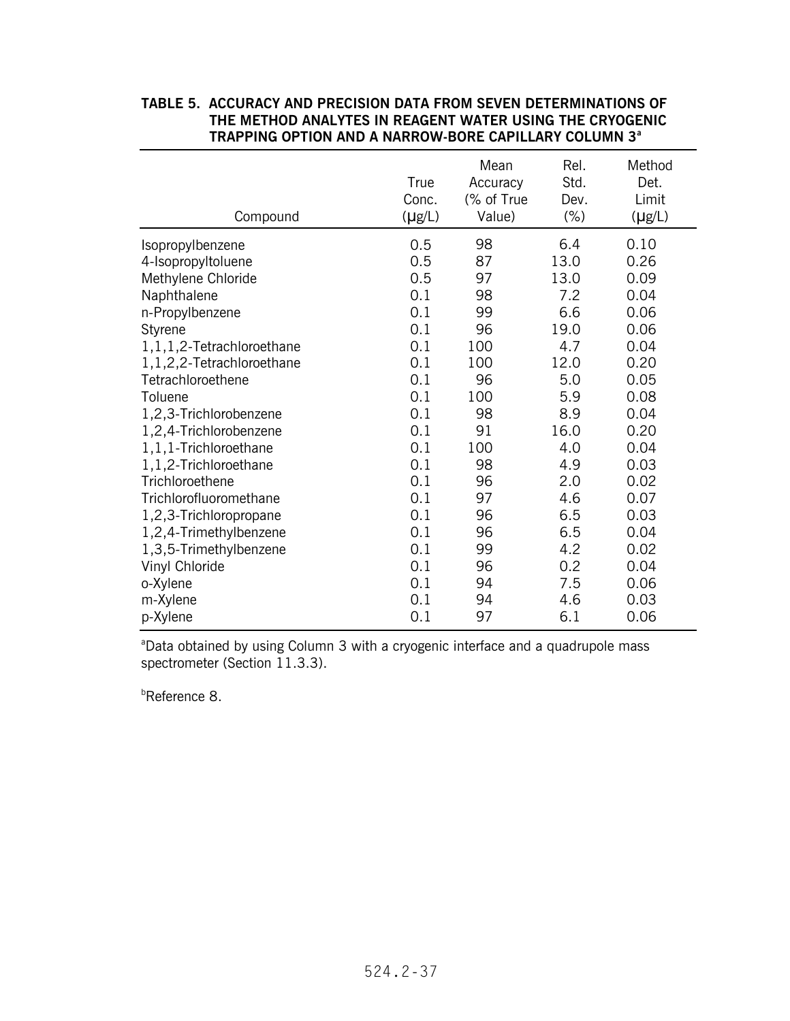# **TABLE 5. ACCURACY AND PRECISION DATA FROM SEVEN DETERMINATIONS OF THE METHOD ANALYTES IN REAGENT WATER USING THE CRYOGENIC TRAPPING OPTION AND A NARROW-BORE CAPILLARY COLUMN 3<sup>a</sup>** Mean Rel. Method

| Compound                     | True<br>Conc.<br>$(\mu g/L)$ | ,,,,,,,,<br>Accuracy<br>(% of True<br>Value) | .<br>Std.<br>Dev.<br>$(\% )$ | <u></u><br>Det.<br>Limit<br>$(\mu g/L)$ |
|------------------------------|------------------------------|----------------------------------------------|------------------------------|-----------------------------------------|
| Isopropylbenzene             | 0.5                          | 98                                           | 6.4                          | 0.10                                    |
| 4-Isopropyltoluene           | 0.5                          | 87                                           | 13.0                         | 0.26                                    |
| Methylene Chloride           | 0.5                          | 97                                           | 13.0                         | 0.09                                    |
| Naphthalene                  | 0.1                          | 98                                           | 7.2                          | 0.04                                    |
| n-Propylbenzene              | 0.1                          | 99                                           | 6.6                          | 0.06                                    |
| Styrene                      | 0.1                          | 96                                           | 19.0                         | 0.06                                    |
| 1, 1, 1, 2-Tetrachloroethane | 0.1                          | 100                                          | 4.7                          | 0.04                                    |
| 1,1,2,2-Tetrachloroethane    | 0.1                          | 100                                          | 12.0                         | 0.20                                    |
| Tetrachloroethene            | 0.1                          | 96                                           | 5.0                          | 0.05                                    |
| Toluene                      | 0.1                          | 100                                          | 5.9                          | 0.08                                    |
| 1,2,3-Trichlorobenzene       | 0.1                          | 98                                           | 8.9                          | 0.04                                    |
| 1,2,4-Trichlorobenzene       | 0.1                          | 91                                           | 16.0                         | 0.20                                    |
| 1,1,1-Trichloroethane        | 0.1                          | 100                                          | 4.0                          | 0.04                                    |
| 1,1,2-Trichloroethane        | 0.1                          | 98                                           | 4.9                          | 0.03                                    |
| Trichloroethene              | 0.1                          | 96                                           | 2.0                          | 0.02                                    |
| Trichlorofluoromethane       | 0.1                          | 97                                           | 4.6                          | 0.07                                    |
| 1,2,3-Trichloropropane       | 0.1                          | 96                                           | 6.5                          | 0.03                                    |
| 1,2,4-Trimethylbenzene       | 0.1                          | 96                                           | 6.5                          | 0.04                                    |
| 1,3,5-Trimethylbenzene       | 0.1                          | 99                                           | 4.2                          | 0.02                                    |
| Vinyl Chloride               | 0.1                          | 96                                           | 0.2                          | 0.04                                    |
| o-Xylene                     | 0.1                          | 94                                           | 7.5                          | 0.06                                    |
| m-Xylene                     | 0.1                          | 94                                           | 4.6                          | 0.03                                    |
| p-Xylene                     | 0.1                          | 97                                           | 6.1                          | 0.06                                    |

<sup>a</sup>Data obtained by using Column 3 with a cryogenic interface and a quadrupole mass spectrometer (Section 11.3.3).

b Reference 8.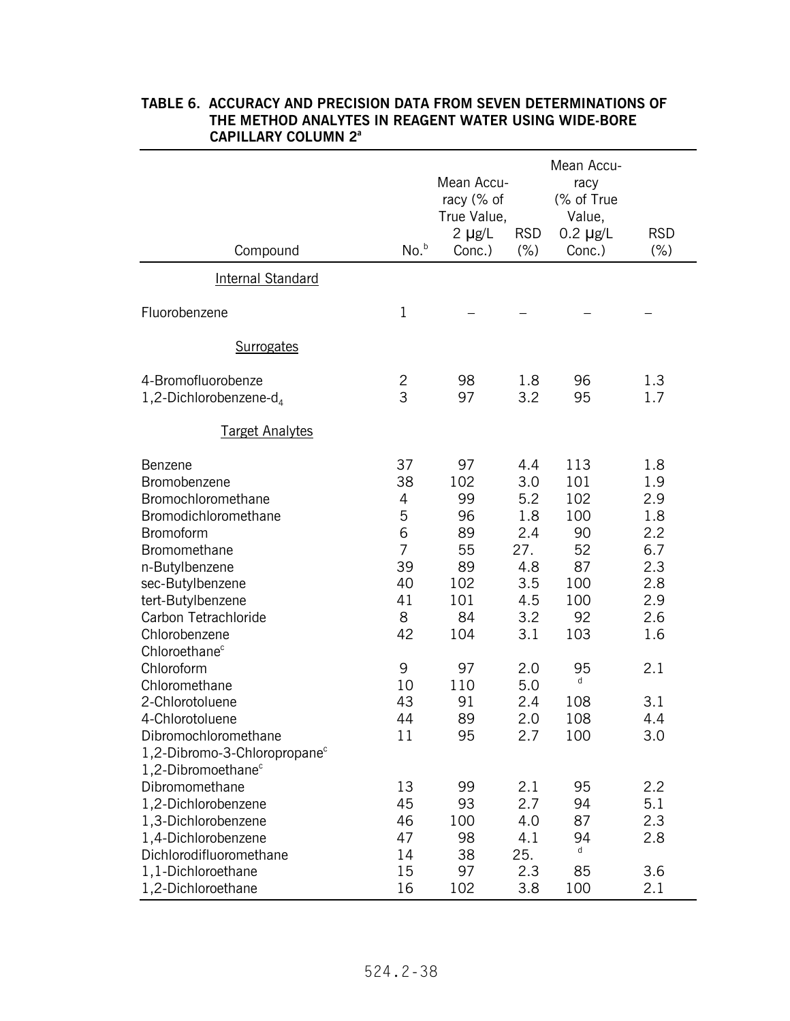| Compound                                                                                                                                                                                                                                                                                                                                | No. <sup>b</sup>                                                                                    | Mean Accu-<br>racy (% of<br>True Value,<br>2 $\mu$ g/L<br>Conc.)                                  | <b>RSD</b><br>(%)                                                                                            | Mean Accu-<br>racy<br>(% of True<br>Value,<br>$0.2 \mu g/L$<br>Conc.)                                 | <b>RSD</b><br>(%)                                                                                     |
|-----------------------------------------------------------------------------------------------------------------------------------------------------------------------------------------------------------------------------------------------------------------------------------------------------------------------------------------|-----------------------------------------------------------------------------------------------------|---------------------------------------------------------------------------------------------------|--------------------------------------------------------------------------------------------------------------|-------------------------------------------------------------------------------------------------------|-------------------------------------------------------------------------------------------------------|
| <b>Internal Standard</b>                                                                                                                                                                                                                                                                                                                |                                                                                                     |                                                                                                   |                                                                                                              |                                                                                                       |                                                                                                       |
| Fluorobenzene                                                                                                                                                                                                                                                                                                                           | 1                                                                                                   |                                                                                                   |                                                                                                              |                                                                                                       |                                                                                                       |
| <b>Surrogates</b>                                                                                                                                                                                                                                                                                                                       |                                                                                                     |                                                                                                   |                                                                                                              |                                                                                                       |                                                                                                       |
| 4-Bromofluorobenze<br>1,2-Dichlorobenzene-d <sub>4</sub>                                                                                                                                                                                                                                                                                | 2<br>3                                                                                              | 98<br>97                                                                                          | 1.8<br>3.2                                                                                                   | 96<br>95                                                                                              | 1.3<br>1.7                                                                                            |
| <b>Target Analytes</b>                                                                                                                                                                                                                                                                                                                  |                                                                                                     |                                                                                                   |                                                                                                              |                                                                                                       |                                                                                                       |
| Benzene<br>Bromobenzene<br>Bromochloromethane<br>Bromodichloromethane<br><b>Bromoform</b><br>Bromomethane<br>n-Butylbenzene<br>sec-Butylbenzene<br>tert-Butylbenzene<br>Carbon Tetrachloride<br>Chlorobenzene<br>Chloroethane <sup>c</sup><br>Chloroform<br>Chloromethane<br>2-Chlorotoluene<br>4-Chlorotoluene<br>Dibromochloromethane | 37<br>38<br>4<br>5<br>6<br>$\overline{7}$<br>39<br>40<br>41<br>8<br>42<br>9<br>10<br>43<br>44<br>11 | 97<br>102<br>99<br>96<br>89<br>55<br>89<br>102<br>101<br>84<br>104<br>97<br>110<br>91<br>89<br>95 | 4.4<br>3.0<br>5.2<br>1.8<br>2.4<br>27.<br>4.8<br>3.5<br>4.5<br>3.2<br>3.1<br>2.0<br>5.0<br>2.4<br>2.0<br>2.7 | 113<br>101<br>102<br>100<br>90<br>52<br>87<br>100<br>100<br>92<br>103<br>95<br>d<br>108<br>108<br>100 | 1.8<br>1.9<br>2.9<br>1.8<br>2.2<br>6.7<br>2.3<br>2.8<br>2.9<br>2.6<br>1.6<br>2.1<br>3.1<br>4.4<br>3.0 |
| 1,2-Dibromo-3-Chloropropane <sup>c</sup><br>1,2-Dibromoethane <sup>c</sup><br>Dibromomethane<br>1,2-Dichlorobenzene<br>1,3-Dichlorobenzene<br>1,4-Dichlorobenzene<br>Dichlorodifluoromethane<br>1,1-Dichloroethane<br>1,2-Dichloroethane                                                                                                | 13<br>45<br>46<br>47<br>14<br>15<br>16                                                              | 99<br>93<br>100<br>98<br>38<br>97<br>102                                                          | 2.1<br>2.7<br>4.0<br>4.1<br>25.<br>2.3<br>3.8                                                                | 95<br>94<br>87<br>94<br>d<br>85<br>100                                                                | 2.2<br>5.1<br>2.3<br>2.8<br>3.6<br>2.1                                                                |

## **TABLE 6. ACCURACY AND PRECISION DATA FROM SEVEN DETERMINATIONS OF THE METHOD ANALYTES IN REAGENT WATER USING WIDE-BORE CAPILLARY COLUMN 2a**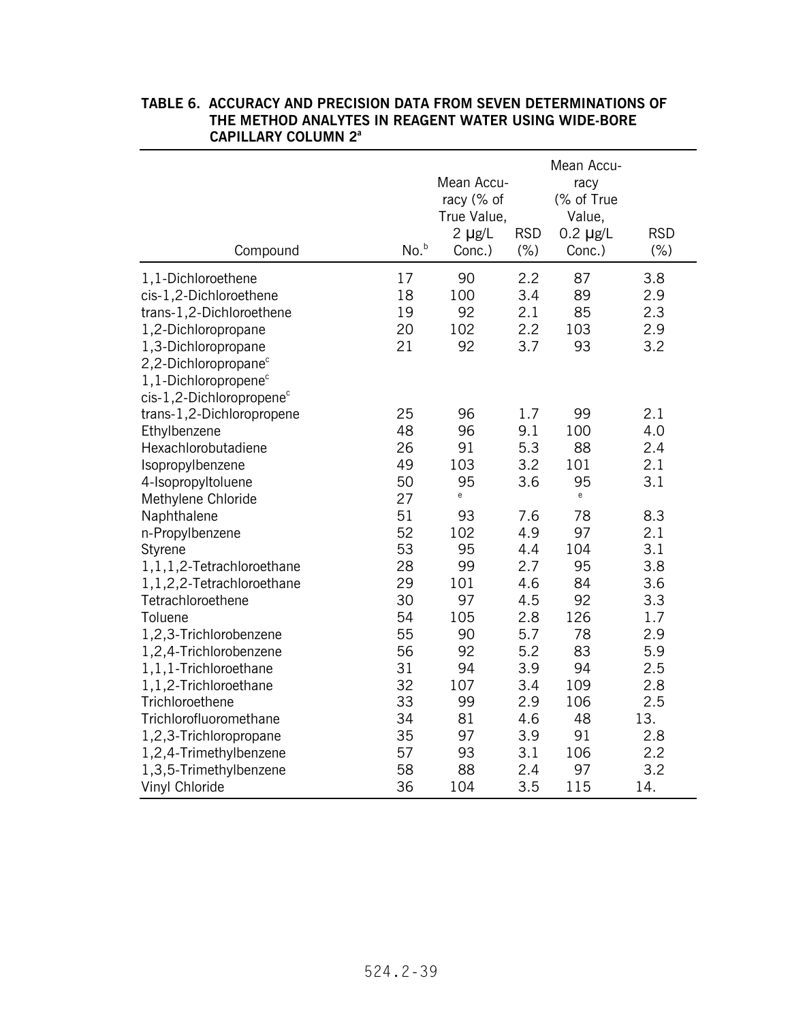| Compound                             | No. <sup>b</sup> | Mean Accu-<br>racy (% of<br>True Value,<br>$2$ µg/L<br>Conc.) | <b>RSD</b><br>$(\% )$ | Mean Accu-<br>racy<br>(% of True<br>Value,<br>$0.2 \mu g/L$<br>Conc.) | <b>RSD</b><br>$(\% )$ |
|--------------------------------------|------------------|---------------------------------------------------------------|-----------------------|-----------------------------------------------------------------------|-----------------------|
| 1,1-Dichloroethene                   | 17               | 90                                                            | 2.2                   | 87                                                                    | 3.8                   |
| cis-1,2-Dichloroethene               | 18               | 100                                                           | 3.4                   | 89                                                                    | 2.9                   |
| trans-1,2-Dichloroethene             | 19               | 92                                                            | 2.1                   | 85                                                                    | 2.3                   |
| 1,2-Dichloropropane                  | 20               | 102                                                           | 2.2                   | 103                                                                   | 2.9                   |
| 1,3-Dichloropropane                  | 21               | 92                                                            | 3.7                   | 93                                                                    | 3.2                   |
| 2,2-Dichloropropane <sup>c</sup>     |                  |                                                               |                       |                                                                       |                       |
| $1,1$ -Dichloropropene $c$           |                  |                                                               |                       |                                                                       |                       |
| cis-1,2-Dichloropropene <sup>c</sup> |                  |                                                               |                       |                                                                       |                       |
| trans-1,2-Dichloropropene            | 25               | 96                                                            | 1.7                   | 99                                                                    | 2.1                   |
| Ethylbenzene                         | 48               | 96                                                            | 9.1                   | 100                                                                   | 4.0                   |
| Hexachlorobutadiene                  | 26               | 91                                                            | 5.3                   | 88                                                                    | 2.4                   |
| Isopropylbenzene                     | 49               | 103                                                           | 3.2                   | 101                                                                   | 2.1                   |
| 4-Isopropyltoluene                   | 50               | 95                                                            | 3.6                   | 95                                                                    | 3.1                   |
| Methylene Chloride                   | 27               | e                                                             |                       | $\mathsf{e}% _{0}\left( \mathsf{e}\right)$                            |                       |
| Naphthalene                          | 51               | 93                                                            | 7.6                   | 78                                                                    | 8.3                   |
| n-Propylbenzene                      | 52               | 102                                                           | 4.9                   | 97                                                                    | 2.1                   |
| Styrene                              | 53               | 95                                                            | 4.4                   | 104                                                                   | 3.1                   |
| 1, 1, 1, 2-Tetrachloroethane         | 28               | 99                                                            | 2.7                   | 95                                                                    | 3.8                   |
| 1,1,2,2-Tetrachloroethane            | 29               | 101                                                           | 4.6                   | 84                                                                    | 3.6                   |
| Tetrachloroethene                    | 30               | 97                                                            | 4.5                   | 92                                                                    | 3.3                   |
| Toluene                              | 54               | 105                                                           | 2.8                   | 126                                                                   | 1.7                   |
| 1,2,3-Trichlorobenzene               | 55               | 90                                                            | 5.7                   | 78                                                                    | 2.9                   |
| 1,2,4-Trichlorobenzene               | 56               | 92                                                            | 5.2                   | 83                                                                    | 5.9                   |
| 1,1,1-Trichloroethane                | 31               | 94                                                            | 3.9                   | 94                                                                    | 2.5                   |
| 1,1,2-Trichloroethane                | 32               | 107                                                           | 3.4                   | 109                                                                   | 2.8                   |
| Trichloroethene                      | 33               | 99                                                            | 2.9                   | 106                                                                   | 2.5                   |
| Trichlorofluoromethane               | 34               | 81                                                            | 4.6                   | 48                                                                    | 13.                   |
| 1,2,3-Trichloropropane               | 35               | 97                                                            | 3.9                   | 91                                                                    | 2.8                   |
| 1,2,4-Trimethylbenzene               | 57               | 93                                                            | 3.1                   | 106                                                                   | 2.2                   |
| 1,3,5-Trimethylbenzene               | 58               | 88                                                            | 2.4                   | 97                                                                    | 3.2                   |
| Vinyl Chloride                       | 36               | 104                                                           | 3.5                   | 115                                                                   | 14.                   |

## **TABLE 6. ACCURACY AND PRECISION DATA FROM SEVEN DETERMINATIONS OF THE METHOD ANALYTES IN REAGENT WATER USING WIDE-BORE CAPILLARY COLUMN 2a**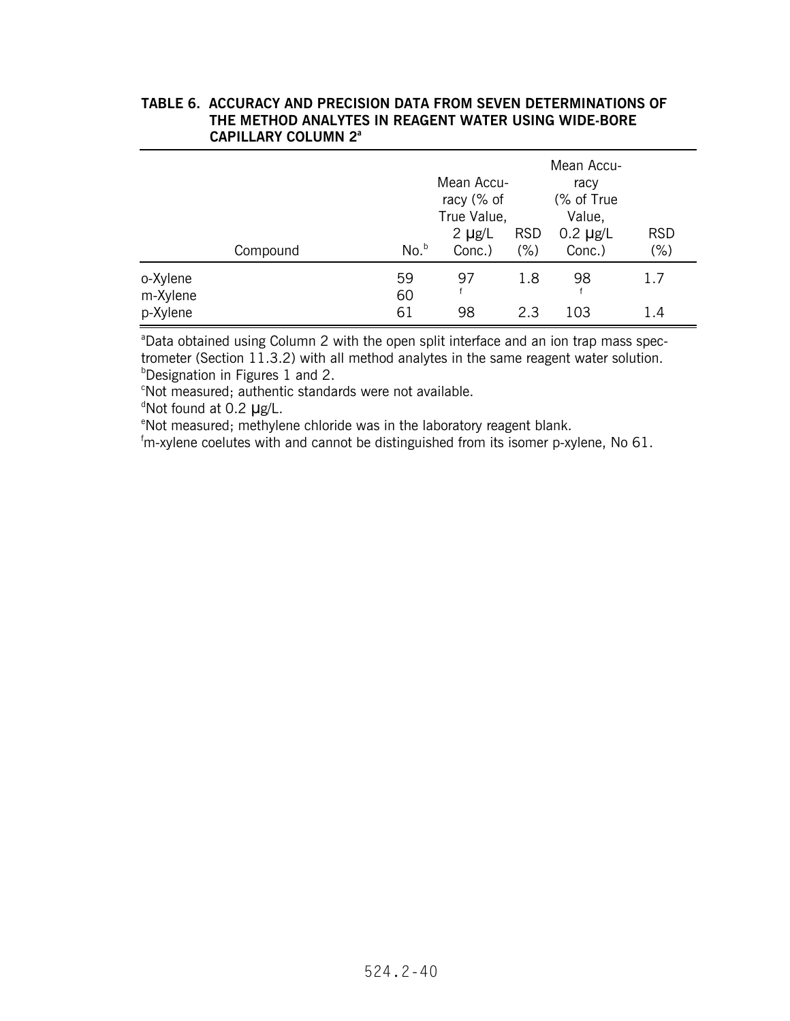#### **TABLE 6. ACCURACY AND PRECISION DATA FROM SEVEN DETERMINATIONS OF THE METHOD ANALYTES IN REAGENT WATER USING WIDE-BORE CAPILLARY COLUMN 2a**

|                      | Compound | No. <sup>b</sup> | Mean Accu-<br>racy (% of<br>True Value,<br>$2 \mu g/L$<br>Conc.) | <b>RSD</b><br>(% ) | Mean Accu-<br>racy<br>(% of True<br>Value,<br>$0.2 \mu g/L$<br>Conc.) | <b>RSD</b><br>$(\% )$ |
|----------------------|----------|------------------|------------------------------------------------------------------|--------------------|-----------------------------------------------------------------------|-----------------------|
| o-Xylene<br>m-Xylene |          | 59<br>60         | 97<br>f                                                          | 1.8                | 98<br>f                                                               | 1.7                   |
| p-Xylene             |          | 61               | 98                                                               | 2.3                | 103                                                                   | 1.4                   |

<sup>a</sup>Data obtained using Column 2 with the open split interface and an ion trap mass spectrometer (Section 11.3.2) with all method analytes in the same reagent water solution. **Designation in Figures 1 and 2.** 

<sup>b</sup>Designation in Figures 1 and 2.<br>°Not measured; authentic standards were not available.

<sup>d</sup>Not found at 0.2 µg/L.

<sup>e</sup>Not measured; methylene chloride was in the laboratory reagent blank.

°Not measured; methylene chloride was in the laboratory reagent blank.<br><sup>f</sup>m-xylene coelutes with and cannot be distinguished from its isomer p-xylene, No 61.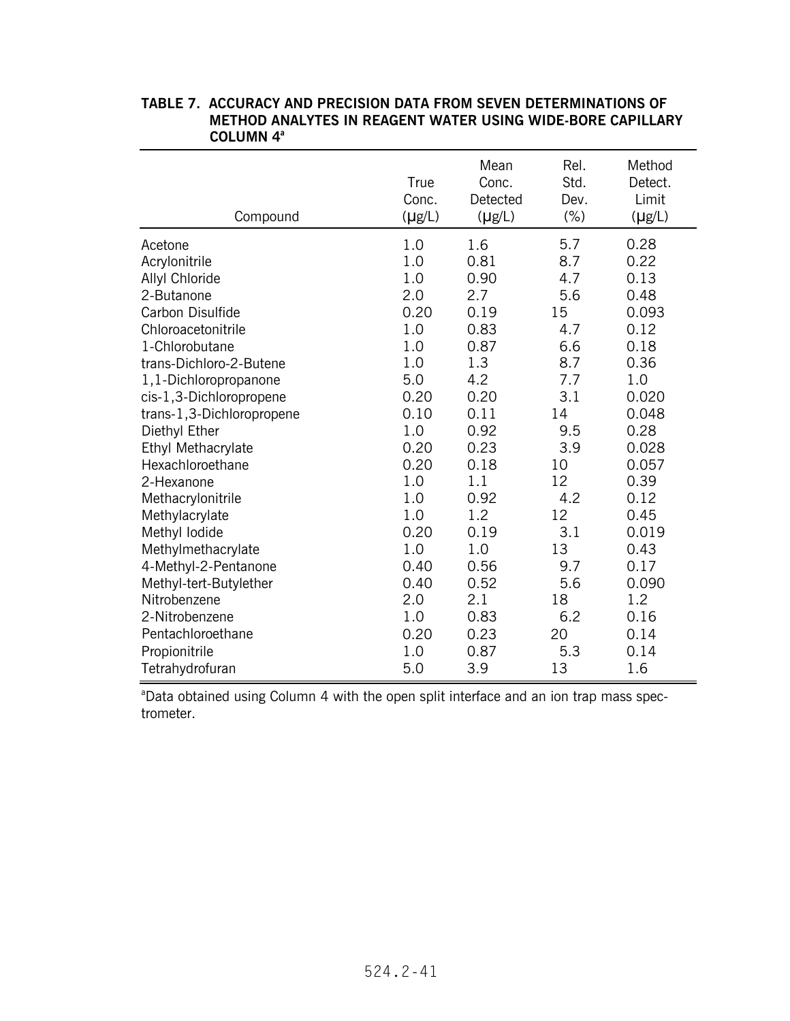| Compound                  | True<br>Conc.<br>$(\mu g/L)$ | Mean<br>Conc.<br>Detected<br>$(\mu g/L)$ | Rel.<br>Std.<br>Dev.<br>$(\% )$ | Method<br>Detect.<br>Limit<br>$(\mu g/L)$ |
|---------------------------|------------------------------|------------------------------------------|---------------------------------|-------------------------------------------|
| Acetone                   | 1.0                          | 1.6                                      | 5.7                             | 0.28                                      |
| Acrylonitrile             | 1.0                          | 0.81                                     | 8.7                             | 0.22                                      |
| Allyl Chloride            | 1.0                          | 0.90                                     | 4.7                             | 0.13                                      |
| 2-Butanone                | 2.0                          | 2.7                                      | 5.6                             | 0.48                                      |
| Carbon Disulfide          | 0.20                         | 0.19                                     | 15                              | 0.093                                     |
| Chloroacetonitrile        | 1.0                          | 0.83                                     | 4.7                             | 0.12                                      |
| 1-Chlorobutane            | 1.0                          | 0.87                                     | 6.6                             | 0.18                                      |
| trans-Dichloro-2-Butene   | 1.0                          | 1.3                                      | 8.7                             | 0.36                                      |
| 1,1-Dichloropropanone     | 5.0                          | 4.2                                      | 7.7                             | 1.0                                       |
| cis-1,3-Dichloropropene   | 0.20                         | 0.20                                     | 3.1                             | 0.020                                     |
| trans-1,3-Dichloropropene | 0.10                         | 0.11                                     | 14                              | 0.048                                     |
| Diethyl Ether             | 1.0                          | 0.92                                     | 9.5                             | 0.28                                      |
| Ethyl Methacrylate        | 0.20                         | 0.23                                     | 3.9                             | 0.028                                     |
| Hexachloroethane          | 0.20                         | 0.18                                     | 10                              | 0.057                                     |
| 2-Hexanone                | 1.0                          | 1.1                                      | 12                              | 0.39                                      |
| Methacrylonitrile         | 1.0                          | 0.92                                     | 4.2                             | 0.12                                      |
| Methylacrylate            | 1.0                          | 1.2                                      | 12                              | 0.45                                      |
| Methyl lodide             | 0.20                         | 0.19                                     | 3.1                             | 0.019                                     |
| Methylmethacrylate        | 1.0                          | 1.0                                      | 13                              | 0.43                                      |
| 4-Methyl-2-Pentanone      | 0.40                         | 0.56                                     | 9.7                             | 0.17                                      |
| Methyl-tert-Butylether    | 0.40                         | 0.52                                     | 5.6                             | 0.090                                     |
| Nitrobenzene              | 2.0                          | 2.1                                      | 18                              | 1.2                                       |
| 2-Nitrobenzene            | 1.0                          | 0.83                                     | 6.2                             | 0.16                                      |
| Pentachloroethane         | 0.20                         | 0.23                                     | 20                              | 0.14                                      |
| Propionitrile             | 1.0                          | 0.87                                     | 5.3                             | 0.14                                      |
| Tetrahydrofuran           | 5.0                          | 3.9                                      | 13                              | 1.6                                       |

#### **TABLE 7. ACCURACY AND PRECISION DATA FROM SEVEN DETERMINATIONS OF METHOD ANALYTES IN REAGENT WATER USING WIDE-BORE CAPILLARY COLUMN 4a**

<sup>a</sup>Data obtained using Column 4 with the open split interface and an ion trap mass spectrometer.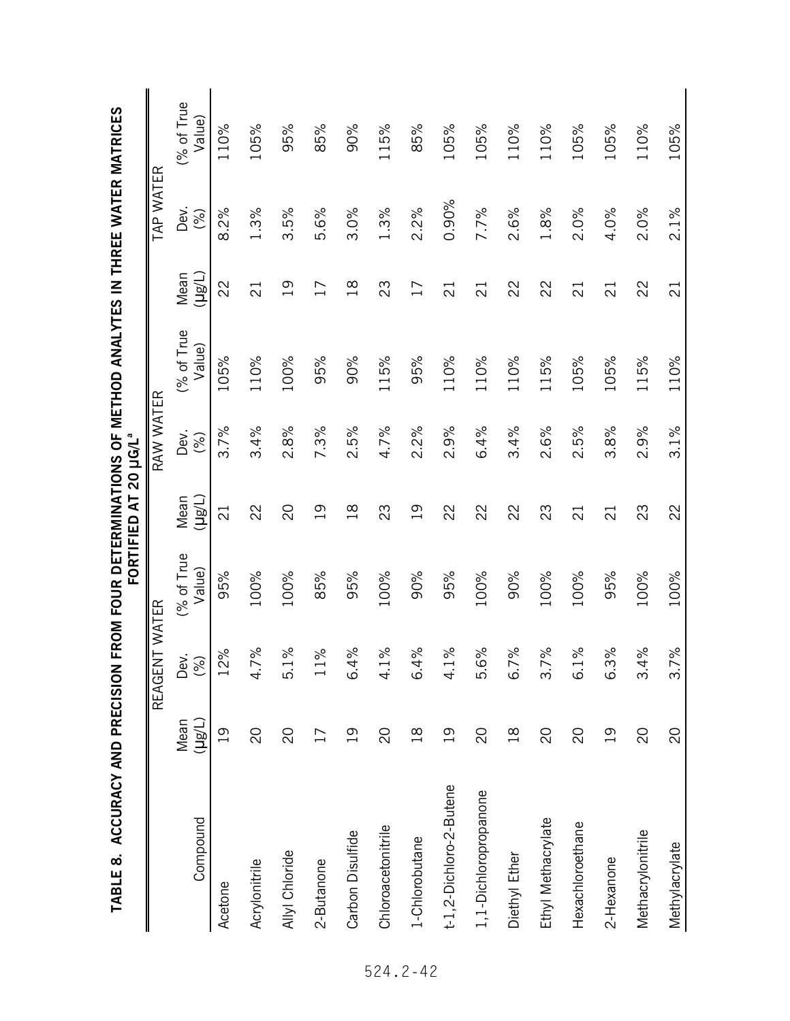| IABLE 0. AVU FRUN FRUM FRUM FOUR DE FERMINATIONS OI |                |                                |                      | FORTIFIED AT 20 µG/L <sup>ª</sup> |             | . MEI LOD WATI LE MATE MAI EK MAI KICES |                            |             |                      |
|-----------------------------------------------------|----------------|--------------------------------|----------------------|-----------------------------------|-------------|-----------------------------------------|----------------------------|-------------|----------------------|
|                                                     |                | REAGENT WATER                  |                      |                                   | RAW WATER   |                                         |                            | TAP WATER   |                      |
| Compound                                            | (Hg/L)<br>Mean | Dev.<br>$(%)$                  | (% of True<br>Value) | (H <sup>g</sup> H)<br>Mean        | Dev.<br>(%) | (% of True<br>Value)                    | (H <sub>81</sub> )<br>Mean | Dev.<br>(%) | (% of True<br>Value) |
| Acetone                                             | $\overline{0}$ | 2%<br>$\overline{\phantom{0}}$ | 95%                  | $\overline{c}$                    | 3.7%        | 105%                                    | 22                         | 8.2%        | 110%                 |
| Acrylonitrile                                       | $\overline{C}$ | 4.7%                           | 100%                 | 22                                | 3.4%        | 110%                                    | $\overline{2}$             | 1.3%        | 105%                 |
| Allyl Chloride                                      | $\overline{C}$ | 5.1%                           | 100%                 | 20                                | 2.8%        | 100%                                    | $\overline{0}$             | 3.5%        | 95%                  |
| 2-Butanone                                          | $\overline{1}$ | $1\%$                          | 85%                  | $\overline{0}$                    | 7.3%        | 95%                                     | $\overline{17}$            | 5.6%        | 85%                  |
| Carbon Disulfide                                    | $\overline{0}$ | 4%<br>$\dot{\circ}$            | 95%                  | $\frac{8}{10}$                    | 2.5%        | 90%                                     | $\frac{8}{1}$              | 3.0%        | 90%                  |
| Chloroacetonitrile                                  | SO             | 1%<br>4.                       | 100%                 | 23                                | 4.7%        | 115%                                    | 23                         | 1.3%        | 115%                 |
| 1-Chlorobutane                                      | $\frac{8}{18}$ | 4%<br>$\dot{\circ}$            | 90%                  | $\overline{0}$                    | 2.2%        | 95%                                     | 17                         | 2.2%        | 85%                  |
| t-1,2-Dichloro-2-Butene                             | $\overline{0}$ | $1\%$<br>4.                    | 95%                  | 22                                | 2.9%        | 110%                                    | $\overline{c}$             | $0.90\%$    | 105%                 |
| 1,1-Dichloropropanone                               | $\overline{0}$ | 6%<br>۔<br>م                   | 100%                 | 22                                | 6.4%        | 110%                                    | $\overline{c}$             | 7.7%        | 105%                 |
| Diethyl Ether                                       | $\frac{8}{1}$  | 7%<br>$\sigma$                 | 90%                  | 22                                | 3.4%        | 110%                                    | 22                         | 2.6%        | 110%                 |
| Ethyl Methacrylate                                  | $\overline{c}$ | 3.7%                           | 100%                 | 23                                | 2.6%        | 115%                                    | 22                         | 1.8%        | 110%                 |
| Hexachloroethane                                    | $\overline{C}$ | 6.1%                           | 100%                 | $\overline{2}$                    | 2.5%        | 105%                                    | $\overline{21}$            | 2.0%        | 105%                 |
| 2-Hexanone                                          | $\overline{0}$ | 6.3%                           | 95%                  | $\overline{2}$                    | 3.8%        | 105%                                    | $\overline{c}$             | 4.0%        | 105%                 |
| Methacrylonitrile                                   | SO             | 4%<br>$\dot{\mathfrak{c}}$     | 100%                 | 23                                | 2.9%        | 115%                                    | 22                         | 2.0%        | 110%                 |
| Methylacrylate                                      | $\overline{C}$ | 3.7%                           | 100%                 | 22                                | 3.1%        | 110%                                    | $\overline{2}$             | 2.1%        | 105%                 |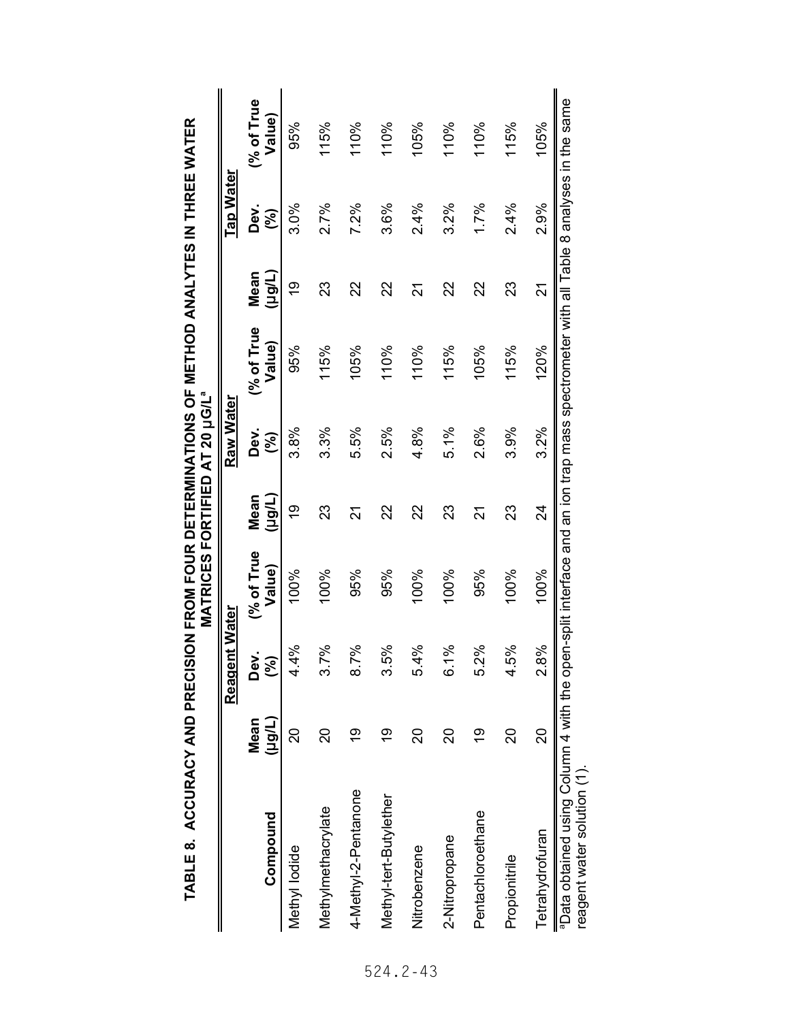|                                                                                                                                                                    |                | Reagent Water       |                      |                 | Raw Water             |                     |                | <b>Tap Water</b> |                     |
|--------------------------------------------------------------------------------------------------------------------------------------------------------------------|----------------|---------------------|----------------------|-----------------|-----------------------|---------------------|----------------|------------------|---------------------|
| Compound                                                                                                                                                           | (Hârl)<br>Mean | δ<br>Δ<br>ર્જી      | (% of True<br>Value) | (Tiêrt)<br>Mean | Dev.<br>$\mathcal{S}$ | % of True<br>Value) | (Hârl)<br>Mean | Dev.<br>(%)      | % of True<br>Value) |
| Methyl lodide                                                                                                                                                      | ္လ             | ॐ<br>4.<br>4        | 100%                 | <u>စု</u>       | 3.8%                  | 95%                 | $\frac{6}{1}$  | 3.0%             | 95%                 |
| Methylmethacrylate                                                                                                                                                 | ನಿ             | వ్<br>ર ત           | 100%                 | 23              | 3.3%                  | 115%                | 23             | 2.7%             | 115%                |
| 4-Methyl-2-Pentanone                                                                                                                                               | စ္             | వ్<br>$\frac{8}{2}$ | 95%                  | 21              | 5.5%                  | 105%                | 22             | 7.2%             | 110%                |
| Methyl-tert-Butylether                                                                                                                                             | စ္             | ॐ<br>ი<br>სე        | 95%                  | 22              | 2.5%                  | 110%                | 22             | 3.6%             | 110%                |
| Nitrobenzene                                                                                                                                                       | ನ              | వ్<br>54<br>4       | 100%                 | 22              | 4.8%                  | 110%                | 24             | 2.4%             | 105%                |
| 2-Nitropropane                                                                                                                                                     | ನಿ             | వ్<br>ن<br>©        | 100%                 | 23              | 5.1%                  | 115%                | 22             | 3.2%             | 110%                |
| Pentachloroethane                                                                                                                                                  | 6h             | ्रैं<br><u>ง</u>    | 95%                  | 24              | 2.6%                  | 105%                | 22             | 1.7%             | 110%                |
| Propionitrile                                                                                                                                                      | <u>ន</u>       | శ<br>4.5            | 100%                 | 23              | 3.9%                  | 115%                | 23             | 2.4%             | 115%                |
| Tetrahydrofuran                                                                                                                                                    | 20             | ્રૂ<br>∞<br>2       | 100%                 | 24              | 3.2%                  | 120%                | 21             | 2.9%             | 105%                |
| "Data obtained using Column 4 with the open-split interface and an ion trap mass spectrometer with all Table 8 analyses in the same<br>reagent water solution (1). |                |                     |                      |                 |                       |                     |                |                  |                     |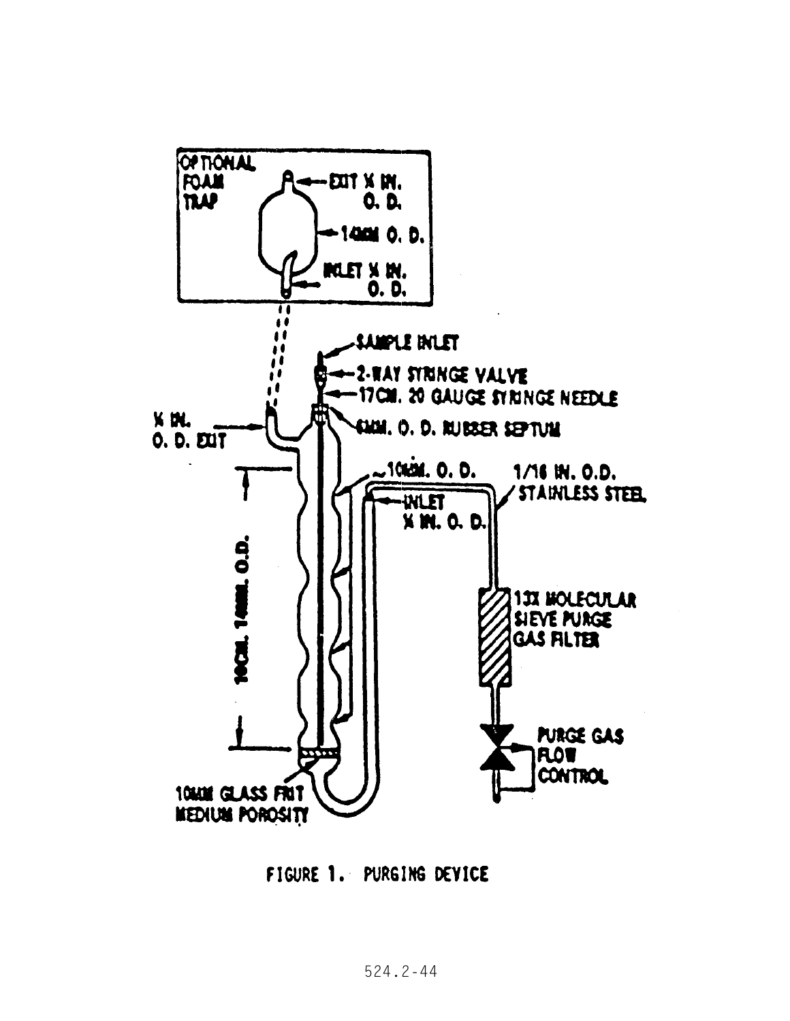

FIGURE 1. PURGING DEVICE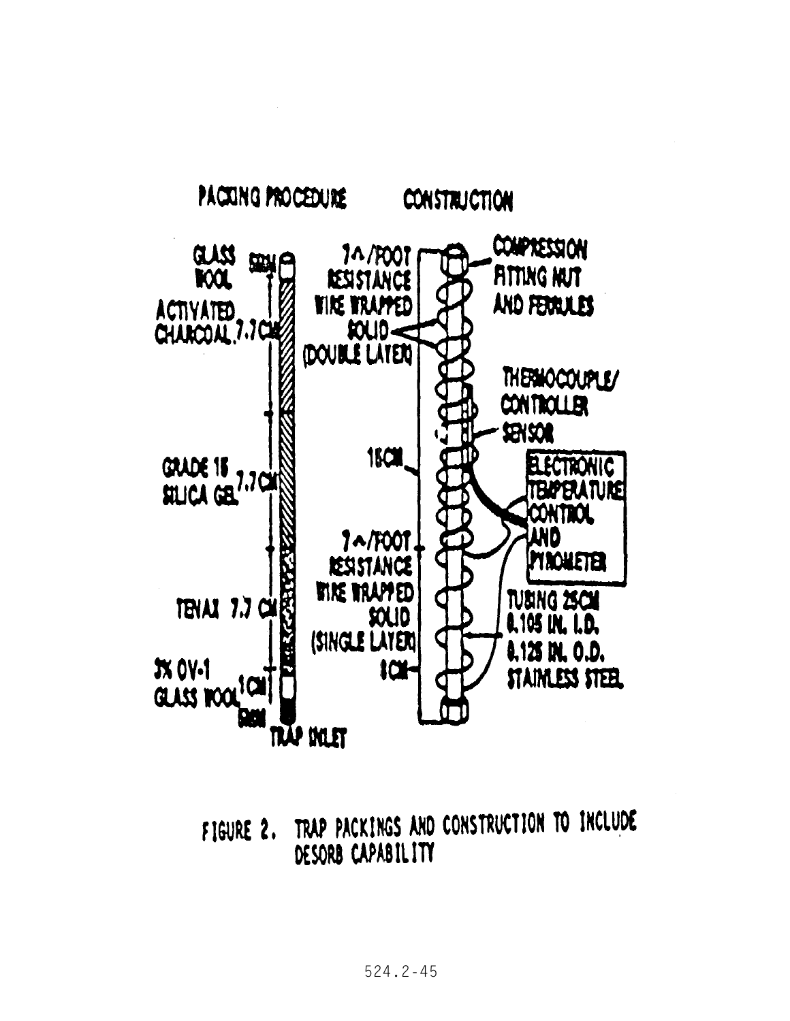

TRAP PACKINGS AND CONSTRUCTION TO INCLUDE FIGURE 2. DESORB CAPABILITY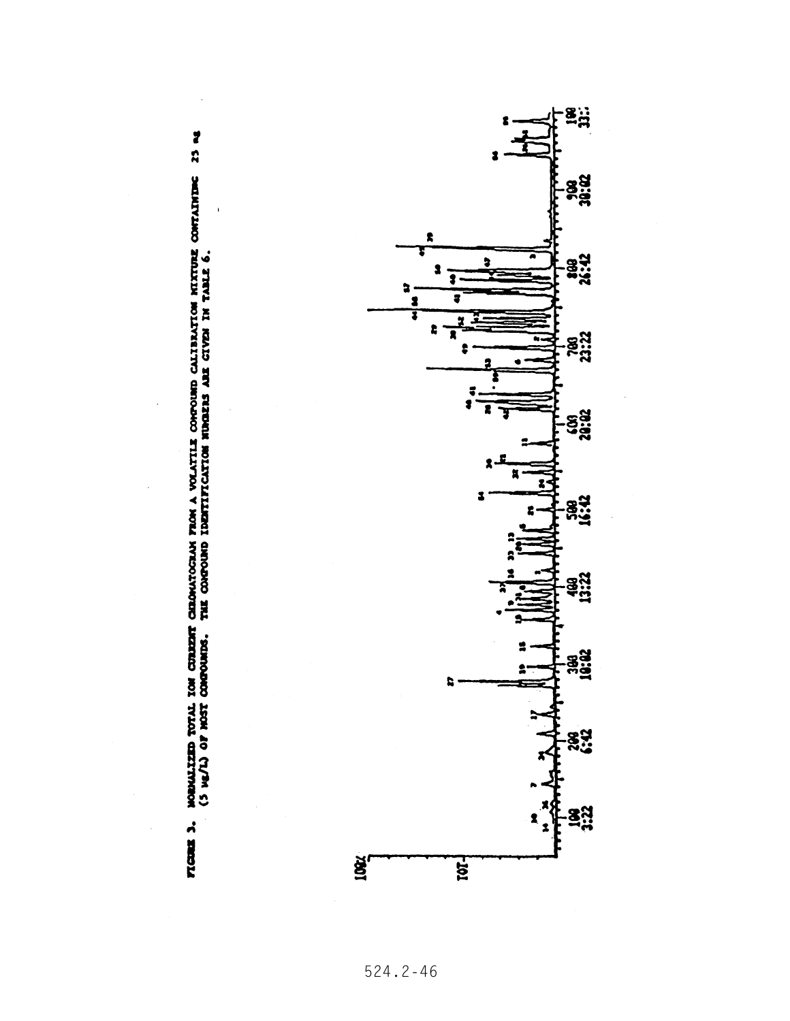

MORMALIZED TOTAL ION CUREERT CHROMATOGRAM FROM A VOLATILE COMPORED CALIBRATION NIXTURE CONTAINIDE: 23 Mg<br>(5 Mg/L) OF MOST CORPOREDS. THE COMPORED IDENTIFICATION NUMBERS ARE CIVEN IN TARLE 6. **TLGREE 3.** 

 $\overline{\phantom{a}}$ 

524.2-46